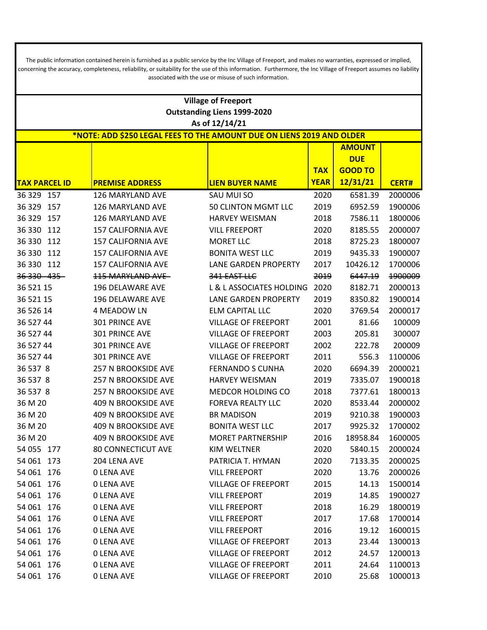The public information contained herein is furnished as a public service by the Inc Village of Freeport, and makes no warranties, expressed or implied, concerning the accuracy, completeness, reliability, or suitability for the use of this information. Furthermore, the Inc Village of Freeport assumes no liability associated with the use or misuse of such information.

|                      | <b>Village of Freeport</b>                                            |                                    |             |                |              |  |  |  |
|----------------------|-----------------------------------------------------------------------|------------------------------------|-------------|----------------|--------------|--|--|--|
|                      |                                                                       | <b>Outstanding Liens 1999-2020</b> |             |                |              |  |  |  |
| As of 12/14/21       |                                                                       |                                    |             |                |              |  |  |  |
|                      | *NOTE: ADD \$250 LEGAL FEES TO THE AMOUNT DUE ON LIENS 2019 AND OLDER |                                    |             |                |              |  |  |  |
|                      |                                                                       |                                    |             | <b>AMOUNT</b>  |              |  |  |  |
|                      |                                                                       |                                    |             | <b>DUE</b>     |              |  |  |  |
|                      |                                                                       |                                    | <b>TAX</b>  | <b>GOOD TO</b> |              |  |  |  |
| <b>TAX PARCEL ID</b> | <b>PREMISE ADDRESS</b>                                                | <b>LIEN BUYER NAME</b>             | <b>YEAR</b> | 12/31/21       | <b>CERT#</b> |  |  |  |
| 36 329 157           | 126 MARYLAND AVE                                                      | SAU MUI SO                         | 2020        | 6581.39        | 2000006      |  |  |  |
| 36 329<br>157        | 126 MARYLAND AVE                                                      | 50 CLINTON MGMT LLC                | 2019        | 6952.59        | 1900006      |  |  |  |
| 36 329<br>157        | 126 MARYLAND AVE                                                      | <b>HARVEY WEISMAN</b>              | 2018        | 7586.11        | 1800006      |  |  |  |
| 36 330<br>112        | <b>157 CALIFORNIA AVE</b>                                             | <b>VILL FREEPORT</b>               | 2020        | 8185.55        | 2000007      |  |  |  |
| 36 330<br>112        | <b>157 CALIFORNIA AVE</b>                                             | <b>MORET LLC</b>                   | 2018        | 8725.23        | 1800007      |  |  |  |
| 36 330<br>112        | <b>157 CALIFORNIA AVE</b>                                             | <b>BONITA WEST LLC</b>             | 2019        | 9435.33        | 1900007      |  |  |  |
| 36 330 112           | <b>157 CALIFORNIA AVE</b>                                             | <b>LANE GARDEN PROPERTY</b>        | 2017        | 10426.12       | 1700006      |  |  |  |
| 36 330 435           | 115 MARYLAND AVE                                                      | 341 EAST LLC                       | 2019        | 6447.19        | 1900009      |  |  |  |
| 36 521 15            | 196 DELAWARE AVE                                                      | L & L ASSOCIATES HOLDING           | 2020        | 8182.71        | 2000013      |  |  |  |
| 36 521 15            | 196 DELAWARE AVE                                                      | <b>LANE GARDEN PROPERTY</b>        | 2019        | 8350.82        | 1900014      |  |  |  |
| 36 526 14            | 4 MEADOW LN                                                           | <b>ELM CAPITAL LLC</b>             | 2020        | 3769.54        | 2000017      |  |  |  |
| 36 527 44            | 301 PRINCE AVE                                                        | <b>VILLAGE OF FREEPORT</b>         | 2001        | 81.66          | 100009       |  |  |  |
| 36 527 44            | 301 PRINCE AVE                                                        | <b>VILLAGE OF FREEPORT</b>         | 2003        | 205.81         | 300007       |  |  |  |
| 36 527 44            | 301 PRINCE AVE                                                        | <b>VILLAGE OF FREEPORT</b>         | 2002        | 222.78         | 200009       |  |  |  |
| 36 527 44            | 301 PRINCE AVE                                                        | <b>VILLAGE OF FREEPORT</b>         | 2011        | 556.3          | 1100006      |  |  |  |
| 36 537 8             | 257 N BROOKSIDE AVE                                                   | <b>FERNANDO S CUNHA</b>            | 2020        | 6694.39        | 2000021      |  |  |  |
| 36 537 8             | 257 N BROOKSIDE AVE                                                   | <b>HARVEY WEISMAN</b>              | 2019        | 7335.07        | 1900018      |  |  |  |
| 36 537 8             | 257 N BROOKSIDE AVE                                                   | <b>MEDCOR HOLDING CO</b>           | 2018        | 7377.61        | 1800013      |  |  |  |
| 36 M 20              | 409 N BROOKSIDE AVE                                                   | FOREVA REALTY LLC                  | 2020        | 8533.44        | 2000002      |  |  |  |
| 36 M 20              | <b>409 N BROOKSIDE AVE</b>                                            | <b>BR MADISON</b>                  | 2019        | 9210.38        | 1900003      |  |  |  |
| 36 M 20              | <b>409 N BROOKSIDE AVE</b>                                            | <b>BONITA WEST LLC</b>             | 2017        | 9925.32        | 1700002      |  |  |  |
| 36 M 20              | <b>409 N BROOKSIDE AVE</b>                                            | <b>MORET PARTNERSHIP</b>           | 2016        | 18958.84       | 1600005      |  |  |  |
| 54 055 177           | <b>80 CONNECTICUT AVE</b>                                             | <b>KIM WELTNER</b>                 | 2020        | 5840.15        | 2000024      |  |  |  |
| 54 061 173           | 204 LENA AVE                                                          | PATRICIA T. HYMAN                  | 2020        | 7133.35        | 2000025      |  |  |  |
| 54 061 176           | <b>0 LENA AVE</b>                                                     | <b>VILL FREEPORT</b>               | 2020        | 13.76          | 2000026      |  |  |  |
| 54 061 176           | <b>0 LENA AVE</b>                                                     | VILLAGE OF FREEPORT                | 2015        | 14.13          | 1500014      |  |  |  |
| 54 061 176           | <b>0 LENA AVE</b>                                                     | <b>VILL FREEPORT</b>               | 2019        | 14.85          | 1900027      |  |  |  |
| 54 061 176           | <b>0 LENA AVE</b>                                                     | <b>VILL FREEPORT</b>               | 2018        | 16.29          | 1800019      |  |  |  |
| 54 061 176           | <b>0 LENA AVE</b>                                                     | <b>VILL FREEPORT</b>               | 2017        | 17.68          | 1700014      |  |  |  |
| 54 061 176           | <b>0 LENA AVE</b>                                                     | <b>VILL FREEPORT</b>               | 2016        | 19.12          | 1600015      |  |  |  |
| 54 061 176           | <b>O LENA AVE</b>                                                     | <b>VILLAGE OF FREEPORT</b>         | 2013        | 23.44          | 1300013      |  |  |  |
| 54 061 176           | <b>0 LENA AVE</b>                                                     | <b>VILLAGE OF FREEPORT</b>         | 2012        | 24.57          | 1200013      |  |  |  |
| 54 061 176           | <b>0 LENA AVE</b>                                                     | <b>VILLAGE OF FREEPORT</b>         | 2011        | 24.64          | 1100013      |  |  |  |
| 54 061 176           | <b>0 LENA AVE</b>                                                     | VILLAGE OF FREEPORT                | 2010        | 25.68          | 1000013      |  |  |  |
|                      |                                                                       |                                    |             |                |              |  |  |  |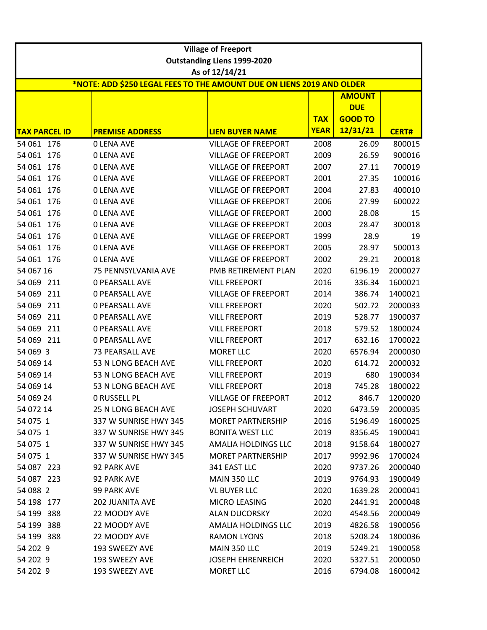|                          |                                                                       | <b>Village of Freeport</b>                               |                           |                              |                  |  |  |  |
|--------------------------|-----------------------------------------------------------------------|----------------------------------------------------------|---------------------------|------------------------------|------------------|--|--|--|
|                          |                                                                       | <b>Outstanding Liens 1999-2020</b>                       |                           |                              |                  |  |  |  |
|                          |                                                                       | As of 12/14/21                                           |                           |                              |                  |  |  |  |
|                          | *NOTE: ADD \$250 LEGAL FEES TO THE AMOUNT DUE ON LIENS 2019 AND OLDER |                                                          |                           |                              |                  |  |  |  |
|                          |                                                                       |                                                          |                           | <b>AMOUNT</b>                |                  |  |  |  |
|                          |                                                                       |                                                          |                           | <b>DUE</b><br><b>GOOD TO</b> |                  |  |  |  |
| <b>TAX PARCEL ID</b>     |                                                                       |                                                          | <b>TAX</b><br><b>YEAR</b> | 12/31/21                     |                  |  |  |  |
|                          | <b>PREMISE ADDRESS</b>                                                | <b>LIEN BUYER NAME</b>                                   |                           |                              | <b>CERT#</b>     |  |  |  |
| 54 061 176               | <b>0 LENA AVE</b>                                                     | <b>VILLAGE OF FREEPORT</b><br><b>VILLAGE OF FREEPORT</b> | 2008                      | 26.09                        | 800015           |  |  |  |
| 54 061 176<br>54 061 176 | <b>0 LENA AVE</b><br><b>0 LENA AVE</b>                                | <b>VILLAGE OF FREEPORT</b>                               | 2009<br>2007              | 26.59<br>27.11               | 900016<br>700019 |  |  |  |
|                          |                                                                       |                                                          |                           |                              |                  |  |  |  |
| 54 061 176               | <b>0 LENA AVE</b>                                                     | <b>VILLAGE OF FREEPORT</b>                               | 2001                      | 27.35                        | 100016           |  |  |  |
| 54 061 176               | <b>O LENA AVE</b>                                                     | <b>VILLAGE OF FREEPORT</b>                               | 2004                      | 27.83                        | 400010           |  |  |  |
| 54 061<br>176            | <b>0 LENA AVE</b>                                                     | <b>VILLAGE OF FREEPORT</b>                               | 2006                      | 27.99                        | 600022           |  |  |  |
| 54 061 176               | <b>0 LENA AVE</b>                                                     | <b>VILLAGE OF FREEPORT</b>                               | 2000                      | 28.08                        | 15               |  |  |  |
| 54 061 176               | <b>0 LENA AVE</b>                                                     | <b>VILLAGE OF FREEPORT</b>                               | 2003                      | 28.47                        | 300018           |  |  |  |
| 54 061 176               | <b>O LENA AVE</b>                                                     | <b>VILLAGE OF FREEPORT</b>                               | 1999                      | 28.9                         | 19               |  |  |  |
| 54 061 176               | <b>O LENA AVE</b>                                                     | <b>VILLAGE OF FREEPORT</b>                               | 2005                      | 28.97                        | 500013           |  |  |  |
| 54 061 176               | <b>0 LENA AVE</b>                                                     | <b>VILLAGE OF FREEPORT</b>                               | 2002                      | 29.21                        | 200018           |  |  |  |
| 54 067 16                | 75 PENNSYLVANIA AVE                                                   | PMB RETIREMENT PLAN                                      | 2020                      | 6196.19                      | 2000027          |  |  |  |
| 54 069 211               | <b>0 PEARSALL AVE</b>                                                 | <b>VILL FREEPORT</b>                                     | 2016                      | 336.34                       | 1600021          |  |  |  |
| 54 069<br>211            | <b>0 PEARSALL AVE</b>                                                 | <b>VILLAGE OF FREEPORT</b>                               | 2014                      | 386.74                       | 1400021          |  |  |  |
| 54 069 211               | <b>0 PEARSALL AVE</b>                                                 | <b>VILL FREEPORT</b>                                     | 2020                      | 502.72                       | 2000033          |  |  |  |
| 211<br>54 069            | <b>0 PEARSALL AVE</b>                                                 | <b>VILL FREEPORT</b>                                     | 2019                      | 528.77                       | 1900037          |  |  |  |
| 54 069<br>211            | <b>0 PEARSALL AVE</b>                                                 | <b>VILL FREEPORT</b>                                     | 2018                      | 579.52                       | 1800024          |  |  |  |
| 54 069 211               | <b>0 PEARSALL AVE</b>                                                 | <b>VILL FREEPORT</b>                                     | 2017                      | 632.16                       | 1700022          |  |  |  |
| 54 069 3                 | <b>73 PEARSALL AVE</b>                                                | <b>MORET LLC</b>                                         | 2020                      | 6576.94                      | 2000030          |  |  |  |
| 54 069 14                | 53 N LONG BEACH AVE                                                   | <b>VILL FREEPORT</b>                                     | 2020                      | 614.72                       | 2000032          |  |  |  |
| 54 069 14                | 53 N LONG BEACH AVE                                                   | <b>VILL FREEPORT</b>                                     | 2019                      | 680                          | 1900034          |  |  |  |
| 54 069 14                | 53 N LONG BEACH AVE                                                   | <b>VILL FREEPORT</b>                                     | 2018                      | 745.28                       | 1800022          |  |  |  |
| 54 069 24                | <b>0 RUSSELL PL</b>                                                   | <b>VILLAGE OF FREEPORT</b>                               | 2012                      | 846.7                        | 1200020          |  |  |  |
| 54 072 14                | 25 N LONG BEACH AVE                                                   | <b>JOSEPH SCHUVART</b>                                   | 2020                      | 6473.59                      | 2000035          |  |  |  |
| 54 075 1                 | 337 W SUNRISE HWY 345                                                 | <b>MORET PARTNERSHIP</b>                                 | 2016                      | 5196.49                      | 1600025          |  |  |  |
| 54 075 1                 | 337 W SUNRISE HWY 345                                                 | <b>BONITA WEST LLC</b>                                   | 2019                      | 8356.45                      | 1900041          |  |  |  |
| 54 075 1                 | 337 W SUNRISE HWY 345                                                 | AMALIA HOLDINGS LLC                                      | 2018                      | 9158.64                      | 1800027          |  |  |  |
| 54 075 1                 | 337 W SUNRISE HWY 345                                                 | <b>MORET PARTNERSHIP</b>                                 | 2017                      | 9992.96                      | 1700024          |  |  |  |
| 54 087 223               | 92 PARK AVE                                                           | 341 EAST LLC                                             | 2020                      | 9737.26                      | 2000040          |  |  |  |
| 54 087 223               | 92 PARK AVE                                                           | MAIN 350 LLC                                             | 2019                      | 9764.93                      | 1900049          |  |  |  |
| 54 088 2                 | <b>99 PARK AVE</b>                                                    | <b>VL BUYER LLC</b>                                      | 2020                      | 1639.28                      | 2000041          |  |  |  |
| 54 198 177               | 202 JUANITA AVE                                                       | MICRO LEASING                                            | 2020                      | 2441.91                      | 2000048          |  |  |  |
| 54 199 388               | 22 MOODY AVE                                                          | ALAN DUCORSKY                                            | 2020                      | 4548.56                      | 2000049          |  |  |  |
| 54 199 388               | 22 MOODY AVE                                                          | AMALIA HOLDINGS LLC                                      | 2019                      | 4826.58                      | 1900056          |  |  |  |
| 54 199 388               | 22 MOODY AVE                                                          | <b>RAMON LYONS</b>                                       | 2018                      | 5208.24                      | 1800036          |  |  |  |
| 54 202 9                 | 193 SWEEZY AVE                                                        | MAIN 350 LLC                                             | 2019                      | 5249.21                      | 1900058          |  |  |  |
| 54 202 9                 | 193 SWEEZY AVE                                                        | <b>JOSEPH EHRENREICH</b>                                 | 2020                      | 5327.51                      | 2000050          |  |  |  |
| 54 202 9                 |                                                                       |                                                          |                           |                              |                  |  |  |  |
|                          | 193 SWEEZY AVE                                                        | MORET LLC                                                | 2016                      | 6794.08                      | 1600042          |  |  |  |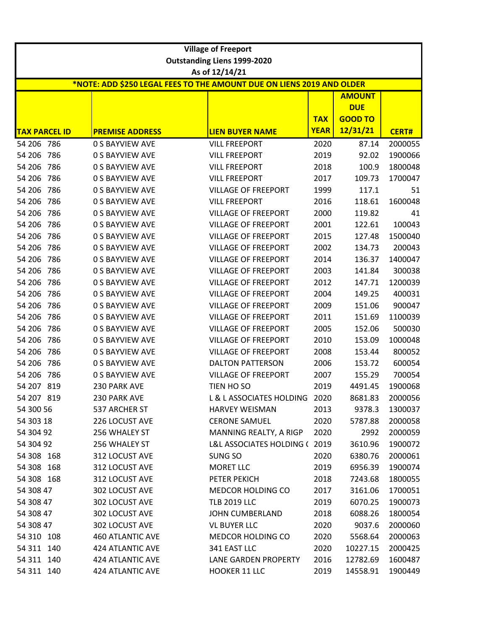|                      |                                                                       | <b>Village of Freeport</b>         |             |                |              |  |  |  |
|----------------------|-----------------------------------------------------------------------|------------------------------------|-------------|----------------|--------------|--|--|--|
|                      |                                                                       | <b>Outstanding Liens 1999-2020</b> |             |                |              |  |  |  |
| As of 12/14/21       |                                                                       |                                    |             |                |              |  |  |  |
|                      | *NOTE: ADD \$250 LEGAL FEES TO THE AMOUNT DUE ON LIENS 2019 AND OLDER |                                    |             |                |              |  |  |  |
|                      |                                                                       |                                    |             | <b>AMOUNT</b>  |              |  |  |  |
|                      |                                                                       |                                    |             | <b>DUE</b>     |              |  |  |  |
|                      |                                                                       |                                    | <b>TAX</b>  | <b>GOOD TO</b> |              |  |  |  |
| <b>TAX PARCEL ID</b> | <b>PREMISE ADDRESS</b>                                                | <b>LIEN BUYER NAME</b>             | <b>YEAR</b> | 12/31/21       | <b>CERT#</b> |  |  |  |
| 54 206 786           | <b>0 S BAYVIEW AVE</b>                                                | <b>VILL FREEPORT</b>               | 2020        | 87.14          | 2000055      |  |  |  |
| 786<br>54 206        | <b>0 S BAYVIEW AVE</b>                                                | <b>VILL FREEPORT</b>               | 2019        | 92.02          | 1900066      |  |  |  |
| 54 206<br>786        | <b>0 S BAYVIEW AVE</b>                                                | <b>VILL FREEPORT</b>               | 2018        | 100.9          | 1800048      |  |  |  |
| 54 206<br>786        | <b>0 S BAYVIEW AVE</b>                                                | <b>VILL FREEPORT</b>               | 2017        | 109.73         | 1700047      |  |  |  |
| 54 206<br>786        | <b>0 S BAYVIEW AVE</b>                                                | <b>VILLAGE OF FREEPORT</b>         | 1999        | 117.1          | 51           |  |  |  |
| 54 206<br>786        | <b>0 S BAYVIEW AVE</b>                                                | <b>VILL FREEPORT</b>               | 2016        | 118.61         | 1600048      |  |  |  |
| 54 206<br>786        | <b>0 S BAYVIEW AVE</b>                                                | <b>VILLAGE OF FREEPORT</b>         | 2000        | 119.82         | 41           |  |  |  |
| 54 206<br>786        | <b>0 S BAYVIEW AVE</b>                                                | <b>VILLAGE OF FREEPORT</b>         | 2001        | 122.61         | 100043       |  |  |  |
| 54 206<br>786        | <b>0 S BAYVIEW AVE</b>                                                | <b>VILLAGE OF FREEPORT</b>         | 2015        | 127.48         | 1500040      |  |  |  |
| 54 206<br>786        | <b>0 S BAYVIEW AVE</b>                                                | <b>VILLAGE OF FREEPORT</b>         | 2002        | 134.73         | 200043       |  |  |  |
| 54 206<br>786        | <b>0 S BAYVIEW AVE</b>                                                | <b>VILLAGE OF FREEPORT</b>         | 2014        | 136.37         | 1400047      |  |  |  |
| 54 206<br>786        | <b>0 S BAYVIEW AVE</b>                                                | <b>VILLAGE OF FREEPORT</b>         | 2003        | 141.84         | 300038       |  |  |  |
| 54 206<br>786        | <b>0 S BAYVIEW AVE</b>                                                | <b>VILLAGE OF FREEPORT</b>         | 2012        | 147.71         | 1200039      |  |  |  |
| 54 206<br>786        | <b>0 S BAYVIEW AVE</b>                                                | <b>VILLAGE OF FREEPORT</b>         | 2004        | 149.25         | 400031       |  |  |  |
| 54 206<br>786        | <b>0 S BAYVIEW AVE</b>                                                | <b>VILLAGE OF FREEPORT</b>         | 2009        | 151.06         | 900047       |  |  |  |
| 54 206<br>786        | <b>0 S BAYVIEW AVE</b>                                                | <b>VILLAGE OF FREEPORT</b>         | 2011        | 151.69         | 1100039      |  |  |  |
| 54 206<br>786        | <b>0 S BAYVIEW AVE</b>                                                | <b>VILLAGE OF FREEPORT</b>         | 2005        | 152.06         | 500030       |  |  |  |
| 54 206<br>786        | <b>0 S BAYVIEW AVE</b>                                                | <b>VILLAGE OF FREEPORT</b>         | 2010        | 153.09         | 1000048      |  |  |  |
| 54 206<br>786        | <b>0 S BAYVIEW AVE</b>                                                | <b>VILLAGE OF FREEPORT</b>         | 2008        | 153.44         | 800052       |  |  |  |
| 54 206<br>786        | <b>0 S BAYVIEW AVE</b>                                                | <b>DALTON PATTERSON</b>            | 2006        | 153.72         | 600054       |  |  |  |
| 54 206<br>786        | <b>0 S BAYVIEW AVE</b>                                                | <b>VILLAGE OF FREEPORT</b>         | 2007        | 155.29         | 700054       |  |  |  |
| 54 207 819           | 230 PARK AVE                                                          | TIEN HO SO                         | 2019        | 4491.45        | 1900068      |  |  |  |
| 54 207 819           | 230 PARK AVE                                                          | L & L ASSOCIATES HOLDING 2020      |             | 8681.83        | 2000056      |  |  |  |
| 54 300 56            | 537 ARCHER ST                                                         | <b>HARVEY WEISMAN</b>              | 2013        | 9378.3         | 1300037      |  |  |  |
| 54 303 18            | 226 LOCUST AVE                                                        | <b>CERONE SAMUEL</b>               | 2020        | 5787.88        | 2000058      |  |  |  |
| 54 304 92            | 256 WHALEY ST                                                         | MANNING REALTY, A RIGP             | 2020        | 2992           | 2000059      |  |  |  |
| 54 304 92            | 256 WHALEY ST                                                         | L&L ASSOCIATES HOLDING (2019       |             | 3610.96        | 1900072      |  |  |  |
| 54 308 168           | 312 LOCUST AVE                                                        | SUNG SO                            | 2020        | 6380.76        | 2000061      |  |  |  |
| 54 308 168           | 312 LOCUST AVE                                                        | MORET LLC                          | 2019        | 6956.39        | 1900074      |  |  |  |
| 54 308 168           | 312 LOCUST AVE                                                        | PETER PEKICH                       | 2018        | 7243.68        | 1800055      |  |  |  |
| 54 308 47            | 302 LOCUST AVE                                                        | MEDCOR HOLDING CO                  | 2017        | 3161.06        | 1700051      |  |  |  |
| 54 308 47            | 302 LOCUST AVE                                                        | <b>TLB 2019 LLC</b>                | 2019        | 6070.25        | 1900073      |  |  |  |
| 54 308 47            | 302 LOCUST AVE                                                        | <b>JOHN CUMBERLAND</b>             | 2018        | 6088.26        | 1800054      |  |  |  |
| 54 308 47            | 302 LOCUST AVE                                                        | <b>VL BUYER LLC</b>                | 2020        | 9037.6         | 2000060      |  |  |  |
| 54 310 108           | <b>460 ATLANTIC AVE</b>                                               | <b>MEDCOR HOLDING CO</b>           | 2020        | 5568.64        | 2000063      |  |  |  |
| 54 311 140           | 424 ATLANTIC AVE                                                      | 341 EAST LLC                       | 2020        | 10227.15       | 2000425      |  |  |  |
| 54 311 140           | 424 ATLANTIC AVE                                                      | LANE GARDEN PROPERTY               | 2016        | 12782.69       | 1600487      |  |  |  |
| 54 311 140           | 424 ATLANTIC AVE                                                      | HOOKER 11 LLC                      | 2019        | 14558.91       | 1900449      |  |  |  |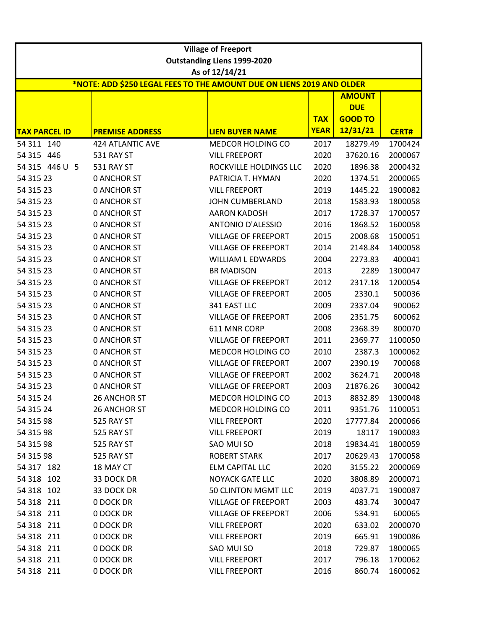|                      | <b>Village of Freeport</b>                                            |                                    |             |                             |              |  |  |
|----------------------|-----------------------------------------------------------------------|------------------------------------|-------------|-----------------------------|--------------|--|--|
|                      |                                                                       | <b>Outstanding Liens 1999-2020</b> |             |                             |              |  |  |
|                      |                                                                       | As of 12/14/21                     |             |                             |              |  |  |
|                      | *NOTE: ADD \$250 LEGAL FEES TO THE AMOUNT DUE ON LIENS 2019 AND OLDER |                                    |             |                             |              |  |  |
|                      |                                                                       |                                    |             | <b>AMOUNT</b><br><b>DUE</b> |              |  |  |
|                      |                                                                       |                                    | <b>TAX</b>  | <b>GOOD TO</b>              |              |  |  |
| <b>TAX PARCEL ID</b> | <b>PREMISE ADDRESS</b>                                                | <b>LIEN BUYER NAME</b>             | <b>YEAR</b> | 12/31/21                    | <b>CERT#</b> |  |  |
| 54 311 140           | <b>424 ATLANTIC AVE</b>                                               | MEDCOR HOLDING CO                  | 2017        | 18279.49                    | 1700424      |  |  |
| 54 315 446           | <b>531 RAY ST</b>                                                     | <b>VILL FREEPORT</b>               | 2020        | 37620.16                    | 2000067      |  |  |
| 54 315 446 U 5       | <b>531 RAY ST</b>                                                     | ROCKVILLE HOLDINGS LLC             | 2020        | 1896.38                     | 2000432      |  |  |
| 54 315 23            | <b>0 ANCHOR ST</b>                                                    | PATRICIA T. HYMAN                  | 2020        | 1374.51                     | 2000065      |  |  |
| 54 315 23            | <b>0 ANCHOR ST</b>                                                    | <b>VILL FREEPORT</b>               | 2019        | 1445.22                     | 1900082      |  |  |
| 54 315 23            | <b>0 ANCHOR ST</b>                                                    | <b>JOHN CUMBERLAND</b>             | 2018        | 1583.93                     | 1800058      |  |  |
| 54 315 23            | <b>0 ANCHOR ST</b>                                                    | <b>AARON KADOSH</b>                | 2017        | 1728.37                     | 1700057      |  |  |
| 54 315 23            | <b>0 ANCHOR ST</b>                                                    | <b>ANTONIO D'ALESSIO</b>           | 2016        | 1868.52                     | 1600058      |  |  |
| 54 315 23            | <b>0 ANCHOR ST</b>                                                    | <b>VILLAGE OF FREEPORT</b>         | 2015        | 2008.68                     | 1500051      |  |  |
| 54 315 23            | <b>0 ANCHOR ST</b>                                                    | <b>VILLAGE OF FREEPORT</b>         | 2014        | 2148.84                     | 1400058      |  |  |
| 54 315 23            | <b>0 ANCHOR ST</b>                                                    | <b>WILLIAM L EDWARDS</b>           | 2004        | 2273.83                     | 400041       |  |  |
| 54 315 23            | <b>0 ANCHOR ST</b>                                                    | <b>BR MADISON</b>                  | 2013        | 2289                        | 1300047      |  |  |
| 54 315 23            | <b>0 ANCHOR ST</b>                                                    | <b>VILLAGE OF FREEPORT</b>         | 2012        | 2317.18                     | 1200054      |  |  |
| 54 315 23            | <b>0 ANCHOR ST</b>                                                    | <b>VILLAGE OF FREEPORT</b>         | 2005        | 2330.1                      | 500036       |  |  |
| 54 315 23            | <b>0 ANCHOR ST</b>                                                    | 341 EAST LLC                       | 2009        | 2337.04                     | 900062       |  |  |
| 54 315 23            | <b>0 ANCHOR ST</b>                                                    | <b>VILLAGE OF FREEPORT</b>         | 2006        | 2351.75                     | 600062       |  |  |
| 54 315 23            | <b>0 ANCHOR ST</b>                                                    | 611 MNR CORP                       | 2008        | 2368.39                     | 800070       |  |  |
| 54 315 23            | <b>0 ANCHOR ST</b>                                                    | <b>VILLAGE OF FREEPORT</b>         | 2011        | 2369.77                     | 1100050      |  |  |
| 54 315 23            | <b>0 ANCHOR ST</b>                                                    | MEDCOR HOLDING CO                  | 2010        | 2387.3                      | 1000062      |  |  |
| 54 315 23            | <b>0 ANCHOR ST</b>                                                    | <b>VILLAGE OF FREEPORT</b>         | 2007        | 2390.19                     | 700068       |  |  |
| 54 315 23            | <b>0 ANCHOR ST</b>                                                    | <b>VILLAGE OF FREEPORT</b>         | 2002        | 3624.71                     | 200048       |  |  |
| 54 315 23            | <b>0 ANCHOR ST</b>                                                    | <b>VILLAGE OF FREEPORT</b>         | 2003        | 21876.26                    | 300042       |  |  |
| 54 315 24            | 26 ANCHOR ST                                                          | MEDCOR HOLDING CO                  | 2013        | 8832.89                     | 1300048      |  |  |
| 54 315 24            | <b>26 ANCHOR ST</b>                                                   | <b>MEDCOR HOLDING CO</b>           | 2011        | 9351.76                     | 1100051      |  |  |
| 54 315 98            | 525 RAY ST                                                            | <b>VILL FREEPORT</b>               | 2020        | 17777.84                    | 2000066      |  |  |
| 54 315 98            | 525 RAY ST                                                            | <b>VILL FREEPORT</b>               | 2019        | 18117                       | 1900083      |  |  |
| 54 315 98            | 525 RAY ST                                                            | SAO MUI SO                         | 2018        | 19834.41                    | 1800059      |  |  |
| 54 315 98            | 525 RAY ST                                                            | <b>ROBERT STARK</b>                | 2017        | 20629.43                    | 1700058      |  |  |
| 54 317 182           | 18 MAY CT                                                             | <b>ELM CAPITAL LLC</b>             | 2020        | 3155.22                     | 2000069      |  |  |
| 54 318 102           | 33 DOCK DR                                                            | <b>NOYACK GATE LLC</b>             | 2020        | 3808.89                     | 2000071      |  |  |
| 54 318 102           | 33 DOCK DR                                                            | 50 CLINTON MGMT LLC                | 2019        | 4037.71                     | 1900087      |  |  |
| 54 318 211           | 0 DOCK DR                                                             | <b>VILLAGE OF FREEPORT</b>         | 2003        | 483.74                      | 300047       |  |  |
| 54 318 211           | 0 DOCK DR                                                             | <b>VILLAGE OF FREEPORT</b>         | 2006        | 534.91                      | 600065       |  |  |
| 54 318 211           | 0 DOCK DR                                                             | <b>VILL FREEPORT</b>               | 2020        | 633.02                      | 2000070      |  |  |
| 54 318 211           | 0 DOCK DR                                                             | <b>VILL FREEPORT</b>               | 2019        | 665.91                      | 1900086      |  |  |
| 54 318 211           | 0 DOCK DR                                                             | SAO MUI SO                         | 2018        | 729.87                      | 1800065      |  |  |
| 54 318 211           | 0 DOCK DR                                                             | <b>VILL FREEPORT</b>               | 2017        | 796.18                      | 1700062      |  |  |
| 54 318 211           | 0 DOCK DR                                                             | <b>VILL FREEPORT</b>               | 2016        | 860.74                      | 1600062      |  |  |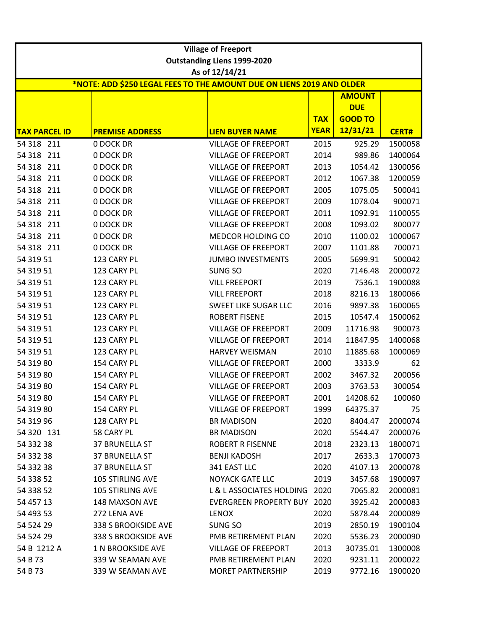|                      |                                                                       | <b>Village of Freeport</b>         |             |                |              |  |  |  |
|----------------------|-----------------------------------------------------------------------|------------------------------------|-------------|----------------|--------------|--|--|--|
|                      |                                                                       | <b>Outstanding Liens 1999-2020</b> |             |                |              |  |  |  |
|                      |                                                                       | As of 12/14/21                     |             |                |              |  |  |  |
|                      | *NOTE: ADD \$250 LEGAL FEES TO THE AMOUNT DUE ON LIENS 2019 AND OLDER |                                    |             |                |              |  |  |  |
|                      |                                                                       |                                    |             | <b>AMOUNT</b>  |              |  |  |  |
|                      |                                                                       |                                    |             | <b>DUE</b>     |              |  |  |  |
|                      |                                                                       |                                    | <b>TAX</b>  | <b>GOOD TO</b> |              |  |  |  |
| <b>TAX PARCEL ID</b> | <b>PREMISE ADDRESS</b>                                                | <b>LIEN BUYER NAME</b>             | <b>YEAR</b> | 12/31/21       | <b>CERT#</b> |  |  |  |
| 54 318 211           | 0 DOCK DR                                                             | <b>VILLAGE OF FREEPORT</b>         | 2015        | 925.29         | 1500058      |  |  |  |
| 54 318 211           | 0 DOCK DR                                                             | <b>VILLAGE OF FREEPORT</b>         | 2014        | 989.86         | 1400064      |  |  |  |
| 54 318 211           | 0 DOCK DR                                                             | <b>VILLAGE OF FREEPORT</b>         | 2013        | 1054.42        | 1300056      |  |  |  |
| 54 318 211           | 0 DOCK DR                                                             | <b>VILLAGE OF FREEPORT</b>         | 2012        | 1067.38        | 1200059      |  |  |  |
| 54 318 211           | 0 DOCK DR                                                             | <b>VILLAGE OF FREEPORT</b>         | 2005        | 1075.05        | 500041       |  |  |  |
| 54 318 211           | 0 DOCK DR                                                             | <b>VILLAGE OF FREEPORT</b>         | 2009        | 1078.04        | 900071       |  |  |  |
| 54 318 211           | 0 DOCK DR                                                             | <b>VILLAGE OF FREEPORT</b>         | 2011        | 1092.91        | 1100055      |  |  |  |
| 54 318 211           | 0 DOCK DR                                                             | <b>VILLAGE OF FREEPORT</b>         | 2008        | 1093.02        | 800077       |  |  |  |
| 54 318 211           | 0 DOCK DR                                                             | MEDCOR HOLDING CO                  | 2010        | 1100.02        | 1000067      |  |  |  |
| 54 318 211           | 0 DOCK DR                                                             | <b>VILLAGE OF FREEPORT</b>         | 2007        | 1101.88        | 700071       |  |  |  |
| 54 319 51            | 123 CARY PL                                                           | <b>JUMBO INVESTMENTS</b>           | 2005        | 5699.91        | 500042       |  |  |  |
| 54 319 51            | 123 CARY PL                                                           | SUNG SO                            | 2020        | 7146.48        | 2000072      |  |  |  |
| 54 319 51            | 123 CARY PL                                                           | <b>VILL FREEPORT</b>               | 2019        | 7536.1         | 1900088      |  |  |  |
| 54 319 51            | 123 CARY PL                                                           | <b>VILL FREEPORT</b>               | 2018        | 8216.13        | 1800066      |  |  |  |
| 54 319 51            | 123 CARY PL                                                           | <b>SWEET LIKE SUGAR LLC</b>        | 2016        | 9897.38        | 1600065      |  |  |  |
| 54 319 51            | 123 CARY PL                                                           | <b>ROBERT FISENE</b>               | 2015        | 10547.4        | 1500062      |  |  |  |
| 54 319 51            | 123 CARY PL                                                           | <b>VILLAGE OF FREEPORT</b>         | 2009        | 11716.98       | 900073       |  |  |  |
| 54 319 51            | 123 CARY PL                                                           | <b>VILLAGE OF FREEPORT</b>         | 2014        | 11847.95       | 1400068      |  |  |  |
| 54 319 51            | 123 CARY PL                                                           | <b>HARVEY WEISMAN</b>              | 2010        | 11885.68       | 1000069      |  |  |  |
| 54 319 80            | 154 CARY PL                                                           | <b>VILLAGE OF FREEPORT</b>         | 2000        | 3333.9         | 62           |  |  |  |
| 54 319 80            | 154 CARY PL                                                           | <b>VILLAGE OF FREEPORT</b>         | 2002        | 3467.32        | 200056       |  |  |  |
| 54 319 80            | 154 CARY PL                                                           | <b>VILLAGE OF FREEPORT</b>         | 2003        | 3763.53        | 300054       |  |  |  |
| 54 319 80            | 154 CARY PL                                                           | VILLAGE OF FREEPORT                | 2001        | 14208.62       | 100060       |  |  |  |
| 54 319 80            | 154 CARY PL                                                           | <b>VILLAGE OF FREEPORT</b>         | 1999        | 64375.37       | 75           |  |  |  |
| 54 319 96            | 128 CARY PL                                                           | <b>BR MADISON</b>                  | 2020        | 8404.47        | 2000074      |  |  |  |
| 54 320 131           | 58 CARY PL                                                            | <b>BR MADISON</b>                  | 2020        | 5544.47        | 2000076      |  |  |  |
| 54 332 38            | 37 BRUNELLA ST                                                        | <b>ROBERT R FISENNE</b>            | 2018        | 2323.13        | 1800071      |  |  |  |
| 54 332 38            | 37 BRUNELLA ST                                                        | <b>BENJI KADOSH</b>                | 2017        | 2633.3         | 1700073      |  |  |  |
| 54 332 38            | <b>37 BRUNELLA ST</b>                                                 | 341 EAST LLC                       | 2020        | 4107.13        | 2000078      |  |  |  |
| 54 338 52            | <b>105 STIRLING AVE</b>                                               | <b>NOYACK GATE LLC</b>             | 2019        | 3457.68        | 1900097      |  |  |  |
| 54 338 52            | <b>105 STIRLING AVE</b>                                               | L & L ASSOCIATES HOLDING 2020      |             | 7065.82        | 2000081      |  |  |  |
| 54 457 13            | 148 MAXSON AVE                                                        | <b>EVERGREEN PROPERTY BUY</b>      | 2020        | 3925.42        | 2000083      |  |  |  |
| 54 493 53            | 272 LENA AVE                                                          | <b>LENOX</b>                       | 2020        | 5878.44        | 2000089      |  |  |  |
| 54 524 29            | 338 S BROOKSIDE AVE                                                   | SUNG SO                            | 2019        | 2850.19        | 1900104      |  |  |  |
| 54 524 29            | 338 S BROOKSIDE AVE                                                   | PMB RETIREMENT PLAN                | 2020        | 5536.23        | 2000090      |  |  |  |
| 54 B 1212 A          | 1 N BROOKSIDE AVE                                                     | <b>VILLAGE OF FREEPORT</b>         | 2013        | 30735.01       | 1300008      |  |  |  |
| 54 B 73              | 339 W SEAMAN AVE                                                      | PMB RETIREMENT PLAN                | 2020        | 9231.11        | 2000022      |  |  |  |
| 54 B 73              | 339 W SEAMAN AVE                                                      | <b>MORET PARTNERSHIP</b>           | 2019        | 9772.16        | 1900020      |  |  |  |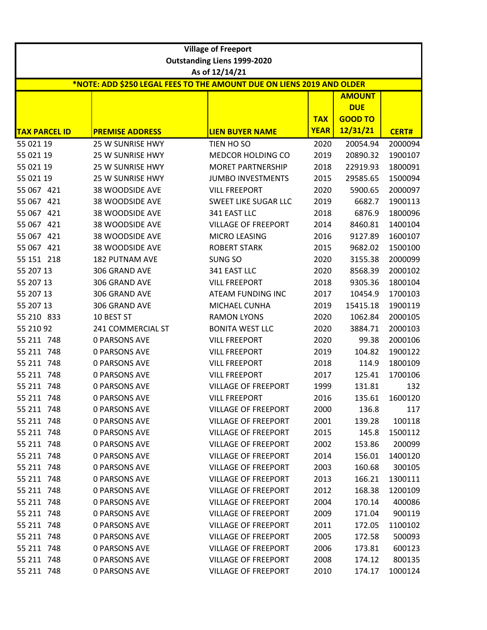|                                                                       |                        | <b>Village of Freeport</b>                           |             |                |              |  |  |  |
|-----------------------------------------------------------------------|------------------------|------------------------------------------------------|-------------|----------------|--------------|--|--|--|
|                                                                       |                        | <b>Outstanding Liens 1999-2020</b><br>As of 12/14/21 |             |                |              |  |  |  |
| *NOTE: ADD \$250 LEGAL FEES TO THE AMOUNT DUE ON LIENS 2019 AND OLDER |                        |                                                      |             |                |              |  |  |  |
| <b>AMOUNT</b>                                                         |                        |                                                      |             |                |              |  |  |  |
|                                                                       |                        |                                                      |             | <b>DUE</b>     |              |  |  |  |
|                                                                       |                        |                                                      | <b>TAX</b>  | <b>GOOD TO</b> |              |  |  |  |
| <b>TAX PARCEL ID</b>                                                  | <b>PREMISE ADDRESS</b> | <b>LIEN BUYER NAME</b>                               | <b>YEAR</b> | 12/31/21       | <b>CERT#</b> |  |  |  |
| 55 021 19                                                             | 25 W SUNRISE HWY       | TIEN HO SO                                           | 2020        | 20054.94       | 2000094      |  |  |  |
| 55 021 19                                                             | 25 W SUNRISE HWY       | MEDCOR HOLDING CO                                    | 2019        | 20890.32       | 1900107      |  |  |  |
| 55 021 19                                                             | 25 W SUNRISE HWY       | <b>MORET PARTNERSHIP</b>                             | 2018        | 22919.93       | 1800091      |  |  |  |
| 55 021 19                                                             | 25 W SUNRISE HWY       | <b>JUMBO INVESTMENTS</b>                             | 2015        | 29585.65       | 1500094      |  |  |  |
| 55 067 421                                                            | 38 WOODSIDE AVE        | <b>VILL FREEPORT</b>                                 | 2020        | 5900.65        | 2000097      |  |  |  |
| 55 067 421                                                            | 38 WOODSIDE AVE        | <b>SWEET LIKE SUGAR LLC</b>                          | 2019        | 6682.7         | 1900113      |  |  |  |
| 55 067 421                                                            | 38 WOODSIDE AVE        | 341 EAST LLC                                         | 2018        | 6876.9         | 1800096      |  |  |  |
| 55 067 421                                                            | 38 WOODSIDE AVE        | <b>VILLAGE OF FREEPORT</b>                           | 2014        | 8460.81        | 1400104      |  |  |  |
| 55 067 421                                                            | 38 WOODSIDE AVE        | MICRO LEASING                                        | 2016        | 9127.89        | 1600107      |  |  |  |
| 55 067 421                                                            | 38 WOODSIDE AVE        | <b>ROBERT STARK</b>                                  | 2015        | 9682.02        | 1500100      |  |  |  |
| 55 151 218                                                            | <b>182 PUTNAM AVE</b>  | SUNG SO                                              | 2020        | 3155.38        | 2000099      |  |  |  |
| 55 207 13                                                             | 306 GRAND AVE          | 341 EAST LLC                                         | 2020        | 8568.39        | 2000102      |  |  |  |
| 55 207 13                                                             | 306 GRAND AVE          | <b>VILL FREEPORT</b>                                 | 2018        | 9305.36        | 1800104      |  |  |  |
| 55 207 13                                                             | 306 GRAND AVE          | ATEAM FUNDING INC                                    | 2017        | 10454.9        | 1700103      |  |  |  |
| 55 207 13                                                             | 306 GRAND AVE          | MICHAEL CUNHA                                        | 2019        | 15415.18       | 1900119      |  |  |  |
| 55 210 833                                                            | 10 BEST ST             | <b>RAMON LYONS</b>                                   | 2020        | 1062.84        | 2000105      |  |  |  |
| 55 210 92                                                             | 241 COMMERCIAL ST      | <b>BONITA WEST LLC</b>                               | 2020        | 3884.71        | 2000103      |  |  |  |
| 55 211 748                                                            | <b>0 PARSONS AVE</b>   | <b>VILL FREEPORT</b>                                 | 2020        | 99.38          | 2000106      |  |  |  |
| 55 211 748                                                            | <b>0 PARSONS AVE</b>   | <b>VILL FREEPORT</b>                                 | 2019        | 104.82         | 1900122      |  |  |  |
| 55 211 748                                                            | <b>0 PARSONS AVE</b>   | <b>VILL FREEPORT</b>                                 | 2018        | 114.9          | 1800109      |  |  |  |
| 55 211 748                                                            | <b>0 PARSONS AVE</b>   | <b>VILL FREEPORT</b>                                 | 2017        | 125.41         | 1700106      |  |  |  |
| 55 211 748                                                            | <b>0 PARSONS AVE</b>   | <b>VILLAGE OF FREEPORT</b>                           | 1999        | 131.81         | 132          |  |  |  |
| 55 211 748                                                            | <b>0 PARSONS AVE</b>   | <b>VILL FREEPORT</b>                                 | 2016        | 135.61         | 1600120      |  |  |  |
| 55 211 748                                                            | <b>0 PARSONS AVE</b>   | <b>VILLAGE OF FREEPORT</b>                           | 2000        | 136.8          | 117          |  |  |  |
| 55 211 748                                                            | <b>0 PARSONS AVE</b>   | <b>VILLAGE OF FREEPORT</b>                           | 2001        | 139.28         | 100118       |  |  |  |
| 55 211 748                                                            | <b>0 PARSONS AVE</b>   | <b>VILLAGE OF FREEPORT</b>                           | 2015        | 145.8          | 1500112      |  |  |  |
| 55 211 748                                                            | <b>0 PARSONS AVE</b>   | <b>VILLAGE OF FREEPORT</b>                           | 2002        | 153.86         | 200099       |  |  |  |
| 55 211 748                                                            | <b>0 PARSONS AVE</b>   | <b>VILLAGE OF FREEPORT</b>                           | 2014        | 156.01         | 1400120      |  |  |  |
| 55 211 748                                                            | <b>0 PARSONS AVE</b>   | <b>VILLAGE OF FREEPORT</b>                           | 2003        | 160.68         | 300105       |  |  |  |
| 55 211 748                                                            | <b>0 PARSONS AVE</b>   | <b>VILLAGE OF FREEPORT</b>                           | 2013        | 166.21         | 1300111      |  |  |  |
| 55 211 748                                                            | <b>0 PARSONS AVE</b>   | <b>VILLAGE OF FREEPORT</b>                           | 2012        | 168.38         | 1200109      |  |  |  |
| 55 211 748                                                            | <b>0 PARSONS AVE</b>   | <b>VILLAGE OF FREEPORT</b>                           | 2004        | 170.14         | 400086       |  |  |  |
| 55 211 748                                                            | <b>0 PARSONS AVE</b>   | <b>VILLAGE OF FREEPORT</b>                           | 2009        | 171.04         | 900119       |  |  |  |
| 55 211 748                                                            | <b>0 PARSONS AVE</b>   | <b>VILLAGE OF FREEPORT</b>                           | 2011        | 172.05         | 1100102      |  |  |  |
| 55 211 748                                                            | <b>0 PARSONS AVE</b>   | <b>VILLAGE OF FREEPORT</b>                           | 2005        | 172.58         | 500093       |  |  |  |
| 55 211 748                                                            | <b>0 PARSONS AVE</b>   | <b>VILLAGE OF FREEPORT</b>                           | 2006        | 173.81         | 600123       |  |  |  |
| 55 211 748                                                            | <b>0 PARSONS AVE</b>   | <b>VILLAGE OF FREEPORT</b>                           | 2008        | 174.12         | 800135       |  |  |  |
| 55 211 748                                                            | <b>0 PARSONS AVE</b>   | <b>VILLAGE OF FREEPORT</b>                           | 2010        | 174.17         | 1000124      |  |  |  |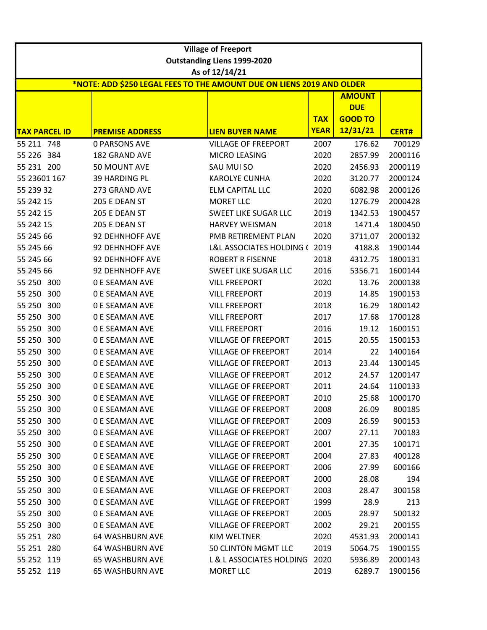|                      |                                                                       | <b>Village of Freeport</b>         |             |                |              |
|----------------------|-----------------------------------------------------------------------|------------------------------------|-------------|----------------|--------------|
|                      |                                                                       | <b>Outstanding Liens 1999-2020</b> |             |                |              |
|                      |                                                                       | As of 12/14/21                     |             |                |              |
|                      | *NOTE: ADD \$250 LEGAL FEES TO THE AMOUNT DUE ON LIENS 2019 AND OLDER |                                    |             | <b>AMOUNT</b>  |              |
|                      |                                                                       |                                    |             | <b>DUE</b>     |              |
|                      |                                                                       |                                    | <b>TAX</b>  | <b>GOOD TO</b> |              |
| <b>TAX PARCEL ID</b> | <b>PREMISE ADDRESS</b>                                                | <b>LIEN BUYER NAME</b>             | <b>YEAR</b> | 12/31/21       | <b>CERT#</b> |
| 55 211 748           | <b>0 PARSONS AVE</b>                                                  | <b>VILLAGE OF FREEPORT</b>         | 2007        | 176.62         | 700129       |
| 55 226 384           | <b>182 GRAND AVE</b>                                                  | MICRO LEASING                      | 2020        | 2857.99        | 2000116      |
| 55 231 200           | 50 MOUNT AVE                                                          | SAU MUI SO                         | 2020        | 2456.93        | 2000119      |
| 55 23601 167         | 39 HARDING PL                                                         | <b>KAROLYE CUNHA</b>               | 2020        | 3120.77        | 2000124      |
| 55 239 32            | 273 GRAND AVE                                                         | <b>ELM CAPITAL LLC</b>             | 2020        | 6082.98        | 2000126      |
| 55 242 15            | 205 E DEAN ST                                                         | <b>MORET LLC</b>                   | 2020        | 1276.79        | 2000428      |
| 55 242 15            | 205 E DEAN ST                                                         | <b>SWEET LIKE SUGAR LLC</b>        | 2019        | 1342.53        | 1900457      |
| 55 242 15            | 205 E DEAN ST                                                         | <b>HARVEY WEISMAN</b>              | 2018        | 1471.4         | 1800450      |
| 55 245 66            | 92 DEHNHOFF AVE                                                       | PMB RETIREMENT PLAN                | 2020        | 3711.07        | 2000132      |
| 55 245 66            | 92 DEHNHOFF AVE                                                       | L&L ASSOCIATES HOLDING (           | 2019        | 4188.8         | 1900144      |
| 55 245 66            | 92 DEHNHOFF AVE                                                       | <b>ROBERT R FISENNE</b>            | 2018        | 4312.75        | 1800131      |
| 55 245 66            | 92 DEHNHOFF AVE                                                       | <b>SWEET LIKE SUGAR LLC</b>        | 2016        | 5356.71        | 1600144      |
| 55 250 300           | <b>0 E SEAMAN AVE</b>                                                 | <b>VILL FREEPORT</b>               | 2020        | 13.76          | 2000138      |
| 55 250 300           | <b>0 E SEAMAN AVE</b>                                                 | <b>VILL FREEPORT</b>               | 2019        | 14.85          | 1900153      |
| 55 250 300           | <b>0 E SEAMAN AVE</b>                                                 | <b>VILL FREEPORT</b>               | 2018        | 16.29          | 1800142      |
| 55 250<br>300        | <b>0 E SEAMAN AVE</b>                                                 | <b>VILL FREEPORT</b>               | 2017        | 17.68          | 1700128      |
| 55 250 300           | <b>0 E SEAMAN AVE</b>                                                 | <b>VILL FREEPORT</b>               | 2016        | 19.12          | 1600151      |
| 55 250<br>300        | <b>0 E SEAMAN AVE</b>                                                 | <b>VILLAGE OF FREEPORT</b>         | 2015        | 20.55          | 1500153      |
| 55 250 300           | <b>0 E SEAMAN AVE</b>                                                 | <b>VILLAGE OF FREEPORT</b>         | 2014        | 22             | 1400164      |
| 55 250<br>300        | <b>0 E SEAMAN AVE</b>                                                 | <b>VILLAGE OF FREEPORT</b>         | 2013        | 23.44          | 1300145      |
| 55 250<br>300        | <b>0 E SEAMAN AVE</b>                                                 | <b>VILLAGE OF FREEPORT</b>         | 2012        | 24.57          | 1200147      |
| 55 250 300           | <b>0 E SEAMAN AVE</b>                                                 | <b>VILLAGE OF FREEPORT</b>         | 2011        | 24.64          | 1100133      |
| 55 250 300           | <b>0 E SEAMAN AVE</b>                                                 | <b>VILLAGE OF FREEPORT</b>         | 2010        | 25.68          | 1000170      |
| 55 250 300           | 0 E SEAMAN AVE                                                        | <b>VILLAGE OF FREEPORT</b>         | 2008        | 26.09          | 800185       |
| 55 250 300           | 0 E SEAMAN AVE                                                        | <b>VILLAGE OF FREEPORT</b>         | 2009        | 26.59          | 900153       |
| 55 250 300           | 0 E SEAMAN AVE                                                        | <b>VILLAGE OF FREEPORT</b>         | 2007        | 27.11          | 700183       |
| 55 250 300           | <b>0 E SEAMAN AVE</b>                                                 | <b>VILLAGE OF FREEPORT</b>         | 2001        | 27.35          | 100171       |
| 55 250 300           | <b>0 E SEAMAN AVE</b>                                                 | <b>VILLAGE OF FREEPORT</b>         | 2004        | 27.83          | 400128       |
| 55 250 300           | <b>0 E SEAMAN AVE</b>                                                 | <b>VILLAGE OF FREEPORT</b>         | 2006        | 27.99          | 600166       |
| 55 250 300           | <b>0 E SEAMAN AVE</b>                                                 | <b>VILLAGE OF FREEPORT</b>         | 2000        | 28.08          | 194          |
| 55 250 300           | <b>0 E SEAMAN AVE</b>                                                 | <b>VILLAGE OF FREEPORT</b>         | 2003        | 28.47          | 300158       |
| 55 250 300           | <b>0 E SEAMAN AVE</b>                                                 | <b>VILLAGE OF FREEPORT</b>         | 1999        | 28.9           | 213          |
| 55 250 300           | 0 E SEAMAN AVE                                                        | <b>VILLAGE OF FREEPORT</b>         | 2005        | 28.97          | 500132       |
| 55 250 300           | <b>0 E SEAMAN AVE</b>                                                 | <b>VILLAGE OF FREEPORT</b>         | 2002        | 29.21          | 200155       |
| 55 251 280           | <b>64 WASHBURN AVE</b>                                                | KIM WELTNER                        | 2020        | 4531.93        | 2000141      |
| 55 251 280           | <b>64 WASHBURN AVE</b>                                                | 50 CLINTON MGMT LLC                | 2019        | 5064.75        | 1900155      |
| 55 252 119           | <b>65 WASHBURN AVE</b>                                                | L & L ASSOCIATES HOLDING           | 2020        | 5936.89        | 2000143      |
| 55 252 119           | <b>65 WASHBURN AVE</b>                                                | <b>MORET LLC</b>                   | 2019        | 6289.7         | 1900156      |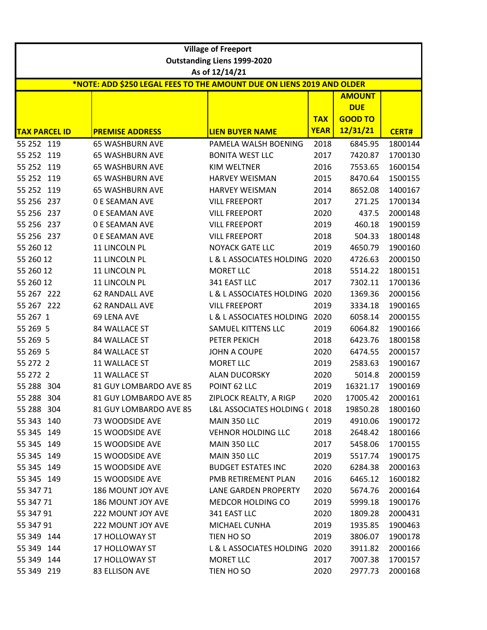| <b>Village of Freeport</b> |                                                                       |                                                |                           |                              |                    |  |  |  |  |
|----------------------------|-----------------------------------------------------------------------|------------------------------------------------|---------------------------|------------------------------|--------------------|--|--|--|--|
|                            |                                                                       | <b>Outstanding Liens 1999-2020</b>             |                           |                              |                    |  |  |  |  |
|                            |                                                                       | As of 12/14/21                                 |                           |                              |                    |  |  |  |  |
|                            | *NOTE: ADD \$250 LEGAL FEES TO THE AMOUNT DUE ON LIENS 2019 AND OLDER |                                                |                           |                              |                    |  |  |  |  |
|                            |                                                                       |                                                |                           | <b>AMOUNT</b>                |                    |  |  |  |  |
|                            |                                                                       |                                                |                           | <b>DUE</b><br><b>GOOD TO</b> |                    |  |  |  |  |
| <b>TAX PARCEL ID</b>       |                                                                       |                                                | <b>TAX</b><br><b>YEAR</b> | 12/31/21                     |                    |  |  |  |  |
| 55 252 119                 | <b>PREMISE ADDRESS</b>                                                | <b>LIEN BUYER NAME</b>                         |                           |                              | <b>CERT#</b>       |  |  |  |  |
| 55 252 119                 | <b>65 WASHBURN AVE</b><br><b>65 WASHBURN AVE</b>                      | PAMELA WALSH BOENING<br><b>BONITA WEST LLC</b> | 2018<br>2017              | 6845.95<br>7420.87           | 1800144<br>1700130 |  |  |  |  |
| 55 252 119                 | <b>65 WASHBURN AVE</b>                                                | KIM WELTNER                                    | 2016                      | 7553.65                      | 1600154            |  |  |  |  |
| 55 252 119                 |                                                                       | <b>HARVEY WEISMAN</b>                          | 2015                      | 8470.64                      | 1500155            |  |  |  |  |
| 55 252 119                 | <b>65 WASHBURN AVE</b><br><b>65 WASHBURN AVE</b>                      | <b>HARVEY WEISMAN</b>                          | 2014                      | 8652.08                      | 1400167            |  |  |  |  |
| 55 256 237                 | <b>0 E SEAMAN AVE</b>                                                 | <b>VILL FREEPORT</b>                           | 2017                      | 271.25                       | 1700134            |  |  |  |  |
| 55 256 237                 | <b>0 E SEAMAN AVE</b>                                                 | <b>VILL FREEPORT</b>                           | 2020                      | 437.5                        | 2000148            |  |  |  |  |
| 55 256 237                 | <b>0 E SEAMAN AVE</b>                                                 | <b>VILL FREEPORT</b>                           | 2019                      | 460.18                       | 1900159            |  |  |  |  |
| 55 256 237                 | <b>0 E SEAMAN AVE</b>                                                 | <b>VILL FREEPORT</b>                           | 2018                      | 504.33                       | 1800148            |  |  |  |  |
| 55 260 12                  | 11 LINCOLN PL                                                         | <b>NOYACK GATE LLC</b>                         | 2019                      | 4650.79                      | 1900160            |  |  |  |  |
| 55 260 12                  | 11 LINCOLN PL                                                         | L & L ASSOCIATES HOLDING                       | 2020                      | 4726.63                      | 2000150            |  |  |  |  |
| 55 260 12                  | 11 LINCOLN PL                                                         | <b>MORET LLC</b>                               | 2018                      | 5514.22                      | 1800151            |  |  |  |  |
| 55 260 12                  | 11 LINCOLN PL                                                         | 341 EAST LLC                                   | 2017                      | 7302.11                      | 1700136            |  |  |  |  |
| 55 267 222                 | 62 RANDALL AVE                                                        | L & L ASSOCIATES HOLDING                       | 2020                      | 1369.36                      | 2000156            |  |  |  |  |
| 55 267 222                 | 62 RANDALL AVE                                                        | <b>VILL FREEPORT</b>                           | 2019                      | 3334.18                      | 1900165            |  |  |  |  |
| 55 267 1                   | 69 LENA AVE                                                           | L & L ASSOCIATES HOLDING                       | 2020                      | 6058.14                      | 2000155            |  |  |  |  |
| 55 269 5                   | 84 WALLACE ST                                                         | SAMUEL KITTENS LLC                             | 2019                      | 6064.82                      | 1900166            |  |  |  |  |
| 55 269 5                   | 84 WALLACE ST                                                         | PETER PEKICH                                   | 2018                      | 6423.76                      | 1800158            |  |  |  |  |
| 55 269 5                   | 84 WALLACE ST                                                         | <b>JOHN A COUPE</b>                            | 2020                      | 6474.55                      | 2000157            |  |  |  |  |
| 55 272 2                   | 11 WALLACE ST                                                         | <b>MORET LLC</b>                               | 2019                      | 2583.63                      | 1900167            |  |  |  |  |
| 55 272 2                   | 11 WALLACE ST                                                         | <b>ALAN DUCORSKY</b>                           | 2020                      | 5014.8                       | 2000159            |  |  |  |  |
| 55 288 304                 | 81 GUY LOMBARDO AVE 85                                                | POINT 62 LLC                                   | 2019                      | 16321.17                     | 1900169            |  |  |  |  |
| 55 288 304                 | 81 GUY LOMBARDO AVE 85                                                | ZIPLOCK REALTY, A RIGP                         | 2020                      | 17005.42                     | 2000161            |  |  |  |  |
| 55 288 304                 | 81 GUY LOMBARDO AVE 85                                                | L&L ASSOCIATES HOLDING (2018)                  |                           | 19850.28                     | 1800160            |  |  |  |  |
| 55 343 140                 | 73 WOODSIDE AVE                                                       | MAIN 350 LLC                                   | 2019                      | 4910.06                      | 1900172            |  |  |  |  |
| 55 345 149                 | <b>15 WOODSIDE AVE</b>                                                | <b>VEHNOR HOLDING LLC</b>                      | 2018                      | 2648.42                      | 1800166            |  |  |  |  |
| 55 345 149                 | <b>15 WOODSIDE AVE</b>                                                | MAIN 350 LLC                                   | 2017                      | 5458.06                      | 1700155            |  |  |  |  |
| 55 345 149                 | <b>15 WOODSIDE AVE</b>                                                | MAIN 350 LLC                                   | 2019                      | 5517.74                      | 1900175            |  |  |  |  |
| 55 345 149                 | 15 WOODSIDE AVE                                                       | <b>BUDGET ESTATES INC</b>                      | 2020                      | 6284.38                      | 2000163            |  |  |  |  |
| 55 345 149                 | <b>15 WOODSIDE AVE</b>                                                | PMB RETIREMENT PLAN                            | 2016                      | 6465.12                      | 1600182            |  |  |  |  |
| 55 347 71                  | 186 MOUNT JOY AVE                                                     | LANE GARDEN PROPERTY                           | 2020                      | 5674.76                      | 2000164            |  |  |  |  |
| 55 347 71                  | 186 MOUNT JOY AVE                                                     | MEDCOR HOLDING CO                              | 2019                      | 5999.18                      | 1900176            |  |  |  |  |
| 55 347 91                  | 222 MOUNT JOY AVE                                                     | 341 EAST LLC                                   | 2020                      | 1809.28                      | 2000431            |  |  |  |  |
| 55 347 91                  | 222 MOUNT JOY AVE                                                     | MICHAEL CUNHA                                  | 2019                      | 1935.85                      | 1900463            |  |  |  |  |
| 55 349 144                 | 17 HOLLOWAY ST                                                        | TIEN HO SO                                     | 2019                      | 3806.07                      | 1900178            |  |  |  |  |
| 55 349 144                 | 17 HOLLOWAY ST                                                        | L & L ASSOCIATES HOLDING 2020                  |                           | 3911.82                      | 2000166            |  |  |  |  |
| 55 349 144                 | 17 HOLLOWAY ST                                                        | <b>MORET LLC</b>                               | 2017                      | 7007.38                      | 1700157            |  |  |  |  |
| 55 349 219                 | 83 ELLISON AVE                                                        | TIEN HO SO                                     | 2020                      | 2977.73                      | 2000168            |  |  |  |  |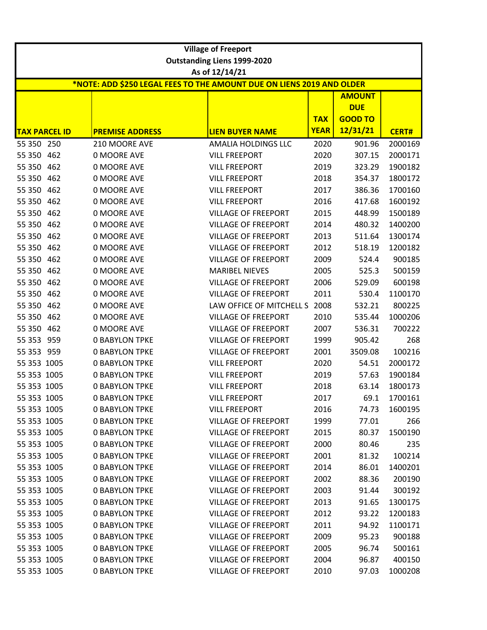|                      | <b>Village of Freeport</b> |                                                                       |                                                      |             |                |              |
|----------------------|----------------------------|-----------------------------------------------------------------------|------------------------------------------------------|-------------|----------------|--------------|
|                      |                            |                                                                       | <b>Outstanding Liens 1999-2020</b><br>As of 12/14/21 |             |                |              |
|                      |                            | *NOTE: ADD \$250 LEGAL FEES TO THE AMOUNT DUE ON LIENS 2019 AND OLDER |                                                      |             |                |              |
|                      | <b>AMOUNT</b>              |                                                                       |                                                      |             |                |              |
|                      |                            |                                                                       |                                                      |             | <b>DUE</b>     |              |
|                      |                            |                                                                       |                                                      | <b>TAX</b>  | <b>GOOD TO</b> |              |
| <b>TAX PARCEL ID</b> |                            | <b>PREMISE ADDRESS</b>                                                | <b>LIEN BUYER NAME</b>                               | <b>YEAR</b> | 12/31/21       | <b>CERT#</b> |
| 55 350 250           |                            | 210 MOORE AVE                                                         | AMALIA HOLDINGS LLC                                  | 2020        | 901.96         | 2000169      |
| 55 350 462           |                            | 0 MOORE AVE                                                           | <b>VILL FREEPORT</b>                                 | 2020        | 307.15         | 2000171      |
| 55 350 462           |                            | 0 MOORE AVE                                                           | <b>VILL FREEPORT</b>                                 | 2019        | 323.29         | 1900182      |
| 55 350 462           |                            | 0 MOORE AVE                                                           | <b>VILL FREEPORT</b>                                 | 2018        | 354.37         | 1800172      |
| 55 350 462           |                            | 0 MOORE AVE                                                           | <b>VILL FREEPORT</b>                                 | 2017        | 386.36         | 1700160      |
| 55 350 462           |                            | 0 MOORE AVE                                                           | <b>VILL FREEPORT</b>                                 | 2016        | 417.68         | 1600192      |
| 55 350 462           |                            | <b>0 MOORE AVE</b>                                                    | <b>VILLAGE OF FREEPORT</b>                           | 2015        | 448.99         | 1500189      |
| 55 350 462           |                            | 0 MOORE AVE                                                           | <b>VILLAGE OF FREEPORT</b>                           | 2014        | 480.32         | 1400200      |
| 55 350 462           |                            | 0 MOORE AVE                                                           | <b>VILLAGE OF FREEPORT</b>                           | 2013        | 511.64         | 1300174      |
| 55 350 462           |                            | 0 MOORE AVE                                                           | <b>VILLAGE OF FREEPORT</b>                           | 2012        | 518.19         | 1200182      |
| 55 350 462           |                            | 0 MOORE AVE                                                           | <b>VILLAGE OF FREEPORT</b>                           | 2009        | 524.4          | 900185       |
| 55 350               | 462                        | 0 MOORE AVE                                                           | <b>MARIBEL NIEVES</b>                                | 2005        | 525.3          | 500159       |
| 55 350 462           |                            | 0 MOORE AVE                                                           | <b>VILLAGE OF FREEPORT</b>                           | 2006        | 529.09         | 600198       |
| 55 350 462           |                            | <b>0 MOORE AVE</b>                                                    | <b>VILLAGE OF FREEPORT</b>                           | 2011        | 530.4          | 1100170      |
| 55 350 462           |                            | 0 MOORE AVE                                                           | LAW OFFICE OF MITCHELL S                             | 2008        | 532.21         | 800225       |
| 55 350 462           |                            | 0 MOORE AVE                                                           | <b>VILLAGE OF FREEPORT</b>                           | 2010        | 535.44         | 1000206      |
| 55 350 462           |                            | 0 MOORE AVE                                                           | <b>VILLAGE OF FREEPORT</b>                           | 2007        | 536.31         | 700222       |
| 55 353 959           |                            | <b>0 BABYLON TPKE</b>                                                 | <b>VILLAGE OF FREEPORT</b>                           | 1999        | 905.42         | 268          |
| 55 353 959           |                            | <b>0 BABYLON TPKE</b>                                                 | <b>VILLAGE OF FREEPORT</b>                           | 2001        | 3509.08        | 100216       |
| 55 353 1005          |                            | <b>0 BABYLON TPKE</b>                                                 | <b>VILL FREEPORT</b>                                 | 2020        | 54.51          | 2000172      |
| 55 353 1005          |                            | <b>0 BABYLON TPKE</b>                                                 | <b>VILL FREEPORT</b>                                 | 2019        | 57.63          | 1900184      |
| 55 353 1005          |                            | <b>0 BABYLON TPKE</b>                                                 | <b>VILL FREEPORT</b>                                 | 2018        | 63.14          | 1800173      |
| 55 353 1005          |                            | <b>0 BABYLON TPKE</b>                                                 | <b>VILL FREEPORT</b>                                 | 2017        | 69.1           | 1700161      |
| 55 353 1005          |                            | <b>0 BABYLON TPKE</b>                                                 | <b>VILL FREEPORT</b>                                 | 2016        | 74.73          | 1600195      |
| 55 353 1005          |                            | <b>0 BABYLON TPKE</b>                                                 | <b>VILLAGE OF FREEPORT</b>                           | 1999        | 77.01          | 266          |
| 55 353 1005          |                            | <b>0 BABYLON TPKE</b>                                                 | <b>VILLAGE OF FREEPORT</b>                           | 2015        | 80.37          | 1500190      |
| 55 353 1005          |                            | <b>0 BABYLON TPKE</b>                                                 | <b>VILLAGE OF FREEPORT</b>                           | 2000        | 80.46          | 235          |
| 55 353 1005          |                            | <b>0 BABYLON TPKE</b>                                                 | <b>VILLAGE OF FREEPORT</b>                           | 2001        | 81.32          | 100214       |
| 55 353 1005          |                            | <b>0 BABYLON TPKE</b>                                                 | <b>VILLAGE OF FREEPORT</b>                           | 2014        | 86.01          | 1400201      |
| 55 353 1005          |                            | <b>0 BABYLON TPKE</b>                                                 | <b>VILLAGE OF FREEPORT</b>                           | 2002        | 88.36          | 200190       |
| 55 353 1005          |                            | <b>0 BABYLON TPKE</b>                                                 | <b>VILLAGE OF FREEPORT</b>                           | 2003        | 91.44          | 300192       |
| 55 353 1005          |                            | <b>0 BABYLON TPKE</b>                                                 | <b>VILLAGE OF FREEPORT</b>                           | 2013        | 91.65          | 1300175      |
| 55 353 1005          |                            | <b>0 BABYLON TPKE</b>                                                 | <b>VILLAGE OF FREEPORT</b>                           | 2012        | 93.22          | 1200183      |
| 55 353 1005          |                            | <b>0 BABYLON TPKE</b>                                                 | <b>VILLAGE OF FREEPORT</b>                           | 2011        | 94.92          | 1100171      |
| 55 353 1005          |                            | <b>0 BABYLON TPKE</b>                                                 | <b>VILLAGE OF FREEPORT</b>                           | 2009        | 95.23          | 900188       |
| 55 353 1005          |                            | <b>0 BABYLON TPKE</b>                                                 | <b>VILLAGE OF FREEPORT</b>                           | 2005        | 96.74          | 500161       |
| 55 353 1005          |                            | <b>0 BABYLON TPKE</b>                                                 | <b>VILLAGE OF FREEPORT</b>                           | 2004        | 96.87          | 400150       |
| 55 353 1005          |                            | <b>0 BABYLON TPKE</b>                                                 | <b>VILLAGE OF FREEPORT</b>                           | 2010        | 97.03          | 1000208      |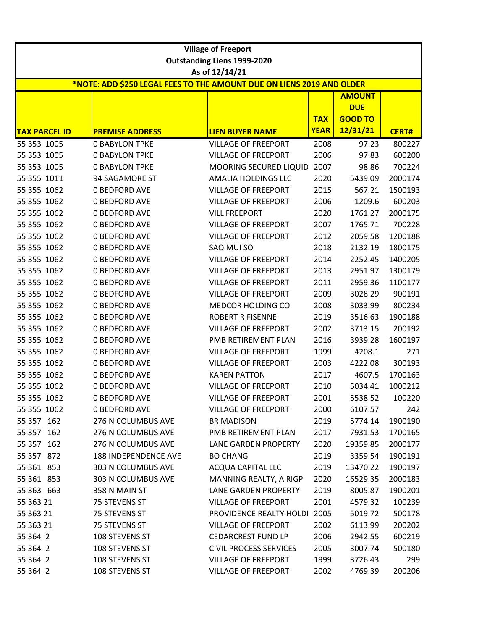| <b>Outstanding Liens 1999-2020</b><br>As of 12/14/21<br>*NOTE: ADD \$250 LEGAL FEES TO THE AMOUNT DUE ON LIENS 2019 AND OLDER<br><b>AMOUNT</b><br><b>DUE</b><br><b>GOOD TO</b><br><b>TAX</b><br>12/31/21<br><b>YEAR</b><br><b>TAX PARCEL ID</b><br><b>PREMISE ADDRESS</b><br><b>LIEN BUYER NAME</b><br><b>CERT#</b><br>2008<br>800227<br>55 353 1005<br><b>0 BABYLON TPKE</b><br><b>VILLAGE OF FREEPORT</b><br>97.23<br>55 353 1005<br><b>0 BABYLON TPKE</b><br><b>VILLAGE OF FREEPORT</b><br>2006<br>97.83<br>600200<br>55 353 1005<br>700224<br><b>0 BABYLON TPKE</b><br>MOORING SECURED LIQUID<br>2007<br>98.86<br>55 355 1011<br>94 SAGAMORE ST<br>AMALIA HOLDINGS LLC<br>2020<br>5439.09<br>2000174<br>55 355 1062<br><b>0 BEDFORD AVE</b><br><b>VILLAGE OF FREEPORT</b><br>2015<br>567.21<br>1500193<br>600203<br>55 355 1062<br><b>0 BEDFORD AVE</b><br><b>VILLAGE OF FREEPORT</b><br>2006<br>1209.6<br>55 355 1062<br>2020<br>2000175<br><b>0 BEDFORD AVE</b><br><b>VILL FREEPORT</b><br>1761.27<br>55 355 1062<br><b>0 BEDFORD AVE</b><br><b>VILLAGE OF FREEPORT</b><br>2007<br>1765.71<br>700228<br>55 355 1062<br>2012<br>1200188<br><b>0 BEDFORD AVE</b><br><b>VILLAGE OF FREEPORT</b><br>2059.58<br>55 355 1062<br><b>0 BEDFORD AVE</b><br>SAO MUI SO<br>2018<br>1800175<br>2132.19<br>55 355 1062<br><b>0 BEDFORD AVE</b><br><b>VILLAGE OF FREEPORT</b><br>2014<br>1400205<br>2252.45<br>55 355 1062<br><b>0 BEDFORD AVE</b><br><b>VILLAGE OF FREEPORT</b><br>2013<br>1300179<br>2951.97<br>55 355 1062<br><b>0 BEDFORD AVE</b><br><b>VILLAGE OF FREEPORT</b><br>2011<br>1100177<br>2959.36<br>55 355 1062<br>2009<br><b>0 BEDFORD AVE</b><br><b>VILLAGE OF FREEPORT</b><br>3028.29<br>900191<br>55 355 1062<br>MEDCOR HOLDING CO<br>2008<br>800234<br><b>0 BEDFORD AVE</b><br>3033.99<br>55 355 1062<br><b>ROBERT R FISENNE</b><br>2019<br>3516.63<br>1900188<br><b>0 BEDFORD AVE</b><br>55 355 1062<br><b>0 BEDFORD AVE</b><br><b>VILLAGE OF FREEPORT</b><br>2002<br>3713.15<br>200192<br>55 355 1062<br><b>0 BEDFORD AVE</b><br>2016<br>1600197<br>PMB RETIREMENT PLAN<br>3939.28<br>55 355 1062<br><b>VILLAGE OF FREEPORT</b><br><b>0 BEDFORD AVE</b><br>1999<br>4208.1<br>271<br>55 355 1062<br><b>0 BEDFORD AVE</b><br><b>VILLAGE OF FREEPORT</b><br>2003<br>4222.08<br>300193<br>55 355 1062<br><b>0 BEDFORD AVE</b><br><b>KAREN PATTON</b><br>2017<br>4607.5<br>1700163<br>55 355 1062<br><b>0 BEDFORD AVE</b><br><b>VILLAGE OF FREEPORT</b><br>2010<br>5034.41<br>1000212<br>55 355 1062<br>2001<br>5538.52<br>100220<br><b>0 BEDFORD AVE</b><br><b>VILLAGE OF FREEPORT</b><br>55 355 1062<br><b>0 BEDFORD AVE</b><br><b>VILLAGE OF FREEPORT</b><br>2000<br>242<br>6107.57<br>276 N COLUMBUS AVE<br><b>BR MADISON</b><br>2019<br>1900190<br>5774.14<br>276 N COLUMBUS AVE<br>PMB RETIREMENT PLAN<br>1700165<br>2017<br>7931.53<br>276 N COLUMBUS AVE<br>LANE GARDEN PROPERTY<br>2020<br>19359.85<br>2000177<br>55 357 872<br>188 INDEPENDENCE AVE<br><b>BO CHANG</b><br>2019<br>3359.54<br>1900191<br>55 361 853<br>303 N COLUMBUS AVE<br><b>ACQUA CAPITAL LLC</b><br>2019<br>13470.22<br>1900197<br>55 361 853<br>303 N COLUMBUS AVE<br>MANNING REALTY, A RIGP<br>2020<br>16529.35<br>2000183<br>55 363 663<br>358 N MAIN ST<br>LANE GARDEN PROPERTY<br>2019<br>8005.87<br>1900201<br>55 363 21<br>75 STEVENS ST<br><b>VILLAGE OF FREEPORT</b><br>2001<br>4579.32<br>100239<br>55 363 21<br>PROVIDENCE REALTY HOLDI<br>2005<br>500178<br>75 STEVENS ST<br>5019.72<br><b>VILLAGE OF FREEPORT</b><br>55 363 21<br>75 STEVENS ST<br>2002<br>6113.99<br>200202<br>55 364 2<br>108 STEVENS ST<br><b>CEDARCREST FUND LP</b><br>2006<br>600219<br>2942.55<br>55 364 2<br>108 STEVENS ST<br><b>CIVIL PROCESS SERVICES</b><br>2005<br>500180<br>3007.74<br>55 364 2<br>108 STEVENS ST<br><b>VILLAGE OF FREEPORT</b><br>1999<br>3726.43<br>299 |            |                | <b>Village of Freeport</b> |      |         |        |  |  |  |
|--------------------------------------------------------------------------------------------------------------------------------------------------------------------------------------------------------------------------------------------------------------------------------------------------------------------------------------------------------------------------------------------------------------------------------------------------------------------------------------------------------------------------------------------------------------------------------------------------------------------------------------------------------------------------------------------------------------------------------------------------------------------------------------------------------------------------------------------------------------------------------------------------------------------------------------------------------------------------------------------------------------------------------------------------------------------------------------------------------------------------------------------------------------------------------------------------------------------------------------------------------------------------------------------------------------------------------------------------------------------------------------------------------------------------------------------------------------------------------------------------------------------------------------------------------------------------------------------------------------------------------------------------------------------------------------------------------------------------------------------------------------------------------------------------------------------------------------------------------------------------------------------------------------------------------------------------------------------------------------------------------------------------------------------------------------------------------------------------------------------------------------------------------------------------------------------------------------------------------------------------------------------------------------------------------------------------------------------------------------------------------------------------------------------------------------------------------------------------------------------------------------------------------------------------------------------------------------------------------------------------------------------------------------------------------------------------------------------------------------------------------------------------------------------------------------------------------------------------------------------------------------------------------------------------------------------------------------------------------------------------------------------------------------------------------------------------------------------------------------------------------------------------------------------------------------------------------------------------------------------------------------------------------------------------------------------------------------------------------------------------------------------------------------------------------------------------------------------------------------------------------------------------------------------------------------------------------------------------------------------------------------------------------------------------------------------------------------------------------------------------------------------------------------------------------------------------------------------------------------|------------|----------------|----------------------------|------|---------|--------|--|--|--|
|                                                                                                                                                                                                                                                                                                                                                                                                                                                                                                                                                                                                                                                                                                                                                                                                                                                                                                                                                                                                                                                                                                                                                                                                                                                                                                                                                                                                                                                                                                                                                                                                                                                                                                                                                                                                                                                                                                                                                                                                                                                                                                                                                                                                                                                                                                                                                                                                                                                                                                                                                                                                                                                                                                                                                                                                                                                                                                                                                                                                                                                                                                                                                                                                                                                                                                                                                                                                                                                                                                                                                                                                                                                                                                                                                                                                                                                              |            |                |                            |      |         |        |  |  |  |
|                                                                                                                                                                                                                                                                                                                                                                                                                                                                                                                                                                                                                                                                                                                                                                                                                                                                                                                                                                                                                                                                                                                                                                                                                                                                                                                                                                                                                                                                                                                                                                                                                                                                                                                                                                                                                                                                                                                                                                                                                                                                                                                                                                                                                                                                                                                                                                                                                                                                                                                                                                                                                                                                                                                                                                                                                                                                                                                                                                                                                                                                                                                                                                                                                                                                                                                                                                                                                                                                                                                                                                                                                                                                                                                                                                                                                                                              |            |                |                            |      |         |        |  |  |  |
|                                                                                                                                                                                                                                                                                                                                                                                                                                                                                                                                                                                                                                                                                                                                                                                                                                                                                                                                                                                                                                                                                                                                                                                                                                                                                                                                                                                                                                                                                                                                                                                                                                                                                                                                                                                                                                                                                                                                                                                                                                                                                                                                                                                                                                                                                                                                                                                                                                                                                                                                                                                                                                                                                                                                                                                                                                                                                                                                                                                                                                                                                                                                                                                                                                                                                                                                                                                                                                                                                                                                                                                                                                                                                                                                                                                                                                                              |            |                |                            |      |         |        |  |  |  |
|                                                                                                                                                                                                                                                                                                                                                                                                                                                                                                                                                                                                                                                                                                                                                                                                                                                                                                                                                                                                                                                                                                                                                                                                                                                                                                                                                                                                                                                                                                                                                                                                                                                                                                                                                                                                                                                                                                                                                                                                                                                                                                                                                                                                                                                                                                                                                                                                                                                                                                                                                                                                                                                                                                                                                                                                                                                                                                                                                                                                                                                                                                                                                                                                                                                                                                                                                                                                                                                                                                                                                                                                                                                                                                                                                                                                                                                              |            |                |                            |      |         |        |  |  |  |
|                                                                                                                                                                                                                                                                                                                                                                                                                                                                                                                                                                                                                                                                                                                                                                                                                                                                                                                                                                                                                                                                                                                                                                                                                                                                                                                                                                                                                                                                                                                                                                                                                                                                                                                                                                                                                                                                                                                                                                                                                                                                                                                                                                                                                                                                                                                                                                                                                                                                                                                                                                                                                                                                                                                                                                                                                                                                                                                                                                                                                                                                                                                                                                                                                                                                                                                                                                                                                                                                                                                                                                                                                                                                                                                                                                                                                                                              |            |                |                            |      |         |        |  |  |  |
|                                                                                                                                                                                                                                                                                                                                                                                                                                                                                                                                                                                                                                                                                                                                                                                                                                                                                                                                                                                                                                                                                                                                                                                                                                                                                                                                                                                                                                                                                                                                                                                                                                                                                                                                                                                                                                                                                                                                                                                                                                                                                                                                                                                                                                                                                                                                                                                                                                                                                                                                                                                                                                                                                                                                                                                                                                                                                                                                                                                                                                                                                                                                                                                                                                                                                                                                                                                                                                                                                                                                                                                                                                                                                                                                                                                                                                                              |            |                |                            |      |         |        |  |  |  |
|                                                                                                                                                                                                                                                                                                                                                                                                                                                                                                                                                                                                                                                                                                                                                                                                                                                                                                                                                                                                                                                                                                                                                                                                                                                                                                                                                                                                                                                                                                                                                                                                                                                                                                                                                                                                                                                                                                                                                                                                                                                                                                                                                                                                                                                                                                                                                                                                                                                                                                                                                                                                                                                                                                                                                                                                                                                                                                                                                                                                                                                                                                                                                                                                                                                                                                                                                                                                                                                                                                                                                                                                                                                                                                                                                                                                                                                              |            |                |                            |      |         |        |  |  |  |
|                                                                                                                                                                                                                                                                                                                                                                                                                                                                                                                                                                                                                                                                                                                                                                                                                                                                                                                                                                                                                                                                                                                                                                                                                                                                                                                                                                                                                                                                                                                                                                                                                                                                                                                                                                                                                                                                                                                                                                                                                                                                                                                                                                                                                                                                                                                                                                                                                                                                                                                                                                                                                                                                                                                                                                                                                                                                                                                                                                                                                                                                                                                                                                                                                                                                                                                                                                                                                                                                                                                                                                                                                                                                                                                                                                                                                                                              |            |                |                            |      |         |        |  |  |  |
|                                                                                                                                                                                                                                                                                                                                                                                                                                                                                                                                                                                                                                                                                                                                                                                                                                                                                                                                                                                                                                                                                                                                                                                                                                                                                                                                                                                                                                                                                                                                                                                                                                                                                                                                                                                                                                                                                                                                                                                                                                                                                                                                                                                                                                                                                                                                                                                                                                                                                                                                                                                                                                                                                                                                                                                                                                                                                                                                                                                                                                                                                                                                                                                                                                                                                                                                                                                                                                                                                                                                                                                                                                                                                                                                                                                                                                                              |            |                |                            |      |         |        |  |  |  |
|                                                                                                                                                                                                                                                                                                                                                                                                                                                                                                                                                                                                                                                                                                                                                                                                                                                                                                                                                                                                                                                                                                                                                                                                                                                                                                                                                                                                                                                                                                                                                                                                                                                                                                                                                                                                                                                                                                                                                                                                                                                                                                                                                                                                                                                                                                                                                                                                                                                                                                                                                                                                                                                                                                                                                                                                                                                                                                                                                                                                                                                                                                                                                                                                                                                                                                                                                                                                                                                                                                                                                                                                                                                                                                                                                                                                                                                              |            |                |                            |      |         |        |  |  |  |
|                                                                                                                                                                                                                                                                                                                                                                                                                                                                                                                                                                                                                                                                                                                                                                                                                                                                                                                                                                                                                                                                                                                                                                                                                                                                                                                                                                                                                                                                                                                                                                                                                                                                                                                                                                                                                                                                                                                                                                                                                                                                                                                                                                                                                                                                                                                                                                                                                                                                                                                                                                                                                                                                                                                                                                                                                                                                                                                                                                                                                                                                                                                                                                                                                                                                                                                                                                                                                                                                                                                                                                                                                                                                                                                                                                                                                                                              |            |                |                            |      |         |        |  |  |  |
|                                                                                                                                                                                                                                                                                                                                                                                                                                                                                                                                                                                                                                                                                                                                                                                                                                                                                                                                                                                                                                                                                                                                                                                                                                                                                                                                                                                                                                                                                                                                                                                                                                                                                                                                                                                                                                                                                                                                                                                                                                                                                                                                                                                                                                                                                                                                                                                                                                                                                                                                                                                                                                                                                                                                                                                                                                                                                                                                                                                                                                                                                                                                                                                                                                                                                                                                                                                                                                                                                                                                                                                                                                                                                                                                                                                                                                                              |            |                |                            |      |         |        |  |  |  |
|                                                                                                                                                                                                                                                                                                                                                                                                                                                                                                                                                                                                                                                                                                                                                                                                                                                                                                                                                                                                                                                                                                                                                                                                                                                                                                                                                                                                                                                                                                                                                                                                                                                                                                                                                                                                                                                                                                                                                                                                                                                                                                                                                                                                                                                                                                                                                                                                                                                                                                                                                                                                                                                                                                                                                                                                                                                                                                                                                                                                                                                                                                                                                                                                                                                                                                                                                                                                                                                                                                                                                                                                                                                                                                                                                                                                                                                              |            |                |                            |      |         |        |  |  |  |
|                                                                                                                                                                                                                                                                                                                                                                                                                                                                                                                                                                                                                                                                                                                                                                                                                                                                                                                                                                                                                                                                                                                                                                                                                                                                                                                                                                                                                                                                                                                                                                                                                                                                                                                                                                                                                                                                                                                                                                                                                                                                                                                                                                                                                                                                                                                                                                                                                                                                                                                                                                                                                                                                                                                                                                                                                                                                                                                                                                                                                                                                                                                                                                                                                                                                                                                                                                                                                                                                                                                                                                                                                                                                                                                                                                                                                                                              |            |                |                            |      |         |        |  |  |  |
|                                                                                                                                                                                                                                                                                                                                                                                                                                                                                                                                                                                                                                                                                                                                                                                                                                                                                                                                                                                                                                                                                                                                                                                                                                                                                                                                                                                                                                                                                                                                                                                                                                                                                                                                                                                                                                                                                                                                                                                                                                                                                                                                                                                                                                                                                                                                                                                                                                                                                                                                                                                                                                                                                                                                                                                                                                                                                                                                                                                                                                                                                                                                                                                                                                                                                                                                                                                                                                                                                                                                                                                                                                                                                                                                                                                                                                                              |            |                |                            |      |         |        |  |  |  |
|                                                                                                                                                                                                                                                                                                                                                                                                                                                                                                                                                                                                                                                                                                                                                                                                                                                                                                                                                                                                                                                                                                                                                                                                                                                                                                                                                                                                                                                                                                                                                                                                                                                                                                                                                                                                                                                                                                                                                                                                                                                                                                                                                                                                                                                                                                                                                                                                                                                                                                                                                                                                                                                                                                                                                                                                                                                                                                                                                                                                                                                                                                                                                                                                                                                                                                                                                                                                                                                                                                                                                                                                                                                                                                                                                                                                                                                              |            |                |                            |      |         |        |  |  |  |
|                                                                                                                                                                                                                                                                                                                                                                                                                                                                                                                                                                                                                                                                                                                                                                                                                                                                                                                                                                                                                                                                                                                                                                                                                                                                                                                                                                                                                                                                                                                                                                                                                                                                                                                                                                                                                                                                                                                                                                                                                                                                                                                                                                                                                                                                                                                                                                                                                                                                                                                                                                                                                                                                                                                                                                                                                                                                                                                                                                                                                                                                                                                                                                                                                                                                                                                                                                                                                                                                                                                                                                                                                                                                                                                                                                                                                                                              |            |                |                            |      |         |        |  |  |  |
|                                                                                                                                                                                                                                                                                                                                                                                                                                                                                                                                                                                                                                                                                                                                                                                                                                                                                                                                                                                                                                                                                                                                                                                                                                                                                                                                                                                                                                                                                                                                                                                                                                                                                                                                                                                                                                                                                                                                                                                                                                                                                                                                                                                                                                                                                                                                                                                                                                                                                                                                                                                                                                                                                                                                                                                                                                                                                                                                                                                                                                                                                                                                                                                                                                                                                                                                                                                                                                                                                                                                                                                                                                                                                                                                                                                                                                                              |            |                |                            |      |         |        |  |  |  |
|                                                                                                                                                                                                                                                                                                                                                                                                                                                                                                                                                                                                                                                                                                                                                                                                                                                                                                                                                                                                                                                                                                                                                                                                                                                                                                                                                                                                                                                                                                                                                                                                                                                                                                                                                                                                                                                                                                                                                                                                                                                                                                                                                                                                                                                                                                                                                                                                                                                                                                                                                                                                                                                                                                                                                                                                                                                                                                                                                                                                                                                                                                                                                                                                                                                                                                                                                                                                                                                                                                                                                                                                                                                                                                                                                                                                                                                              |            |                |                            |      |         |        |  |  |  |
|                                                                                                                                                                                                                                                                                                                                                                                                                                                                                                                                                                                                                                                                                                                                                                                                                                                                                                                                                                                                                                                                                                                                                                                                                                                                                                                                                                                                                                                                                                                                                                                                                                                                                                                                                                                                                                                                                                                                                                                                                                                                                                                                                                                                                                                                                                                                                                                                                                                                                                                                                                                                                                                                                                                                                                                                                                                                                                                                                                                                                                                                                                                                                                                                                                                                                                                                                                                                                                                                                                                                                                                                                                                                                                                                                                                                                                                              |            |                |                            |      |         |        |  |  |  |
|                                                                                                                                                                                                                                                                                                                                                                                                                                                                                                                                                                                                                                                                                                                                                                                                                                                                                                                                                                                                                                                                                                                                                                                                                                                                                                                                                                                                                                                                                                                                                                                                                                                                                                                                                                                                                                                                                                                                                                                                                                                                                                                                                                                                                                                                                                                                                                                                                                                                                                                                                                                                                                                                                                                                                                                                                                                                                                                                                                                                                                                                                                                                                                                                                                                                                                                                                                                                                                                                                                                                                                                                                                                                                                                                                                                                                                                              |            |                |                            |      |         |        |  |  |  |
|                                                                                                                                                                                                                                                                                                                                                                                                                                                                                                                                                                                                                                                                                                                                                                                                                                                                                                                                                                                                                                                                                                                                                                                                                                                                                                                                                                                                                                                                                                                                                                                                                                                                                                                                                                                                                                                                                                                                                                                                                                                                                                                                                                                                                                                                                                                                                                                                                                                                                                                                                                                                                                                                                                                                                                                                                                                                                                                                                                                                                                                                                                                                                                                                                                                                                                                                                                                                                                                                                                                                                                                                                                                                                                                                                                                                                                                              |            |                |                            |      |         |        |  |  |  |
|                                                                                                                                                                                                                                                                                                                                                                                                                                                                                                                                                                                                                                                                                                                                                                                                                                                                                                                                                                                                                                                                                                                                                                                                                                                                                                                                                                                                                                                                                                                                                                                                                                                                                                                                                                                                                                                                                                                                                                                                                                                                                                                                                                                                                                                                                                                                                                                                                                                                                                                                                                                                                                                                                                                                                                                                                                                                                                                                                                                                                                                                                                                                                                                                                                                                                                                                                                                                                                                                                                                                                                                                                                                                                                                                                                                                                                                              |            |                |                            |      |         |        |  |  |  |
|                                                                                                                                                                                                                                                                                                                                                                                                                                                                                                                                                                                                                                                                                                                                                                                                                                                                                                                                                                                                                                                                                                                                                                                                                                                                                                                                                                                                                                                                                                                                                                                                                                                                                                                                                                                                                                                                                                                                                                                                                                                                                                                                                                                                                                                                                                                                                                                                                                                                                                                                                                                                                                                                                                                                                                                                                                                                                                                                                                                                                                                                                                                                                                                                                                                                                                                                                                                                                                                                                                                                                                                                                                                                                                                                                                                                                                                              |            |                |                            |      |         |        |  |  |  |
|                                                                                                                                                                                                                                                                                                                                                                                                                                                                                                                                                                                                                                                                                                                                                                                                                                                                                                                                                                                                                                                                                                                                                                                                                                                                                                                                                                                                                                                                                                                                                                                                                                                                                                                                                                                                                                                                                                                                                                                                                                                                                                                                                                                                                                                                                                                                                                                                                                                                                                                                                                                                                                                                                                                                                                                                                                                                                                                                                                                                                                                                                                                                                                                                                                                                                                                                                                                                                                                                                                                                                                                                                                                                                                                                                                                                                                                              |            |                |                            |      |         |        |  |  |  |
|                                                                                                                                                                                                                                                                                                                                                                                                                                                                                                                                                                                                                                                                                                                                                                                                                                                                                                                                                                                                                                                                                                                                                                                                                                                                                                                                                                                                                                                                                                                                                                                                                                                                                                                                                                                                                                                                                                                                                                                                                                                                                                                                                                                                                                                                                                                                                                                                                                                                                                                                                                                                                                                                                                                                                                                                                                                                                                                                                                                                                                                                                                                                                                                                                                                                                                                                                                                                                                                                                                                                                                                                                                                                                                                                                                                                                                                              |            |                |                            |      |         |        |  |  |  |
|                                                                                                                                                                                                                                                                                                                                                                                                                                                                                                                                                                                                                                                                                                                                                                                                                                                                                                                                                                                                                                                                                                                                                                                                                                                                                                                                                                                                                                                                                                                                                                                                                                                                                                                                                                                                                                                                                                                                                                                                                                                                                                                                                                                                                                                                                                                                                                                                                                                                                                                                                                                                                                                                                                                                                                                                                                                                                                                                                                                                                                                                                                                                                                                                                                                                                                                                                                                                                                                                                                                                                                                                                                                                                                                                                                                                                                                              |            |                |                            |      |         |        |  |  |  |
|                                                                                                                                                                                                                                                                                                                                                                                                                                                                                                                                                                                                                                                                                                                                                                                                                                                                                                                                                                                                                                                                                                                                                                                                                                                                                                                                                                                                                                                                                                                                                                                                                                                                                                                                                                                                                                                                                                                                                                                                                                                                                                                                                                                                                                                                                                                                                                                                                                                                                                                                                                                                                                                                                                                                                                                                                                                                                                                                                                                                                                                                                                                                                                                                                                                                                                                                                                                                                                                                                                                                                                                                                                                                                                                                                                                                                                                              |            |                |                            |      |         |        |  |  |  |
|                                                                                                                                                                                                                                                                                                                                                                                                                                                                                                                                                                                                                                                                                                                                                                                                                                                                                                                                                                                                                                                                                                                                                                                                                                                                                                                                                                                                                                                                                                                                                                                                                                                                                                                                                                                                                                                                                                                                                                                                                                                                                                                                                                                                                                                                                                                                                                                                                                                                                                                                                                                                                                                                                                                                                                                                                                                                                                                                                                                                                                                                                                                                                                                                                                                                                                                                                                                                                                                                                                                                                                                                                                                                                                                                                                                                                                                              |            |                |                            |      |         |        |  |  |  |
|                                                                                                                                                                                                                                                                                                                                                                                                                                                                                                                                                                                                                                                                                                                                                                                                                                                                                                                                                                                                                                                                                                                                                                                                                                                                                                                                                                                                                                                                                                                                                                                                                                                                                                                                                                                                                                                                                                                                                                                                                                                                                                                                                                                                                                                                                                                                                                                                                                                                                                                                                                                                                                                                                                                                                                                                                                                                                                                                                                                                                                                                                                                                                                                                                                                                                                                                                                                                                                                                                                                                                                                                                                                                                                                                                                                                                                                              |            |                |                            |      |         |        |  |  |  |
|                                                                                                                                                                                                                                                                                                                                                                                                                                                                                                                                                                                                                                                                                                                                                                                                                                                                                                                                                                                                                                                                                                                                                                                                                                                                                                                                                                                                                                                                                                                                                                                                                                                                                                                                                                                                                                                                                                                                                                                                                                                                                                                                                                                                                                                                                                                                                                                                                                                                                                                                                                                                                                                                                                                                                                                                                                                                                                                                                                                                                                                                                                                                                                                                                                                                                                                                                                                                                                                                                                                                                                                                                                                                                                                                                                                                                                                              |            |                |                            |      |         |        |  |  |  |
|                                                                                                                                                                                                                                                                                                                                                                                                                                                                                                                                                                                                                                                                                                                                                                                                                                                                                                                                                                                                                                                                                                                                                                                                                                                                                                                                                                                                                                                                                                                                                                                                                                                                                                                                                                                                                                                                                                                                                                                                                                                                                                                                                                                                                                                                                                                                                                                                                                                                                                                                                                                                                                                                                                                                                                                                                                                                                                                                                                                                                                                                                                                                                                                                                                                                                                                                                                                                                                                                                                                                                                                                                                                                                                                                                                                                                                                              | 55 357 162 |                |                            |      |         |        |  |  |  |
|                                                                                                                                                                                                                                                                                                                                                                                                                                                                                                                                                                                                                                                                                                                                                                                                                                                                                                                                                                                                                                                                                                                                                                                                                                                                                                                                                                                                                                                                                                                                                                                                                                                                                                                                                                                                                                                                                                                                                                                                                                                                                                                                                                                                                                                                                                                                                                                                                                                                                                                                                                                                                                                                                                                                                                                                                                                                                                                                                                                                                                                                                                                                                                                                                                                                                                                                                                                                                                                                                                                                                                                                                                                                                                                                                                                                                                                              | 55 357 162 |                |                            |      |         |        |  |  |  |
|                                                                                                                                                                                                                                                                                                                                                                                                                                                                                                                                                                                                                                                                                                                                                                                                                                                                                                                                                                                                                                                                                                                                                                                                                                                                                                                                                                                                                                                                                                                                                                                                                                                                                                                                                                                                                                                                                                                                                                                                                                                                                                                                                                                                                                                                                                                                                                                                                                                                                                                                                                                                                                                                                                                                                                                                                                                                                                                                                                                                                                                                                                                                                                                                                                                                                                                                                                                                                                                                                                                                                                                                                                                                                                                                                                                                                                                              | 55 357 162 |                |                            |      |         |        |  |  |  |
|                                                                                                                                                                                                                                                                                                                                                                                                                                                                                                                                                                                                                                                                                                                                                                                                                                                                                                                                                                                                                                                                                                                                                                                                                                                                                                                                                                                                                                                                                                                                                                                                                                                                                                                                                                                                                                                                                                                                                                                                                                                                                                                                                                                                                                                                                                                                                                                                                                                                                                                                                                                                                                                                                                                                                                                                                                                                                                                                                                                                                                                                                                                                                                                                                                                                                                                                                                                                                                                                                                                                                                                                                                                                                                                                                                                                                                                              |            |                |                            |      |         |        |  |  |  |
|                                                                                                                                                                                                                                                                                                                                                                                                                                                                                                                                                                                                                                                                                                                                                                                                                                                                                                                                                                                                                                                                                                                                                                                                                                                                                                                                                                                                                                                                                                                                                                                                                                                                                                                                                                                                                                                                                                                                                                                                                                                                                                                                                                                                                                                                                                                                                                                                                                                                                                                                                                                                                                                                                                                                                                                                                                                                                                                                                                                                                                                                                                                                                                                                                                                                                                                                                                                                                                                                                                                                                                                                                                                                                                                                                                                                                                                              |            |                |                            |      |         |        |  |  |  |
|                                                                                                                                                                                                                                                                                                                                                                                                                                                                                                                                                                                                                                                                                                                                                                                                                                                                                                                                                                                                                                                                                                                                                                                                                                                                                                                                                                                                                                                                                                                                                                                                                                                                                                                                                                                                                                                                                                                                                                                                                                                                                                                                                                                                                                                                                                                                                                                                                                                                                                                                                                                                                                                                                                                                                                                                                                                                                                                                                                                                                                                                                                                                                                                                                                                                                                                                                                                                                                                                                                                                                                                                                                                                                                                                                                                                                                                              |            |                |                            |      |         |        |  |  |  |
|                                                                                                                                                                                                                                                                                                                                                                                                                                                                                                                                                                                                                                                                                                                                                                                                                                                                                                                                                                                                                                                                                                                                                                                                                                                                                                                                                                                                                                                                                                                                                                                                                                                                                                                                                                                                                                                                                                                                                                                                                                                                                                                                                                                                                                                                                                                                                                                                                                                                                                                                                                                                                                                                                                                                                                                                                                                                                                                                                                                                                                                                                                                                                                                                                                                                                                                                                                                                                                                                                                                                                                                                                                                                                                                                                                                                                                                              |            |                |                            |      |         |        |  |  |  |
|                                                                                                                                                                                                                                                                                                                                                                                                                                                                                                                                                                                                                                                                                                                                                                                                                                                                                                                                                                                                                                                                                                                                                                                                                                                                                                                                                                                                                                                                                                                                                                                                                                                                                                                                                                                                                                                                                                                                                                                                                                                                                                                                                                                                                                                                                                                                                                                                                                                                                                                                                                                                                                                                                                                                                                                                                                                                                                                                                                                                                                                                                                                                                                                                                                                                                                                                                                                                                                                                                                                                                                                                                                                                                                                                                                                                                                                              |            |                |                            |      |         |        |  |  |  |
|                                                                                                                                                                                                                                                                                                                                                                                                                                                                                                                                                                                                                                                                                                                                                                                                                                                                                                                                                                                                                                                                                                                                                                                                                                                                                                                                                                                                                                                                                                                                                                                                                                                                                                                                                                                                                                                                                                                                                                                                                                                                                                                                                                                                                                                                                                                                                                                                                                                                                                                                                                                                                                                                                                                                                                                                                                                                                                                                                                                                                                                                                                                                                                                                                                                                                                                                                                                                                                                                                                                                                                                                                                                                                                                                                                                                                                                              |            |                |                            |      |         |        |  |  |  |
|                                                                                                                                                                                                                                                                                                                                                                                                                                                                                                                                                                                                                                                                                                                                                                                                                                                                                                                                                                                                                                                                                                                                                                                                                                                                                                                                                                                                                                                                                                                                                                                                                                                                                                                                                                                                                                                                                                                                                                                                                                                                                                                                                                                                                                                                                                                                                                                                                                                                                                                                                                                                                                                                                                                                                                                                                                                                                                                                                                                                                                                                                                                                                                                                                                                                                                                                                                                                                                                                                                                                                                                                                                                                                                                                                                                                                                                              |            |                |                            |      |         |        |  |  |  |
|                                                                                                                                                                                                                                                                                                                                                                                                                                                                                                                                                                                                                                                                                                                                                                                                                                                                                                                                                                                                                                                                                                                                                                                                                                                                                                                                                                                                                                                                                                                                                                                                                                                                                                                                                                                                                                                                                                                                                                                                                                                                                                                                                                                                                                                                                                                                                                                                                                                                                                                                                                                                                                                                                                                                                                                                                                                                                                                                                                                                                                                                                                                                                                                                                                                                                                                                                                                                                                                                                                                                                                                                                                                                                                                                                                                                                                                              |            |                |                            |      |         |        |  |  |  |
|                                                                                                                                                                                                                                                                                                                                                                                                                                                                                                                                                                                                                                                                                                                                                                                                                                                                                                                                                                                                                                                                                                                                                                                                                                                                                                                                                                                                                                                                                                                                                                                                                                                                                                                                                                                                                                                                                                                                                                                                                                                                                                                                                                                                                                                                                                                                                                                                                                                                                                                                                                                                                                                                                                                                                                                                                                                                                                                                                                                                                                                                                                                                                                                                                                                                                                                                                                                                                                                                                                                                                                                                                                                                                                                                                                                                                                                              |            |                |                            |      |         |        |  |  |  |
|                                                                                                                                                                                                                                                                                                                                                                                                                                                                                                                                                                                                                                                                                                                                                                                                                                                                                                                                                                                                                                                                                                                                                                                                                                                                                                                                                                                                                                                                                                                                                                                                                                                                                                                                                                                                                                                                                                                                                                                                                                                                                                                                                                                                                                                                                                                                                                                                                                                                                                                                                                                                                                                                                                                                                                                                                                                                                                                                                                                                                                                                                                                                                                                                                                                                                                                                                                                                                                                                                                                                                                                                                                                                                                                                                                                                                                                              |            |                |                            |      |         |        |  |  |  |
|                                                                                                                                                                                                                                                                                                                                                                                                                                                                                                                                                                                                                                                                                                                                                                                                                                                                                                                                                                                                                                                                                                                                                                                                                                                                                                                                                                                                                                                                                                                                                                                                                                                                                                                                                                                                                                                                                                                                                                                                                                                                                                                                                                                                                                                                                                                                                                                                                                                                                                                                                                                                                                                                                                                                                                                                                                                                                                                                                                                                                                                                                                                                                                                                                                                                                                                                                                                                                                                                                                                                                                                                                                                                                                                                                                                                                                                              | 55 364 2   | 108 STEVENS ST | <b>VILLAGE OF FREEPORT</b> | 2002 | 4769.39 | 200206 |  |  |  |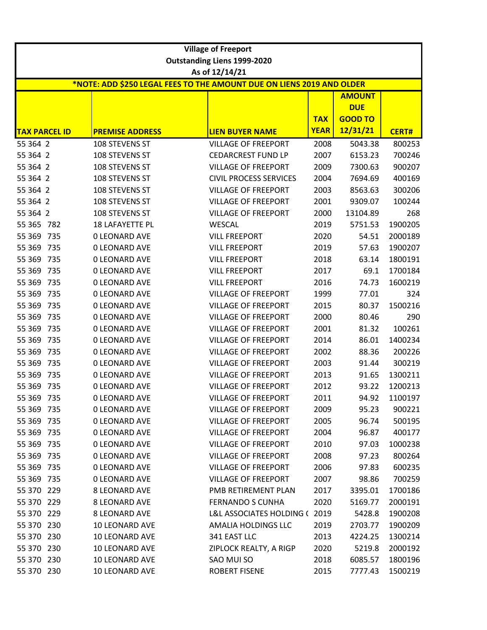|                                                                                         | <b>Village of Freeport</b> |                                    |             |                             |              |  |  |  |
|-----------------------------------------------------------------------------------------|----------------------------|------------------------------------|-------------|-----------------------------|--------------|--|--|--|
|                                                                                         |                            | <b>Outstanding Liens 1999-2020</b> |             |                             |              |  |  |  |
| As of 12/14/21<br>*NOTE: ADD \$250 LEGAL FEES TO THE AMOUNT DUE ON LIENS 2019 AND OLDER |                            |                                    |             |                             |              |  |  |  |
|                                                                                         |                            |                                    |             |                             |              |  |  |  |
|                                                                                         |                            |                                    |             | <b>AMOUNT</b><br><b>DUE</b> |              |  |  |  |
|                                                                                         |                            |                                    | <b>TAX</b>  | <b>GOOD TO</b>              |              |  |  |  |
| <b>TAX PARCEL ID</b>                                                                    | <b>PREMISE ADDRESS</b>     | <b>LIEN BUYER NAME</b>             | <b>YEAR</b> | 12/31/21                    | <b>CERT#</b> |  |  |  |
| 55 364 2                                                                                | 108 STEVENS ST             | <b>VILLAGE OF FREEPORT</b>         | 2008        | 5043.38                     | 800253       |  |  |  |
| 55 364 2                                                                                | 108 STEVENS ST             | <b>CEDARCREST FUND LP</b>          | 2007        | 6153.23                     | 700246       |  |  |  |
| 55 364 2                                                                                | 108 STEVENS ST             | <b>VILLAGE OF FREEPORT</b>         | 2009        | 7300.63                     | 900207       |  |  |  |
| 55 364 2                                                                                | 108 STEVENS ST             | <b>CIVIL PROCESS SERVICES</b>      | 2004        | 7694.69                     | 400169       |  |  |  |
| 55 364 2                                                                                | 108 STEVENS ST             | <b>VILLAGE OF FREEPORT</b>         | 2003        | 8563.63                     | 300206       |  |  |  |
| 55 364 2                                                                                | 108 STEVENS ST             | <b>VILLAGE OF FREEPORT</b>         | 2001        | 9309.07                     | 100244       |  |  |  |
| 55 364 2                                                                                | 108 STEVENS ST             | <b>VILLAGE OF FREEPORT</b>         | 2000        | 13104.89                    | 268          |  |  |  |
| 55 365<br>782                                                                           | 18 LAFAYETTE PL            | <b>WESCAL</b>                      | 2019        | 5751.53                     | 1900205      |  |  |  |
| 55 369<br>735                                                                           | <b>0 LEONARD AVE</b>       | <b>VILL FREEPORT</b>               | 2020        | 54.51                       | 2000189      |  |  |  |
| 55 369 735                                                                              | <b>0 LEONARD AVE</b>       | <b>VILL FREEPORT</b>               | 2019        | 57.63                       | 1900207      |  |  |  |
| 55 369<br>735                                                                           | <b>0 LEONARD AVE</b>       | <b>VILL FREEPORT</b>               | 2018        | 63.14                       | 1800191      |  |  |  |
| 55 369<br>735                                                                           | <b>0 LEONARD AVE</b>       | <b>VILL FREEPORT</b>               | 2017        | 69.1                        | 1700184      |  |  |  |
| 55 369<br>735                                                                           | <b>0 LEONARD AVE</b>       | <b>VILL FREEPORT</b>               | 2016        | 74.73                       | 1600219      |  |  |  |
| 735<br>55 369                                                                           | <b>0 LEONARD AVE</b>       | <b>VILLAGE OF FREEPORT</b>         | 1999        | 77.01                       | 324          |  |  |  |
| 55 369<br>735                                                                           | <b>0 LEONARD AVE</b>       | <b>VILLAGE OF FREEPORT</b>         | 2015        | 80.37                       | 1500216      |  |  |  |
| 55 369<br>735                                                                           | <b>0 LEONARD AVE</b>       | <b>VILLAGE OF FREEPORT</b>         | 2000        | 80.46                       | 290          |  |  |  |
| 55 369<br>735                                                                           | <b>0 LEONARD AVE</b>       | <b>VILLAGE OF FREEPORT</b>         | 2001        | 81.32                       | 100261       |  |  |  |
| 55 369<br>735                                                                           | <b>0 LEONARD AVE</b>       | <b>VILLAGE OF FREEPORT</b>         | 2014        | 86.01                       | 1400234      |  |  |  |
| 55 369<br>735                                                                           | <b>0 LEONARD AVE</b>       | <b>VILLAGE OF FREEPORT</b>         | 2002        | 88.36                       | 200226       |  |  |  |
| 55 3 69<br>735                                                                          | <b>0 LEONARD AVE</b>       | <b>VILLAGE OF FREEPORT</b>         | 2003        | 91.44                       | 300219       |  |  |  |
| 55 369<br>735                                                                           | <b>0 LEONARD AVE</b>       | <b>VILLAGE OF FREEPORT</b>         | 2013        | 91.65                       | 1300211      |  |  |  |
| 55 369 735                                                                              | <b>0 LEONARD AVE</b>       | <b>VILLAGE OF FREEPORT</b>         | 2012        | 93.22                       | 1200213      |  |  |  |
| 55 369 735                                                                              | <b>0 LEONARD AVE</b>       | <b>VILLAGE OF FREEPORT</b>         | 2011        | 94.92                       | 1100197      |  |  |  |
| 55 369 735                                                                              | <b>0 LEONARD AVE</b>       | <b>VILLAGE OF FREEPORT</b>         | 2009        | 95.23                       | 900221       |  |  |  |
| 55 369 735                                                                              | <b>0 LEONARD AVE</b>       | <b>VILLAGE OF FREEPORT</b>         | 2005        | 96.74                       | 500195       |  |  |  |
| 55 369 735                                                                              | <b>0 LEONARD AVE</b>       | <b>VILLAGE OF FREEPORT</b>         | 2004        | 96.87                       | 400177       |  |  |  |
| 55 369 735                                                                              | <b>0 LEONARD AVE</b>       | <b>VILLAGE OF FREEPORT</b>         | 2010        | 97.03                       | 1000238      |  |  |  |
| 55 369 735                                                                              | <b>0 LEONARD AVE</b>       | <b>VILLAGE OF FREEPORT</b>         | 2008        | 97.23                       | 800264       |  |  |  |
| 55 369 735                                                                              | <b>0 LEONARD AVE</b>       | <b>VILLAGE OF FREEPORT</b>         | 2006        | 97.83                       | 600235       |  |  |  |
| 55 369 735                                                                              | <b>0 LEONARD AVE</b>       | <b>VILLAGE OF FREEPORT</b>         | 2007        | 98.86                       | 700259       |  |  |  |
| 55 370 229                                                                              | <b>8 LEONARD AVE</b>       | PMB RETIREMENT PLAN                | 2017        | 3395.01                     | 1700186      |  |  |  |
| 55 370 229                                                                              | <b>8 LEONARD AVE</b>       | <b>FERNANDO S CUNHA</b>            | 2020        | 5169.77                     | 2000191      |  |  |  |
| 55 370 229                                                                              | 8 LEONARD AVE              | L&L ASSOCIATES HOLDING (2019       |             | 5428.8                      | 1900208      |  |  |  |
| 55 370 230                                                                              | 10 LEONARD AVE             | AMALIA HOLDINGS LLC                | 2019        | 2703.77                     | 1900209      |  |  |  |
| 55 370 230                                                                              | 10 LEONARD AVE             | 341 EAST LLC                       | 2013        | 4224.25                     | 1300214      |  |  |  |
| 55 370 230                                                                              | 10 LEONARD AVE             | ZIPLOCK REALTY, A RIGP             | 2020        | 5219.8                      | 2000192      |  |  |  |
| 55 370 230                                                                              | 10 LEONARD AVE             | SAO MUI SO                         | 2018        | 6085.57                     | 1800196      |  |  |  |
| 55 370 230                                                                              | 10 LEONARD AVE             | <b>ROBERT FISENE</b>               | 2015        | 7777.43                     | 1500219      |  |  |  |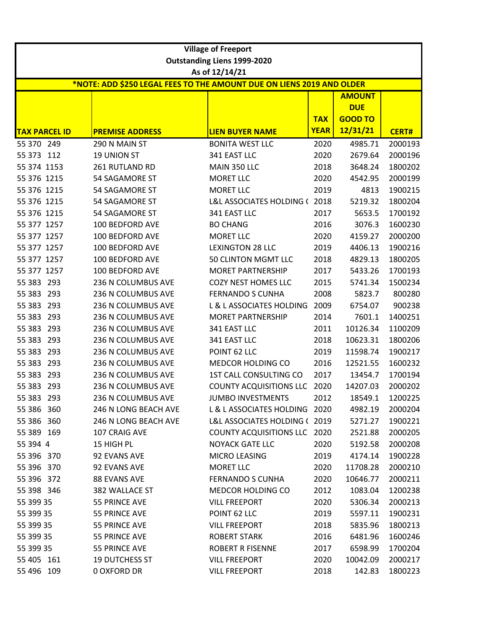|                                                                       | <b>Village of Freeport</b><br><b>Outstanding Liens 1999-2020</b> |                                     |             |                |              |  |  |  |
|-----------------------------------------------------------------------|------------------------------------------------------------------|-------------------------------------|-------------|----------------|--------------|--|--|--|
|                                                                       |                                                                  | As of 12/14/21                      |             |                |              |  |  |  |
| *NOTE: ADD \$250 LEGAL FEES TO THE AMOUNT DUE ON LIENS 2019 AND OLDER |                                                                  |                                     |             |                |              |  |  |  |
|                                                                       |                                                                  |                                     |             | <b>AMOUNT</b>  |              |  |  |  |
|                                                                       |                                                                  |                                     |             | <b>DUE</b>     |              |  |  |  |
|                                                                       |                                                                  |                                     | <b>TAX</b>  | <b>GOOD TO</b> |              |  |  |  |
| <b>TAX PARCEL ID</b>                                                  | <b>PREMISE ADDRESS</b>                                           | <b>LIEN BUYER NAME</b>              | <b>YEAR</b> | 12/31/21       | <b>CERT#</b> |  |  |  |
| 55 370 249                                                            | 290 N MAIN ST                                                    | <b>BONITA WEST LLC</b>              | 2020        | 4985.71        | 2000193      |  |  |  |
| 55 373 112                                                            | <b>19 UNION ST</b>                                               | 341 EAST LLC                        | 2020        | 2679.64        | 2000196      |  |  |  |
| 55 374 1153                                                           | 261 RUTLAND RD                                                   | MAIN 350 LLC                        | 2018        | 3648.24        | 1800202      |  |  |  |
| 55 376 1215                                                           | 54 SAGAMORE ST                                                   | <b>MORET LLC</b>                    | 2020        | 4542.95        | 2000199      |  |  |  |
| 55 376 1215                                                           | <b>54 SAGAMORE ST</b>                                            | <b>MORET LLC</b>                    | 2019        | 4813           | 1900215      |  |  |  |
| 55 376 1215                                                           | <b>54 SAGAMORE ST</b>                                            | L&L ASSOCIATES HOLDING (2018        |             | 5219.32        | 1800204      |  |  |  |
| 55 376 1215                                                           | 54 SAGAMORE ST                                                   | 341 EAST LLC                        | 2017        | 5653.5         | 1700192      |  |  |  |
| 55 377 1257                                                           | 100 BEDFORD AVE                                                  | <b>BO CHANG</b>                     | 2016        | 3076.3         | 1600230      |  |  |  |
| 55 377 1257                                                           | 100 BEDFORD AVE                                                  | <b>MORET LLC</b>                    | 2020        | 4159.27        | 2000200      |  |  |  |
| 55 377 1257                                                           | 100 BEDFORD AVE                                                  | <b>LEXINGTON 28 LLC</b>             | 2019        | 4406.13        | 1900216      |  |  |  |
| 55 377 1257                                                           | 100 BEDFORD AVE                                                  | 50 CLINTON MGMT LLC                 | 2018        | 4829.13        | 1800205      |  |  |  |
| 55 377 1257                                                           | 100 BEDFORD AVE                                                  | <b>MORET PARTNERSHIP</b>            | 2017        | 5433.26        | 1700193      |  |  |  |
| 55 383<br>293                                                         | 236 N COLUMBUS AVE                                               | <b>COZY NEST HOMES LLC</b>          | 2015        | 5741.34        | 1500234      |  |  |  |
| 55 383 293                                                            | 236 N COLUMBUS AVE                                               | <b>FERNANDO S CUNHA</b>             | 2008        | 5823.7         | 800280       |  |  |  |
| 55 383 293                                                            | 236 N COLUMBUS AVE                                               | L & L ASSOCIATES HOLDING            | 2009        | 6754.07        | 900238       |  |  |  |
| 55 383<br>293                                                         | 236 N COLUMBUS AVE                                               | <b>MORET PARTNERSHIP</b>            | 2014        | 7601.1         | 1400251      |  |  |  |
| 55 383<br>293                                                         | 236 N COLUMBUS AVE                                               | 341 EAST LLC                        | 2011        | 10126.34       | 1100209      |  |  |  |
| 55 383<br>293                                                         | 236 N COLUMBUS AVE                                               | 341 EAST LLC                        | 2018        | 10623.31       | 1800206      |  |  |  |
| 55 383<br>293                                                         | 236 N COLUMBUS AVE                                               | POINT 62 LLC                        | 2019        | 11598.74       | 1900217      |  |  |  |
| 55 383<br>293                                                         | 236 N COLUMBUS AVE                                               | MEDCOR HOLDING CO                   | 2016        | 12521.55       | 1600232      |  |  |  |
| 55 383<br>293                                                         | 236 N COLUMBUS AVE                                               | 1ST CALL CONSULTING CO              | 2017        | 13454.7        | 1700194      |  |  |  |
| 55 383 293                                                            | 236 N COLUMBUS AVE                                               | <b>COUNTY ACQUISITIONS LLC</b>      | 2020        | 14207.03       | 2000202      |  |  |  |
| 55 383 293                                                            | 236 N COLUMBUS AVE                                               | <b>JUMBO INVESTMENTS</b>            | 2012        | 18549.1        | 1200225      |  |  |  |
| 55 386 360                                                            | 246 N LONG BEACH AVE                                             | L & L ASSOCIATES HOLDING 2020       |             | 4982.19        | 2000204      |  |  |  |
| 55 386 360                                                            | 246 N LONG BEACH AVE                                             | L&L ASSOCIATES HOLDING (2019        |             | 5271.27        | 1900221      |  |  |  |
| 55 389 169                                                            | 107 CRAIG AVE                                                    | <b>COUNTY ACQUISITIONS LLC 2020</b> |             | 2521.88        | 2000205      |  |  |  |
| 55 394 4                                                              | 15 HIGH PL                                                       | <b>NOYACK GATE LLC</b>              | 2020        | 5192.58        | 2000208      |  |  |  |
| 55 396 370                                                            | 92 EVANS AVE                                                     | MICRO LEASING                       | 2019        | 4174.14        | 1900228      |  |  |  |
| 55 396 370                                                            | 92 EVANS AVE                                                     | MORET LLC                           | 2020        | 11708.28       | 2000210      |  |  |  |
| 55 396 372                                                            | 88 EVANS AVE                                                     | <b>FERNANDO S CUNHA</b>             | 2020        | 10646.77       | 2000211      |  |  |  |
| 55 398 346                                                            | 382 WALLACE ST                                                   | MEDCOR HOLDING CO                   | 2012        | 1083.04        | 1200238      |  |  |  |
| 55 399 35                                                             | 55 PRINCE AVE                                                    | <b>VILL FREEPORT</b>                | 2020        | 5306.34        | 2000213      |  |  |  |
| 55 399 35                                                             | 55 PRINCE AVE                                                    | POINT 62 LLC                        | 2019        | 5597.11        | 1900231      |  |  |  |
| 55 399 35                                                             | 55 PRINCE AVE                                                    | <b>VILL FREEPORT</b>                | 2018        | 5835.96        | 1800213      |  |  |  |
| 55 399 35                                                             | 55 PRINCE AVE                                                    | <b>ROBERT STARK</b>                 | 2016        | 6481.96        | 1600246      |  |  |  |
| 55 399 35                                                             | 55 PRINCE AVE                                                    | <b>ROBERT R FISENNE</b>             | 2017        | 6598.99        | 1700204      |  |  |  |
| 55 405 161                                                            | <b>19 DUTCHESS ST</b>                                            | <b>VILL FREEPORT</b>                | 2020        | 10042.09       | 2000217      |  |  |  |
| 55 496 109                                                            | <b>0 OXFORD DR</b>                                               | <b>VILL FREEPORT</b>                | 2018        | 142.83         | 1800223      |  |  |  |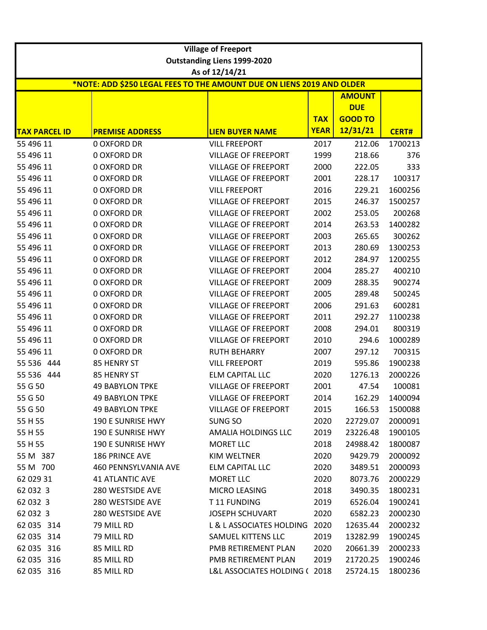| <b>Village of Freeport</b> |                                                                       |                                                          |                           |                            |                    |  |
|----------------------------|-----------------------------------------------------------------------|----------------------------------------------------------|---------------------------|----------------------------|--------------------|--|
|                            |                                                                       | <b>Outstanding Liens 1999-2020</b>                       |                           |                            |                    |  |
|                            |                                                                       | As of 12/14/21                                           |                           |                            |                    |  |
|                            | *NOTE: ADD \$250 LEGAL FEES TO THE AMOUNT DUE ON LIENS 2019 AND OLDER |                                                          |                           |                            |                    |  |
|                            |                                                                       |                                                          |                           | <b>AMOUNT</b>              |                    |  |
|                            |                                                                       |                                                          |                           | <b>DUE</b>                 |                    |  |
|                            |                                                                       |                                                          | <b>TAX</b><br><b>YEAR</b> | <b>GOOD TO</b><br>12/31/21 |                    |  |
| <b>TAX PARCEL ID</b>       | <b>PREMISE ADDRESS</b>                                                | <b>LIEN BUYER NAME</b>                                   |                           |                            | <b>CERT#</b>       |  |
| 55 496 11<br>55 496 11     | <b>0 OXFORD DR</b><br><b>0 OXFORD DR</b>                              | <b>VILL FREEPORT</b><br><b>VILLAGE OF FREEPORT</b>       | 2017                      | 212.06<br>218.66           | 1700213            |  |
| 55 496 11                  | <b>0 OXFORD DR</b>                                                    | <b>VILLAGE OF FREEPORT</b>                               | 1999<br>2000              | 222.05                     | 376<br>333         |  |
| 55 496 11                  | <b>0 OXFORD DR</b>                                                    | <b>VILLAGE OF FREEPORT</b>                               | 2001                      | 228.17                     | 100317             |  |
| 55 496 11                  | <b>0 OXFORD DR</b>                                                    | <b>VILL FREEPORT</b>                                     |                           |                            | 1600256            |  |
| 55 496 11                  | <b>0 OXFORD DR</b>                                                    | <b>VILLAGE OF FREEPORT</b>                               | 2016<br>2015              | 229.21<br>246.37           | 1500257            |  |
| 55 496 11                  | <b>0 OXFORD DR</b>                                                    | <b>VILLAGE OF FREEPORT</b>                               | 2002                      | 253.05                     | 200268             |  |
| 55 496 11                  | <b>0 OXFORD DR</b>                                                    | <b>VILLAGE OF FREEPORT</b>                               | 2014                      | 263.53                     | 1400282            |  |
|                            | <b>0 OXFORD DR</b>                                                    |                                                          | 2003                      | 265.65                     | 300262             |  |
| 55 496 11<br>55 496 11     | <b>0 OXFORD DR</b>                                                    | <b>VILLAGE OF FREEPORT</b><br><b>VILLAGE OF FREEPORT</b> | 2013                      | 280.69                     | 1300253            |  |
| 55 496 11                  | <b>0 OXFORD DR</b>                                                    | <b>VILLAGE OF FREEPORT</b>                               | 2012                      | 284.97                     | 1200255            |  |
| 55 496 11                  | <b>0 OXFORD DR</b>                                                    | <b>VILLAGE OF FREEPORT</b>                               | 2004                      | 285.27                     | 400210             |  |
| 55 496 11                  | <b>0 OXFORD DR</b>                                                    | <b>VILLAGE OF FREEPORT</b>                               | 2009                      | 288.35                     | 900274             |  |
| 55 496 11                  | <b>0 OXFORD DR</b>                                                    | <b>VILLAGE OF FREEPORT</b>                               | 2005                      | 289.48                     | 500245             |  |
| 55 496 11                  | <b>0 OXFORD DR</b>                                                    | <b>VILLAGE OF FREEPORT</b>                               | 2006                      | 291.63                     | 600281             |  |
| 55 496 11                  | <b>0 OXFORD DR</b>                                                    | <b>VILLAGE OF FREEPORT</b>                               | 2011                      | 292.27                     | 1100238            |  |
| 55 496 11                  | <b>0 OXFORD DR</b>                                                    | <b>VILLAGE OF FREEPORT</b>                               | 2008                      | 294.01                     | 800319             |  |
| 55 496 11                  | <b>0 OXFORD DR</b>                                                    | <b>VILLAGE OF FREEPORT</b>                               | 2010                      | 294.6                      | 1000289            |  |
| 55 496 11                  | <b>0 OXFORD DR</b>                                                    | <b>RUTH BEHARRY</b>                                      | 2007                      | 297.12                     | 700315             |  |
| 55 536 444                 | 85 HENRY ST                                                           | <b>VILL FREEPORT</b>                                     | 2019                      | 595.86                     | 1900238            |  |
| 55 536 444                 | 85 HENRY ST                                                           | <b>ELM CAPITAL LLC</b>                                   | 2020                      | 1276.13                    | 2000226            |  |
| 55 G 50                    | <b>49 BABYLON TPKE</b>                                                | <b>VILLAGE OF FREEPORT</b>                               | 2001                      | 47.54                      | 100081             |  |
| 55 G 50                    | <b>49 BABYLON TPKE</b>                                                | VILLAGE OF FREEPORT                                      | 2014                      | 162.29                     | 1400094            |  |
| 55 G 50                    | <b>49 BABYLON TPKE</b>                                                | <b>VILLAGE OF FREEPORT</b>                               | 2015                      | 166.53                     | 1500088            |  |
| 55 H 55                    | 190 E SUNRISE HWY                                                     | SUNG SO                                                  | 2020                      | 22729.07                   | 2000091            |  |
| 55 H 55                    | 190 E SUNRISE HWY                                                     | AMALIA HOLDINGS LLC                                      | 2019                      | 23226.48                   | 1900105            |  |
| 55 H 55                    | 190 E SUNRISE HWY                                                     | <b>MORET LLC</b>                                         | 2018                      | 24988.42                   | 1800087            |  |
| 55 M 387                   | 186 PRINCE AVE                                                        | KIM WELTNER                                              | 2020                      | 9429.79                    | 2000092            |  |
| 55 M 700                   | 460 PENNSYLVANIA AVE                                                  | <b>ELM CAPITAL LLC</b>                                   | 2020                      | 3489.51                    | 2000093            |  |
| 62 029 31                  | <b>41 ATLANTIC AVE</b>                                                | <b>MORET LLC</b>                                         | 2020                      | 8073.76                    | 2000229            |  |
| 62 032 3                   | 280 WESTSIDE AVE                                                      | MICRO LEASING                                            | 2018                      | 3490.35                    | 1800231            |  |
| 62 032 3                   | 280 WESTSIDE AVE                                                      | T11 FUNDING                                              | 2019                      | 6526.04                    | 1900241            |  |
| 62 032 3                   | 280 WESTSIDE AVE                                                      | <b>JOSEPH SCHUVART</b>                                   | 2020                      | 6582.23                    | 2000230            |  |
| 62 035 314                 | 79 MILL RD                                                            | L & L ASSOCIATES HOLDING                                 | 2020                      |                            |                    |  |
| 62 035 314                 | 79 MILL RD                                                            | SAMUEL KITTENS LLC                                       |                           | 12635.44                   | 2000232            |  |
| 62 035 316                 | 85 MILL RD                                                            | PMB RETIREMENT PLAN                                      | 2019<br>2020              | 13282.99<br>20661.39       | 1900245<br>2000233 |  |
| 62 035 316                 | 85 MILL RD                                                            | PMB RETIREMENT PLAN                                      | 2019                      | 21720.25                   | 1900246            |  |
| 62 035 316                 |                                                                       |                                                          |                           |                            |                    |  |
|                            | 85 MILL RD                                                            | L&L ASSOCIATES HOLDING (2018                             |                           | 25724.15                   | 1800236            |  |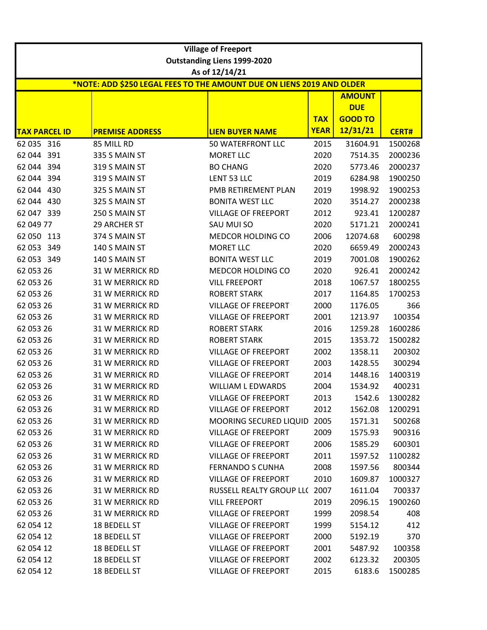|                                                                       |                        | <b>Village of Freeport</b>                           |             |                |              |  |  |
|-----------------------------------------------------------------------|------------------------|------------------------------------------------------|-------------|----------------|--------------|--|--|
|                                                                       |                        | <b>Outstanding Liens 1999-2020</b><br>As of 12/14/21 |             |                |              |  |  |
| *NOTE: ADD \$250 LEGAL FEES TO THE AMOUNT DUE ON LIENS 2019 AND OLDER |                        |                                                      |             |                |              |  |  |
|                                                                       |                        |                                                      |             | <b>AMOUNT</b>  |              |  |  |
|                                                                       |                        |                                                      |             | <b>DUE</b>     |              |  |  |
|                                                                       |                        |                                                      | <b>TAX</b>  | <b>GOOD TO</b> |              |  |  |
| <b>TAX PARCEL ID</b>                                                  | <b>PREMISE ADDRESS</b> | <b>LIEN BUYER NAME</b>                               | <b>YEAR</b> | 12/31/21       | <b>CERT#</b> |  |  |
| 62 035 316                                                            | 85 MILL RD             | 50 WATERFRONT LLC                                    | 2015        | 31604.91       | 1500268      |  |  |
| 62 044 391                                                            | 335 S MAIN ST          | <b>MORET LLC</b>                                     | 2020        | 7514.35        | 2000236      |  |  |
| 62 044 394                                                            | 319 S MAIN ST          | <b>BO CHANG</b>                                      | 2020        | 5773.46        | 2000237      |  |  |
| 62 044 394                                                            | 319 S MAIN ST          | LENT 53 LLC                                          | 2019        | 6284.98        | 1900250      |  |  |
| 62 044 430                                                            | 325 S MAIN ST          | PMB RETIREMENT PLAN                                  | 2019        | 1998.92        | 1900253      |  |  |
| 62 044 430                                                            | 325 S MAIN ST          | <b>BONITA WEST LLC</b>                               | 2020        | 3514.27        | 2000238      |  |  |
| 62 047 339                                                            | 250 S MAIN ST          | <b>VILLAGE OF FREEPORT</b>                           | 2012        | 923.41         | 1200287      |  |  |
| 62 049 77                                                             | 29 ARCHER ST           | SAU MUI SO                                           | 2020        | 5171.21        | 2000241      |  |  |
| 62 050 113                                                            | 374 S MAIN ST          | MEDCOR HOLDING CO                                    | 2006        | 12074.68       | 600298       |  |  |
| 62 053 349                                                            | 140 S MAIN ST          | <b>MORET LLC</b>                                     | 2020        | 6659.49        | 2000243      |  |  |
| 62 053 349                                                            | 140 S MAIN ST          | <b>BONITA WEST LLC</b>                               | 2019        | 7001.08        | 1900262      |  |  |
| 62 053 26                                                             | 31 W MERRICK RD        | MEDCOR HOLDING CO                                    | 2020        | 926.41         | 2000242      |  |  |
| 62 053 26                                                             | 31 W MERRICK RD        | <b>VILL FREEPORT</b>                                 | 2018        | 1067.57        | 1800255      |  |  |
| 62 053 26                                                             | <b>31 W MERRICK RD</b> | <b>ROBERT STARK</b>                                  | 2017        | 1164.85        | 1700253      |  |  |
| 62 053 26                                                             | <b>31 W MERRICK RD</b> | <b>VILLAGE OF FREEPORT</b>                           | 2000        | 1176.05        | 366          |  |  |
| 62 053 26                                                             | <b>31 W MERRICK RD</b> | <b>VILLAGE OF FREEPORT</b>                           | 2001        | 1213.97        | 100354       |  |  |
| 62 053 26                                                             | 31 W MERRICK RD        | <b>ROBERT STARK</b>                                  | 2016        | 1259.28        | 1600286      |  |  |
| 62 053 26                                                             | 31 W MERRICK RD        | <b>ROBERT STARK</b>                                  | 2015        | 1353.72        | 1500282      |  |  |
| 62 053 26                                                             | <b>31 W MERRICK RD</b> | <b>VILLAGE OF FREEPORT</b>                           | 2002        | 1358.11        | 200302       |  |  |
| 62 053 26                                                             | <b>31 W MERRICK RD</b> | <b>VILLAGE OF FREEPORT</b>                           | 2003        | 1428.55        | 300294       |  |  |
| 62 053 26                                                             | <b>31 W MERRICK RD</b> | <b>VILLAGE OF FREEPORT</b>                           | 2014        | 1448.16        | 1400319      |  |  |
| 62 053 26                                                             | 31 W MERRICK RD        | <b>WILLIAM L EDWARDS</b>                             | 2004        | 1534.92        | 400231       |  |  |
| 62 053 26                                                             | 31 W MERRICK RD        | <b>VILLAGE OF FREEPORT</b>                           | 2013        | 1542.6         | 1300282      |  |  |
| 62 053 26                                                             | <b>31 W MERRICK RD</b> | <b>VILLAGE OF FREEPORT</b>                           | 2012        | 1562.08        | 1200291      |  |  |
| 62 053 26                                                             | <b>31 W MERRICK RD</b> | MOORING SECURED LIQUID                               | 2005        | 1571.31        | 500268       |  |  |
| 62 053 26                                                             | <b>31 W MERRICK RD</b> | <b>VILLAGE OF FREEPORT</b>                           | 2009        | 1575.93        | 900316       |  |  |
| 62 053 26                                                             | <b>31 W MERRICK RD</b> | <b>VILLAGE OF FREEPORT</b>                           | 2006        | 1585.29        | 600301       |  |  |
| 62 053 26                                                             | <b>31 W MERRICK RD</b> | <b>VILLAGE OF FREEPORT</b>                           | 2011        | 1597.52        | 1100282      |  |  |
| 62 053 26                                                             | <b>31 W MERRICK RD</b> | <b>FERNANDO S CUNHA</b>                              | 2008        | 1597.56        | 800344       |  |  |
| 62 053 26                                                             | <b>31 W MERRICK RD</b> | <b>VILLAGE OF FREEPORT</b>                           | 2010        | 1609.87        | 1000327      |  |  |
| 62 053 26                                                             | <b>31 W MERRICK RD</b> | RUSSELL REALTY GROUP LL( 2007                        |             | 1611.04        | 700337       |  |  |
| 62 053 26                                                             | <b>31 W MERRICK RD</b> | <b>VILL FREEPORT</b>                                 | 2019        | 2096.15        | 1900260      |  |  |
| 62 053 26                                                             | <b>31 W MERRICK RD</b> | <b>VILLAGE OF FREEPORT</b>                           | 1999        | 2098.54        | 408          |  |  |
| 62 054 12                                                             | 18 BEDELL ST           | <b>VILLAGE OF FREEPORT</b>                           | 1999        | 5154.12        | 412          |  |  |
| 62 054 12                                                             | 18 BEDELL ST           | <b>VILLAGE OF FREEPORT</b>                           | 2000        | 5192.19        | 370          |  |  |
| 62 054 12                                                             | 18 BEDELL ST           | <b>VILLAGE OF FREEPORT</b>                           | 2001        | 5487.92        | 100358       |  |  |
| 62 054 12                                                             | 18 BEDELL ST           | <b>VILLAGE OF FREEPORT</b>                           | 2002        | 6123.32        | 200305       |  |  |
| 62 054 12                                                             | 18 BEDELL ST           | <b>VILLAGE OF FREEPORT</b>                           | 2015        | 6183.6         | 1500285      |  |  |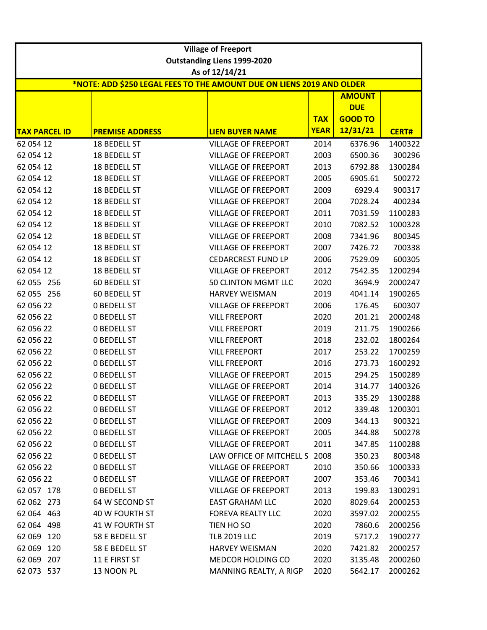|                                                                       | <b>Village of Freeport</b> |                                    |             |                             |              |  |  |
|-----------------------------------------------------------------------|----------------------------|------------------------------------|-------------|-----------------------------|--------------|--|--|
|                                                                       |                            | <b>Outstanding Liens 1999-2020</b> |             |                             |              |  |  |
|                                                                       |                            | As of 12/14/21                     |             |                             |              |  |  |
| *NOTE: ADD \$250 LEGAL FEES TO THE AMOUNT DUE ON LIENS 2019 AND OLDER |                            |                                    |             |                             |              |  |  |
|                                                                       |                            |                                    |             | <b>AMOUNT</b><br><b>DUE</b> |              |  |  |
|                                                                       |                            |                                    | <b>TAX</b>  | <b>GOOD TO</b>              |              |  |  |
| <b>TAX PARCEL ID</b>                                                  | <b>PREMISE ADDRESS</b>     | <b>LIEN BUYER NAME</b>             | <b>YEAR</b> | 12/31/21                    | <b>CERT#</b> |  |  |
| 62 054 12                                                             | 18 BEDELL ST               | <b>VILLAGE OF FREEPORT</b>         | 2014        | 6376.96                     | 1400322      |  |  |
| 62 054 12                                                             | 18 BEDELL ST               | <b>VILLAGE OF FREEPORT</b>         | 2003        | 6500.36                     | 300296       |  |  |
| 62 054 12                                                             | 18 BEDELL ST               | <b>VILLAGE OF FREEPORT</b>         | 2013        | 6792.88                     | 1300284      |  |  |
| 62 054 12                                                             | 18 BEDELL ST               | <b>VILLAGE OF FREEPORT</b>         | 2005        | 6905.61                     | 500272       |  |  |
| 62 054 12                                                             | 18 BEDELL ST               | <b>VILLAGE OF FREEPORT</b>         | 2009        | 6929.4                      | 900317       |  |  |
| 62 054 12                                                             | 18 BEDELL ST               | <b>VILLAGE OF FREEPORT</b>         | 2004        | 7028.24                     | 400234       |  |  |
| 62 054 12                                                             | 18 BEDELL ST               | <b>VILLAGE OF FREEPORT</b>         | 2011        | 7031.59                     | 1100283      |  |  |
| 62 054 12                                                             | 18 BEDELL ST               | <b>VILLAGE OF FREEPORT</b>         | 2010        | 7082.52                     | 1000328      |  |  |
| 62 054 12                                                             | 18 BEDELL ST               | <b>VILLAGE OF FREEPORT</b>         | 2008        | 7341.96                     | 800345       |  |  |
| 62 054 12                                                             | 18 BEDELL ST               | <b>VILLAGE OF FREEPORT</b>         | 2007        | 7426.72                     | 700338       |  |  |
| 62 054 12                                                             | 18 BEDELL ST               | <b>CEDARCREST FUND LP</b>          | 2006        | 7529.09                     | 600305       |  |  |
| 62 054 12                                                             | 18 BEDELL ST               | <b>VILLAGE OF FREEPORT</b>         | 2012        | 7542.35                     | 1200294      |  |  |
| 62 055 256                                                            | 60 BEDELL ST               | 50 CLINTON MGMT LLC                | 2020        | 3694.9                      | 2000247      |  |  |
| 62 055 256                                                            | 60 BEDELL ST               | <b>HARVEY WEISMAN</b>              | 2019        | 4041.14                     | 1900265      |  |  |
| 62 056 22                                                             | <b>0 BEDELL ST</b>         | <b>VILLAGE OF FREEPORT</b>         | 2006        | 176.45                      | 600307       |  |  |
| 62 056 22                                                             | <b>0 BEDELL ST</b>         | <b>VILL FREEPORT</b>               | 2020        | 201.21                      | 2000248      |  |  |
| 62 056 22                                                             | <b>0 BEDELL ST</b>         | <b>VILL FREEPORT</b>               | 2019        | 211.75                      | 1900266      |  |  |
| 62 056 22                                                             | <b>0 BEDELL ST</b>         | <b>VILL FREEPORT</b>               | 2018        | 232.02                      | 1800264      |  |  |
| 62 056 22                                                             | <b>0 BEDELL ST</b>         | <b>VILL FREEPORT</b>               | 2017        | 253.22                      | 1700259      |  |  |
| 62 056 22                                                             | <b>0 BEDELL ST</b>         | <b>VILL FREEPORT</b>               | 2016        | 273.73                      | 1600292      |  |  |
| 62 056 22                                                             | <b>0 BEDELL ST</b>         | <b>VILLAGE OF FREEPORT</b>         | 2015        | 294.25                      | 1500289      |  |  |
| 62 056 22                                                             | <b>0 BEDELL ST</b>         | <b>VILLAGE OF FREEPORT</b>         | 2014        | 314.77                      | 1400326      |  |  |
| 62 056 22                                                             | <b>0 BEDELL ST</b>         | <b>VILLAGE OF FREEPORT</b>         | 2013        | 335.29                      | 1300288      |  |  |
| 62 056 22                                                             | <b>0 BEDELL ST</b>         | <b>VILLAGE OF FREEPORT</b>         | 2012        | 339.48                      | 1200301      |  |  |
| 62 056 22                                                             | <b>0 BEDELL ST</b>         | <b>VILLAGE OF FREEPORT</b>         | 2009        | 344.13                      | 900321       |  |  |
| 62 056 22                                                             | <b>O BEDELL ST</b>         | <b>VILLAGE OF FREEPORT</b>         | 2005        | 344.88                      | 500278       |  |  |
| 62 056 22                                                             | <b>0 BEDELL ST</b>         | <b>VILLAGE OF FREEPORT</b>         | 2011        | 347.85                      | 1100288      |  |  |
| 62 056 22                                                             | <b>O BEDELL ST</b>         | LAW OFFICE OF MITCHELL S 2008      |             | 350.23                      | 800348       |  |  |
| 62 056 22                                                             | <b>0 BEDELL ST</b>         | <b>VILLAGE OF FREEPORT</b>         | 2010        | 350.66                      | 1000333      |  |  |
| 62 056 22                                                             | <b>O BEDELL ST</b>         | <b>VILLAGE OF FREEPORT</b>         | 2007        | 353.46                      | 700341       |  |  |
| 62 057 178                                                            | <b>0 BEDELL ST</b>         | <b>VILLAGE OF FREEPORT</b>         | 2013        | 199.83                      | 1300291      |  |  |
| 62 062 273                                                            | 64 W SECOND ST             | <b>EAST GRAHAM LLC</b>             | 2020        | 8029.64                     | 2000253      |  |  |
| 62 064 463                                                            | 40 W FOURTH ST             | <b>FOREVA REALTY LLC</b>           | 2020        | 3597.02                     | 2000255      |  |  |
| 62 064 498                                                            | 41 W FOURTH ST             | TIEN HO SO                         | 2020        | 7860.6                      | 2000256      |  |  |
| 62 069 120                                                            | 58 E BEDELL ST             | <b>TLB 2019 LLC</b>                | 2019        | 5717.2                      | 1900277      |  |  |
| 62 069 120                                                            | 58 E BEDELL ST             | <b>HARVEY WEISMAN</b>              | 2020        | 7421.82                     | 2000257      |  |  |
| 62 069 207                                                            | 11 E FIRST ST              | MEDCOR HOLDING CO                  | 2020        | 3135.48                     | 2000260      |  |  |
| 62 073 537                                                            | 13 NOON PL                 | MANNING REALTY, A RIGP             | 2020        | 5642.17                     | 2000262      |  |  |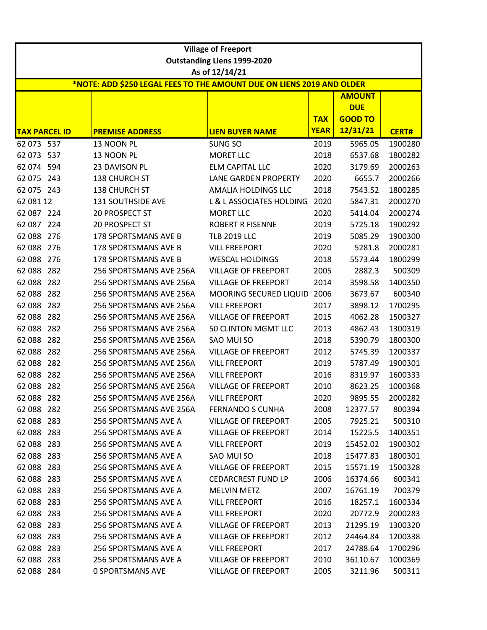|                      |     |                                                                       | <b>Village of Freeport</b>                           |             |                |              |
|----------------------|-----|-----------------------------------------------------------------------|------------------------------------------------------|-------------|----------------|--------------|
|                      |     |                                                                       | <b>Outstanding Liens 1999-2020</b><br>As of 12/14/21 |             |                |              |
|                      |     | *NOTE: ADD \$250 LEGAL FEES TO THE AMOUNT DUE ON LIENS 2019 AND OLDER |                                                      |             |                |              |
|                      |     |                                                                       |                                                      |             | <b>AMOUNT</b>  |              |
|                      |     |                                                                       |                                                      |             | <b>DUE</b>     |              |
|                      |     |                                                                       |                                                      | <b>TAX</b>  | <b>GOOD TO</b> |              |
| <b>TAX PARCEL ID</b> |     | <b>PREMISE ADDRESS</b>                                                | <b>LIEN BUYER NAME</b>                               | <b>YEAR</b> | 12/31/21       | <b>CERT#</b> |
| 62 073 537           |     | 13 NOON PL                                                            | SUNG SO                                              | 2019        | 5965.05        | 1900280      |
| 62 073 537           |     | 13 NOON PL                                                            | <b>MORET LLC</b>                                     | 2018        | 6537.68        | 1800282      |
| 62 074 594           |     | 23 DAVISON PL                                                         | <b>ELM CAPITAL LLC</b>                               | 2020        | 3179.69        | 2000263      |
| 62 075               | 243 | 138 CHURCH ST                                                         | <b>LANE GARDEN PROPERTY</b>                          | 2020        | 6655.7         | 2000266      |
| 62 075 243           |     | 138 CHURCH ST                                                         | AMALIA HOLDINGS LLC                                  | 2018        | 7543.52        | 1800285      |
| 62 081 12            |     | <b>131 SOUTHSIDE AVE</b>                                              | L & L ASSOCIATES HOLDING                             | 2020        | 5847.31        | 2000270      |
| 62 087 224           |     | 20 PROSPECT ST                                                        | <b>MORET LLC</b>                                     | 2020        | 5414.04        | 2000274      |
| 62 087 224           |     | 20 PROSPECT ST                                                        | <b>ROBERT R FISENNE</b>                              | 2019        | 5725.18        | 1900292      |
| 62 088               | 276 | <b>178 SPORTSMANS AVE B</b>                                           | <b>TLB 2019 LLC</b>                                  | 2019        | 5085.29        | 1900300      |
| 62 088 276           |     | 178 SPORTSMANS AVE B                                                  | <b>VILL FREEPORT</b>                                 | 2020        | 5281.8         | 2000281      |
| 62 088               | 276 | 178 SPORTSMANS AVE B                                                  | <b>WESCAL HOLDINGS</b>                               | 2018        | 5573.44        | 1800299      |
| 62 088               | 282 | 256 SPORTSMANS AVE 256A                                               | <b>VILLAGE OF FREEPORT</b>                           | 2005        | 2882.3         | 500309       |
| 62 088               | 282 | 256 SPORTSMANS AVE 256A                                               | <b>VILLAGE OF FREEPORT</b>                           | 2014        | 3598.58        | 1400350      |
| 62 088               | 282 | 256 SPORTSMANS AVE 256A                                               | <b>MOORING SECURED LIQUID</b>                        | 2006        | 3673.67        | 600340       |
| 62 088               | 282 | 256 SPORTSMANS AVE 256A                                               | <b>VILL FREEPORT</b>                                 | 2017        | 3898.12        | 1700295      |
| 62 088               | 282 | 256 SPORTSMANS AVE 256A                                               | <b>VILLAGE OF FREEPORT</b>                           | 2015        | 4062.28        | 1500327      |
| 62 088               | 282 | 256 SPORTSMANS AVE 256A                                               | 50 CLINTON MGMT LLC                                  | 2013        | 4862.43        | 1300319      |
| 62 088               | 282 | 256 SPORTSMANS AVE 256A                                               | SAO MUI SO                                           | 2018        | 5390.79        | 1800300      |
| 62 088               | 282 | 256 SPORTSMANS AVE 256A                                               | <b>VILLAGE OF FREEPORT</b>                           | 2012        | 5745.39        | 1200337      |
| 62 088               | 282 | 256 SPORTSMANS AVE 256A                                               | <b>VILL FREEPORT</b>                                 | 2019        | 5787.49        | 1900301      |
| 62 088               | 282 | 256 SPORTSMANS AVE 256A                                               | <b>VILL FREEPORT</b>                                 | 2016        | 8319.97        | 1600333      |
| 62 088 282           |     | 256 SPORTSMANS AVE 256A                                               | <b>VILLAGE OF FREEPORT</b>                           | 2010        | 8623.25        | 1000368      |
| 62 088 282           |     | 256 SPORTSMANS AVE 256A                                               | <b>VILL FREEPORT</b>                                 | 2020        | 9895.55        | 2000282      |
| 62 088 282           |     | 256 SPORTSMANS AVE 256A                                               | <b>FERNANDO S CUNHA</b>                              | 2008        | 12377.57       | 800394       |
| 62 088               | 283 | 256 SPORTSMANS AVE A                                                  | <b>VILLAGE OF FREEPORT</b>                           | 2005        | 7925.21        | 500310       |
| 62 088 283           |     | <b>256 SPORTSMANS AVE A</b>                                           | <b>VILLAGE OF FREEPORT</b>                           | 2014        | 15225.5        | 1400351      |
| 62 088 283           |     | <b>256 SPORTSMANS AVE A</b>                                           | <b>VILL FREEPORT</b>                                 | 2019        | 15452.02       | 1900302      |
| 62 088 283           |     | 256 SPORTSMANS AVE A                                                  | SAO MUI SO                                           | 2018        | 15477.83       | 1800301      |
| 62 088 283           |     | 256 SPORTSMANS AVE A                                                  | <b>VILLAGE OF FREEPORT</b>                           | 2015        | 15571.19       | 1500328      |
| 62 088               | 283 | 256 SPORTSMANS AVE A                                                  | <b>CEDARCREST FUND LP</b>                            | 2006        | 16374.66       | 600341       |
| 62 088 283           |     | <b>256 SPORTSMANS AVE A</b>                                           | <b>MELVIN METZ</b>                                   | 2007        | 16761.19       | 700379       |
| 62 088 283           |     | 256 SPORTSMANS AVE A                                                  | <b>VILL FREEPORT</b>                                 | 2016        | 18257.1        | 1600334      |
| 62 088 283           |     | 256 SPORTSMANS AVE A                                                  | <b>VILL FREEPORT</b>                                 | 2020        | 20772.9        | 2000283      |
| 62 088 283           |     | 256 SPORTSMANS AVE A                                                  | <b>VILLAGE OF FREEPORT</b>                           | 2013        | 21295.19       | 1300320      |
| 62 088 283           |     | <b>256 SPORTSMANS AVE A</b>                                           | <b>VILLAGE OF FREEPORT</b>                           | 2012        | 24464.84       | 1200338      |
| 62 088 283           |     | <b>256 SPORTSMANS AVE A</b>                                           | <b>VILL FREEPORT</b>                                 | 2017        | 24788.64       | 1700296      |
| 62 088               | 283 | 256 SPORTSMANS AVE A                                                  | <b>VILLAGE OF FREEPORT</b>                           | 2010        | 36110.67       | 1000369      |
| 62 088 284           |     | <b>0 SPORTSMANS AVE</b>                                               | <b>VILLAGE OF FREEPORT</b>                           | 2005        | 3211.96        | 500311       |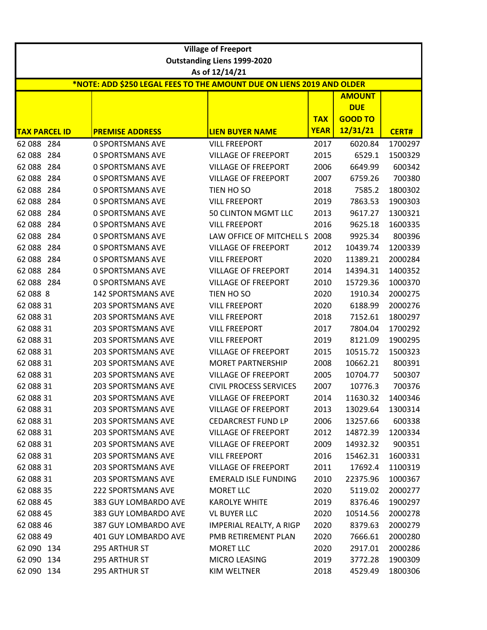|                      |                                                                       | <b>Village of Freeport</b>         |             |                |              |
|----------------------|-----------------------------------------------------------------------|------------------------------------|-------------|----------------|--------------|
|                      |                                                                       | <b>Outstanding Liens 1999-2020</b> |             |                |              |
|                      |                                                                       | As of 12/14/21                     |             |                |              |
|                      | *NOTE: ADD \$250 LEGAL FEES TO THE AMOUNT DUE ON LIENS 2019 AND OLDER |                                    |             |                |              |
|                      |                                                                       |                                    |             | <b>AMOUNT</b>  |              |
|                      |                                                                       |                                    |             | <b>DUE</b>     |              |
|                      |                                                                       |                                    | <b>TAX</b>  | <b>GOOD TO</b> |              |
| <b>TAX PARCEL ID</b> | <b>PREMISE ADDRESS</b>                                                | <b>LIEN BUYER NAME</b>             | <b>YEAR</b> | 12/31/21       | <b>CERT#</b> |
| 62 088 284           | <b>0 SPORTSMANS AVE</b>                                               | <b>VILL FREEPORT</b>               | 2017        | 6020.84        | 1700297      |
| 62 088<br>284        | <b>0 SPORTSMANS AVE</b>                                               | <b>VILLAGE OF FREEPORT</b>         | 2015        | 6529.1         | 1500329      |
| 62 088<br>284        | <b>0 SPORTSMANS AVE</b>                                               | <b>VILLAGE OF FREEPORT</b>         | 2006        | 6649.99        | 600342       |
| 62 088<br>284        | <b>0 SPORTSMANS AVE</b>                                               | <b>VILLAGE OF FREEPORT</b>         | 2007        | 6759.26        | 700380       |
| 62 088<br>284        | <b>0 SPORTSMANS AVE</b>                                               | TIEN HO SO                         | 2018        | 7585.2         | 1800302      |
| 62 088<br>284        | <b>0 SPORTSMANS AVE</b>                                               | <b>VILL FREEPORT</b>               | 2019        | 7863.53        | 1900303      |
| 62 088<br>284        | <b>0 SPORTSMANS AVE</b>                                               | 50 CLINTON MGMT LLC                | 2013        | 9617.27        | 1300321      |
| 62 088<br>284        | <b>0 SPORTSMANS AVE</b>                                               | <b>VILL FREEPORT</b>               | 2016        | 9625.18        | 1600335      |
| 284<br>62 088        | <b>0 SPORTSMANS AVE</b>                                               | LAW OFFICE OF MITCHELL S           | 2008        | 9925.34        | 800396       |
| 62 088<br>284        | <b>0 SPORTSMANS AVE</b>                                               | <b>VILLAGE OF FREEPORT</b>         | 2012        | 10439.74       | 1200339      |
| 62 088<br>284        | <b>0 SPORTSMANS AVE</b>                                               | <b>VILL FREEPORT</b>               | 2020        | 11389.21       | 2000284      |
| 62 088<br>284        | <b>0 SPORTSMANS AVE</b>                                               | <b>VILLAGE OF FREEPORT</b>         | 2014        | 14394.31       | 1400352      |
| 62 088 284           | <b>0 SPORTSMANS AVE</b>                                               | <b>VILLAGE OF FREEPORT</b>         | 2010        | 15729.36       | 1000370      |
| 62 088 8             | <b>142 SPORTSMANS AVE</b>                                             | TIEN HO SO                         | 2020        | 1910.34        | 2000275      |
| 62 088 31            | <b>203 SPORTSMANS AVE</b>                                             | <b>VILL FREEPORT</b>               | 2020        | 6188.99        | 2000276      |
| 62 088 31            | <b>203 SPORTSMANS AVE</b>                                             | <b>VILL FREEPORT</b>               | 2018        | 7152.61        | 1800297      |
| 62 088 31            | <b>203 SPORTSMANS AVE</b>                                             | <b>VILL FREEPORT</b>               | 2017        | 7804.04        | 1700292      |
| 62 088 31            | <b>203 SPORTSMANS AVE</b>                                             | <b>VILL FREEPORT</b>               | 2019        | 8121.09        | 1900295      |
| 62 088 31            | <b>203 SPORTSMANS AVE</b>                                             | <b>VILLAGE OF FREEPORT</b>         | 2015        | 10515.72       | 1500323      |
| 62 088 31            | <b>203 SPORTSMANS AVE</b>                                             | <b>MORET PARTNERSHIP</b>           | 2008        | 10662.21       | 800391       |
| 62 088 31            | <b>203 SPORTSMANS AVE</b>                                             | <b>VILLAGE OF FREEPORT</b>         | 2005        | 10704.77       | 500307       |
| 62 088 31            | 203 SPORTSMANS AVE                                                    | <b>CIVIL PROCESS SERVICES</b>      | 2007        | 10776.3        | 700376       |
| 62 088 31            | 203 SPORTSMANS AVE                                                    | <b>VILLAGE OF FREEPORT</b>         | 2014        | 11630.32       | 1400346      |
| 62 088 31            | <b>203 SPORTSMANS AVE</b>                                             | <b>VILLAGE OF FREEPORT</b>         | 2013        | 13029.64       | 1300314      |
| 62 088 31            | 203 SPORTSMANS AVE                                                    | <b>CEDARCREST FUND LP</b>          | 2006        | 13257.66       | 600338       |
| 62 088 31            | <b>203 SPORTSMANS AVE</b>                                             | <b>VILLAGE OF FREEPORT</b>         | 2012        | 14872.39       | 1200334      |
| 62 088 31            | <b>203 SPORTSMANS AVE</b>                                             | <b>VILLAGE OF FREEPORT</b>         | 2009        | 14932.32       | 900351       |
| 62 088 31            | <b>203 SPORTSMANS AVE</b>                                             | <b>VILL FREEPORT</b>               | 2016        | 15462.31       | 1600331      |
| 62 088 31            | 203 SPORTSMANS AVE                                                    | <b>VILLAGE OF FREEPORT</b>         | 2011        | 17692.4        | 1100319      |
| 62 088 31            | <b>203 SPORTSMANS AVE</b>                                             | <b>EMERALD ISLE FUNDING</b>        | 2010        | 22375.96       | 1000367      |
| 62 088 35            | <b>222 SPORTSMANS AVE</b>                                             | <b>MORET LLC</b>                   | 2020        | 5119.02        | 2000277      |
| 62 088 45            | 383 GUY LOMBARDO AVE                                                  | <b>KAROLYE WHITE</b>               | 2019        | 8376.46        | 1900297      |
| 62 088 45            | 383 GUY LOMBARDO AVE                                                  | <b>VL BUYER LLC</b>                | 2020        | 10514.56       | 2000278      |
| 62 088 46            | 387 GUY LOMBARDO AVE                                                  | IMPERIAL REALTY, A RIGP            | 2020        | 8379.63        | 2000279      |
| 62 088 49            | 401 GUY LOMBARDO AVE                                                  | PMB RETIREMENT PLAN                | 2020        | 7666.61        | 2000280      |
| 62 090 134           | 295 ARTHUR ST                                                         | <b>MORET LLC</b>                   | 2020        | 2917.01        | 2000286      |
| 62 090 134           | 295 ARTHUR ST                                                         | MICRO LEASING                      | 2019        | 3772.28        | 1900309      |
| 62 090 134           | 295 ARTHUR ST                                                         | KIM WELTNER                        | 2018        | 4529.49        | 1800306      |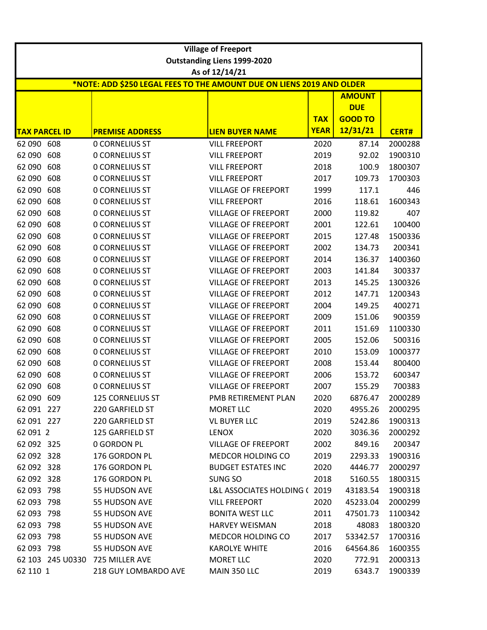|                                                                                         | <b>Village of Freeport</b> |                         |                                    |             |                             |              |  |
|-----------------------------------------------------------------------------------------|----------------------------|-------------------------|------------------------------------|-------------|-----------------------------|--------------|--|
|                                                                                         |                            |                         | <b>Outstanding Liens 1999-2020</b> |             |                             |              |  |
| As of 12/14/21<br>*NOTE: ADD \$250 LEGAL FEES TO THE AMOUNT DUE ON LIENS 2019 AND OLDER |                            |                         |                                    |             |                             |              |  |
|                                                                                         |                            |                         |                                    |             |                             |              |  |
|                                                                                         |                            |                         |                                    |             | <b>AMOUNT</b><br><b>DUE</b> |              |  |
|                                                                                         |                            |                         |                                    | <b>TAX</b>  | <b>GOOD TO</b>              |              |  |
|                                                                                         | <b>TAX PARCEL ID</b>       | <b>PREMISE ADDRESS</b>  | <b>LIEN BUYER NAME</b>             | <b>YEAR</b> | 12/31/21                    | <b>CERT#</b> |  |
| 62 090 608                                                                              |                            | <b>0 CORNELIUS ST</b>   | <b>VILL FREEPORT</b>               | 2020        | 87.14                       | 2000288      |  |
| 62 090                                                                                  | 608                        | <b>0 CORNELIUS ST</b>   | <b>VILL FREEPORT</b>               | 2019        | 92.02                       | 1900310      |  |
| 62 090                                                                                  | 608                        | <b>0 CORNELIUS ST</b>   | <b>VILL FREEPORT</b>               | 2018        | 100.9                       | 1800307      |  |
| 62 090                                                                                  | 608                        | <b>0 CORNELIUS ST</b>   | <b>VILL FREEPORT</b>               | 2017        | 109.73                      | 1700303      |  |
| 62 090                                                                                  | 608                        | <b>0 CORNELIUS ST</b>   | <b>VILLAGE OF FREEPORT</b>         | 1999        | 117.1                       | 446          |  |
| 62 090                                                                                  | 608                        | <b>0 CORNELIUS ST</b>   | <b>VILL FREEPORT</b>               | 2016        | 118.61                      | 1600343      |  |
| 62 090                                                                                  | 608                        | <b>0 CORNELIUS ST</b>   | <b>VILLAGE OF FREEPORT</b>         | 2000        | 119.82                      | 407          |  |
| 62 090                                                                                  | 608                        | <b>0 CORNELIUS ST</b>   | <b>VILLAGE OF FREEPORT</b>         | 2001        | 122.61                      | 100400       |  |
| 62 090                                                                                  | 608                        | <b>0 CORNELIUS ST</b>   | <b>VILLAGE OF FREEPORT</b>         | 2015        | 127.48                      | 1500336      |  |
| 62 090                                                                                  | 608                        | <b>0 CORNELIUS ST</b>   | <b>VILLAGE OF FREEPORT</b>         | 2002        | 134.73                      | 200341       |  |
| 62 090                                                                                  | 608                        | <b>0 CORNELIUS ST</b>   | <b>VILLAGE OF FREEPORT</b>         | 2014        | 136.37                      | 1400360      |  |
| 62 090                                                                                  | 608                        | <b>0 CORNELIUS ST</b>   | <b>VILLAGE OF FREEPORT</b>         | 2003        | 141.84                      | 300337       |  |
| 62 090                                                                                  | 608                        | <b>0 CORNELIUS ST</b>   | <b>VILLAGE OF FREEPORT</b>         | 2013        | 145.25                      | 1300326      |  |
| 62 090                                                                                  | 608                        | <b>0 CORNELIUS ST</b>   | <b>VILLAGE OF FREEPORT</b>         | 2012        | 147.71                      | 1200343      |  |
| 62 090                                                                                  | 608                        | <b>0 CORNELIUS ST</b>   | <b>VILLAGE OF FREEPORT</b>         | 2004        | 149.25                      | 400271       |  |
| 62 090                                                                                  | 608                        | <b>0 CORNELIUS ST</b>   | <b>VILLAGE OF FREEPORT</b>         | 2009        | 151.06                      | 900359       |  |
| 62 090                                                                                  | 608                        | <b>0 CORNELIUS ST</b>   | <b>VILLAGE OF FREEPORT</b>         | 2011        | 151.69                      | 1100330      |  |
| 62 090                                                                                  | 608                        | <b>0 CORNELIUS ST</b>   | <b>VILLAGE OF FREEPORT</b>         | 2005        | 152.06                      | 500316       |  |
| 62 090                                                                                  | 608                        | <b>0 CORNELIUS ST</b>   | <b>VILLAGE OF FREEPORT</b>         | 2010        | 153.09                      | 1000377      |  |
| 62 090                                                                                  | 608                        | <b>0 CORNELIUS ST</b>   | <b>VILLAGE OF FREEPORT</b>         | 2008        | 153.44                      | 800400       |  |
| 62 090                                                                                  | 608                        | <b>0 CORNELIUS ST</b>   | <b>VILLAGE OF FREEPORT</b>         | 2006        | 153.72                      | 600347       |  |
| 62 090                                                                                  | 608                        | <b>0 CORNELIUS ST</b>   | <b>VILLAGE OF FREEPORT</b>         | 2007        | 155.29                      | 700383       |  |
| 62 090 609                                                                              |                            | <b>125 CORNELIUS ST</b> | PMB RETIREMENT PLAN                | 2020        | 6876.47                     | 2000289      |  |
| 62 091 227                                                                              |                            | 220 GARFIELD ST         | MORET LLC                          | 2020        | 4955.26                     | 2000295      |  |
| 62 091 227                                                                              |                            | 220 GARFIELD ST         | <b>VL BUYER LLC</b>                | 2019        | 5242.86                     | 1900313      |  |
| 62 091 2                                                                                |                            | 125 GARFIELD ST         | <b>LENOX</b>                       | 2020        | 3036.36                     | 2000292      |  |
| 62 092 325                                                                              |                            | <b>0 GORDON PL</b>      | <b>VILLAGE OF FREEPORT</b>         | 2002        | 849.16                      | 200347       |  |
| 62 092 328                                                                              |                            | 176 GORDON PL           | MEDCOR HOLDING CO                  | 2019        | 2293.33                     | 1900316      |  |
| 62 092 328                                                                              |                            | 176 GORDON PL           | <b>BUDGET ESTATES INC</b>          | 2020        | 4446.77                     | 2000297      |  |
| 62 092 328                                                                              |                            | 176 GORDON PL           | SUNG SO                            | 2018        | 5160.55                     | 1800315      |  |
| 62 093 798                                                                              |                            | 55 HUDSON AVE           | L&L ASSOCIATES HOLDING (2019       |             | 43183.54                    | 1900318      |  |
| 62 093 798                                                                              |                            | 55 HUDSON AVE           | <b>VILL FREEPORT</b>               | 2020        | 45233.04                    | 2000299      |  |
| 62 093 798                                                                              |                            | 55 HUDSON AVE           | <b>BONITA WEST LLC</b>             | 2011        | 47501.73                    | 1100342      |  |
| 62 093                                                                                  | 798                        | 55 HUDSON AVE           | <b>HARVEY WEISMAN</b>              | 2018        | 48083                       | 1800320      |  |
| 62 093 798                                                                              |                            | 55 HUDSON AVE           | <b>MEDCOR HOLDING CO</b>           | 2017        | 53342.57                    | 1700316      |  |
| 62 093 798                                                                              |                            | 55 HUDSON AVE           | <b>KAROLYE WHITE</b>               | 2016        | 64564.86                    | 1600355      |  |
|                                                                                         | 62 103 245 U0330           | 725 MILLER AVE          | <b>MORET LLC</b>                   | 2020        | 772.91                      | 2000313      |  |
| 62 110 1                                                                                |                            | 218 GUY LOMBARDO AVE    | MAIN 350 LLC                       | 2019        | 6343.7                      | 1900339      |  |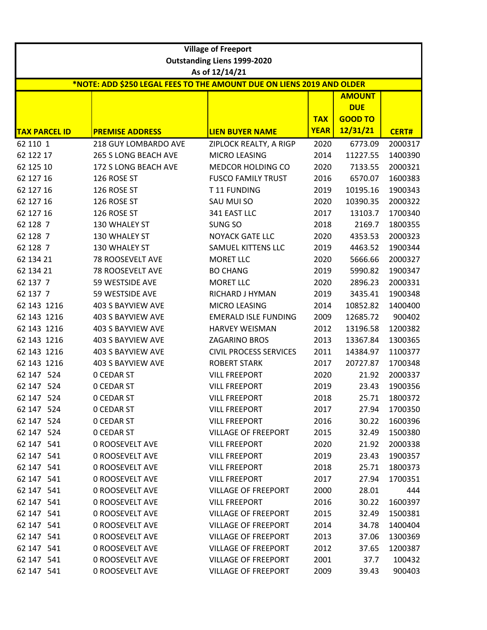| <b>Village of Freeport</b>                                            |                        |                                    |             |                |              |  |  |
|-----------------------------------------------------------------------|------------------------|------------------------------------|-------------|----------------|--------------|--|--|
|                                                                       |                        | <b>Outstanding Liens 1999-2020</b> |             |                |              |  |  |
|                                                                       |                        | As of 12/14/21                     |             |                |              |  |  |
| *NOTE: ADD \$250 LEGAL FEES TO THE AMOUNT DUE ON LIENS 2019 AND OLDER |                        |                                    |             |                |              |  |  |
|                                                                       |                        |                                    |             | <b>AMOUNT</b>  |              |  |  |
|                                                                       |                        |                                    |             | <b>DUE</b>     |              |  |  |
|                                                                       |                        |                                    | <b>TAX</b>  | <b>GOOD TO</b> |              |  |  |
| <b>TAX PARCEL ID</b>                                                  | <b>PREMISE ADDRESS</b> | <b>LIEN BUYER NAME</b>             | <b>YEAR</b> | 12/31/21       | <b>CERT#</b> |  |  |
| 62 110 1                                                              | 218 GUY LOMBARDO AVE   | ZIPLOCK REALTY, A RIGP             | 2020        | 6773.09        | 2000317      |  |  |
| 62 122 17                                                             | 265 S LONG BEACH AVE   | MICRO LEASING                      | 2014        | 11227.55       | 1400390      |  |  |
| 62 125 10                                                             | 172 S LONG BEACH AVE   | MEDCOR HOLDING CO                  | 2020        | 7133.55        | 2000321      |  |  |
| 62 127 16                                                             | 126 ROSE ST            | <b>FUSCO FAMILY TRUST</b>          | 2016        | 6570.07        | 1600383      |  |  |
| 62 127 16                                                             | 126 ROSE ST            | T11 FUNDING                        | 2019        | 10195.16       | 1900343      |  |  |
| 62 127 16                                                             | 126 ROSE ST            | SAU MUI SO                         | 2020        | 10390.35       | 2000322      |  |  |
| 62 127 16                                                             | 126 ROSE ST            | 341 EAST LLC                       | 2017        | 13103.7        | 1700340      |  |  |
| 62 128 7                                                              | 130 WHALEY ST          | SUNG SO                            | 2018        | 2169.7         | 1800355      |  |  |
| 62 128 7                                                              | 130 WHALEY ST          | <b>NOYACK GATE LLC</b>             | 2020        | 4353.53        | 2000323      |  |  |
| 62 128 7                                                              | 130 WHALEY ST          | SAMUEL KITTENS LLC                 | 2019        | 4463.52        | 1900344      |  |  |
| 62 134 21                                                             | 78 ROOSEVELT AVE       | <b>MORET LLC</b>                   | 2020        | 5666.66        | 2000327      |  |  |
| 62 134 21                                                             | 78 ROOSEVELT AVE       | <b>BO CHANG</b>                    | 2019        | 5990.82        | 1900347      |  |  |
| 62 137 7                                                              | 59 WESTSIDE AVE        | <b>MORET LLC</b>                   | 2020        | 2896.23        | 2000331      |  |  |
| 62 137 7                                                              | 59 WESTSIDE AVE        | RICHARD J HYMAN                    | 2019        | 3435.41        | 1900348      |  |  |
| 62 143 1216                                                           | 403 S BAYVIEW AVE      | MICRO LEASING                      | 2014        | 10852.82       | 1400400      |  |  |
| 62 143 1216                                                           | 403 S BAYVIEW AVE      | <b>EMERALD ISLE FUNDING</b>        | 2009        | 12685.72       | 900402       |  |  |
| 62 143 1216                                                           | 403 S BAYVIEW AVE      | <b>HARVEY WEISMAN</b>              | 2012        | 13196.58       | 1200382      |  |  |
| 62 143 1216                                                           | 403 S BAYVIEW AVE      | ZAGARINO BROS                      | 2013        | 13367.84       | 1300365      |  |  |
| 62 143 1216                                                           | 403 S BAYVIEW AVE      | <b>CIVIL PROCESS SERVICES</b>      | 2011        | 14384.97       | 1100377      |  |  |
| 62 143 1216                                                           | 403 S BAYVIEW AVE      | <b>ROBERT STARK</b>                | 2017        | 20727.87       | 1700348      |  |  |
| 62 147 524                                                            | <b>O CEDAR ST</b>      | <b>VILL FREEPORT</b>               | 2020        | 21.92          | 2000337      |  |  |
| 62 147 524                                                            | <b>0 CEDAR ST</b>      | <b>VILL FREEPORT</b>               | 2019        | 23.43          | 1900356      |  |  |
| 62 147 524                                                            | <b>0 CEDAR ST</b>      | <b>VILL FREEPORT</b>               | 2018        | 25.71          | 1800372      |  |  |
| 62 147 524                                                            | <b>0 CEDAR ST</b>      | <b>VILL FREEPORT</b>               | 2017        | 27.94          | 1700350      |  |  |
| 62 147 524                                                            | <b>O CEDAR ST</b>      | <b>VILL FREEPORT</b>               | 2016        | 30.22          | 1600396      |  |  |
| 62 147 524                                                            | <b>0 CEDAR ST</b>      | <b>VILLAGE OF FREEPORT</b>         | 2015        | 32.49          | 1500380      |  |  |
| 62 147 541                                                            | <b>0 ROOSEVELT AVE</b> | <b>VILL FREEPORT</b>               | 2020        | 21.92          | 2000338      |  |  |
| 62 147 541                                                            | <b>0 ROOSEVELT AVE</b> | <b>VILL FREEPORT</b>               | 2019        | 23.43          | 1900357      |  |  |
| 62 147 541                                                            | <b>0 ROOSEVELT AVE</b> | <b>VILL FREEPORT</b>               | 2018        | 25.71          | 1800373      |  |  |
| 62 147 541                                                            | <b>0 ROOSEVELT AVE</b> | <b>VILL FREEPORT</b>               | 2017        | 27.94          | 1700351      |  |  |
| 62 147 541                                                            | <b>0 ROOSEVELT AVE</b> | <b>VILLAGE OF FREEPORT</b>         | 2000        | 28.01          | 444          |  |  |
| 62 147 541                                                            | <b>0 ROOSEVELT AVE</b> | <b>VILL FREEPORT</b>               | 2016        | 30.22          | 1600397      |  |  |
| 62 147 541                                                            | <b>0 ROOSEVELT AVE</b> | <b>VILLAGE OF FREEPORT</b>         | 2015        | 32.49          | 1500381      |  |  |
| 62 147 541                                                            | 0 ROOSEVELT AVE        | <b>VILLAGE OF FREEPORT</b>         | 2014        | 34.78          | 1400404      |  |  |
| 62 147 541                                                            | <b>0 ROOSEVELT AVE</b> | <b>VILLAGE OF FREEPORT</b>         | 2013        | 37.06          | 1300369      |  |  |
| 62 147 541                                                            | <b>0 ROOSEVELT AVE</b> | <b>VILLAGE OF FREEPORT</b>         | 2012        | 37.65          | 1200387      |  |  |
| 62 147 541                                                            | <b>0 ROOSEVELT AVE</b> | <b>VILLAGE OF FREEPORT</b>         | 2001        | 37.7           | 100432       |  |  |
| 62 147 541                                                            | 0 ROOSEVELT AVE        | <b>VILLAGE OF FREEPORT</b>         | 2009        | 39.43          | 900403       |  |  |
|                                                                       |                        |                                    |             |                |              |  |  |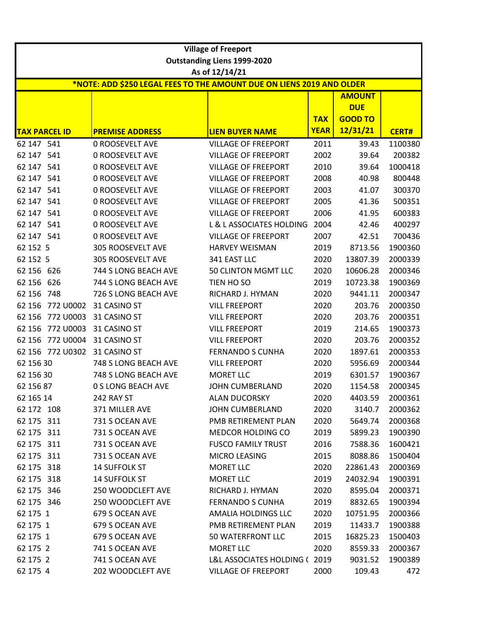|                      | <b>Village of Freeport</b>                                            |                                    |             |                    |              |  |  |
|----------------------|-----------------------------------------------------------------------|------------------------------------|-------------|--------------------|--------------|--|--|
|                      |                                                                       | <b>Outstanding Liens 1999-2020</b> |             |                    |              |  |  |
|                      | *NOTE: ADD \$250 LEGAL FEES TO THE AMOUNT DUE ON LIENS 2019 AND OLDER | As of 12/14/21                     |             |                    |              |  |  |
|                      |                                                                       |                                    |             | <b>AMOUNT</b>      |              |  |  |
|                      |                                                                       |                                    |             | <b>DUE</b>         |              |  |  |
|                      |                                                                       |                                    | <b>TAX</b>  | <b>GOOD TO</b>     |              |  |  |
| <b>TAX PARCEL ID</b> | <b>PREMISE ADDRESS</b>                                                | <b>LIEN BUYER NAME</b>             | <b>YEAR</b> | 12/31/21           | <b>CERT#</b> |  |  |
| 62 147 541           | 0 ROOSEVELT AVE                                                       | <b>VILLAGE OF FREEPORT</b>         | 2011        | 39.43              | 1100380      |  |  |
| 62 147 541           | <b>0 ROOSEVELT AVE</b>                                                | <b>VILLAGE OF FREEPORT</b>         | 2002        | 39.64              | 200382       |  |  |
| 62 147 541           | <b>0 ROOSEVELT AVE</b>                                                | <b>VILLAGE OF FREEPORT</b>         | 2010        | 39.64              | 1000418      |  |  |
| 62 147 541           | 0 ROOSEVELT AVE                                                       | <b>VILLAGE OF FREEPORT</b>         | 2008        | 40.98              | 800448       |  |  |
| 62 147 541           | <b>0 ROOSEVELT AVE</b>                                                | <b>VILLAGE OF FREEPORT</b>         | 2003        | 41.07              | 300370       |  |  |
| 62 147 541           | 0 ROOSEVELT AVE                                                       | <b>VILLAGE OF FREEPORT</b>         | 2005        | 41.36              | 500351       |  |  |
| 62 147 541           | 0 ROOSEVELT AVE                                                       | <b>VILLAGE OF FREEPORT</b>         | 2006        | 41.95              | 600383       |  |  |
| 62 147 541           | <b>0 ROOSEVELT AVE</b>                                                | L & L ASSOCIATES HOLDING           | 2004        | 42.46              | 400297       |  |  |
| 62 147 541           | <b>0 ROOSEVELT AVE</b>                                                | <b>VILLAGE OF FREEPORT</b>         | 2007        | 42.51              | 700436       |  |  |
| 62 152 5             | 305 ROOSEVELT AVE                                                     | <b>HARVEY WEISMAN</b>              | 2019        | 8713.56            | 1900360      |  |  |
| 62 152 5             | 305 ROOSEVELT AVE                                                     | 341 EAST LLC                       | 2020        | 13807.39           | 2000339      |  |  |
| 62 156 626           | 744 S LONG BEACH AVE                                                  | 50 CLINTON MGMT LLC                | 2020        | 10606.28           | 2000346      |  |  |
| 62 156<br>626        | 744 S LONG BEACH AVE                                                  | TIEN HO SO                         | 2019        | 10723.38           | 1900369      |  |  |
| 62 156<br>748        | 726 S LONG BEACH AVE                                                  | RICHARD J. HYMAN                   | 2020        | 9441.11            | 2000347      |  |  |
| 62 156<br>772 U0002  | 31 CASINO ST                                                          | <b>VILL FREEPORT</b>               | 2020        | 203.76             | 2000350      |  |  |
| 62 156<br>772 U0003  | 31 CASINO ST                                                          | <b>VILL FREEPORT</b>               | 2020        | 203.76             | 2000351      |  |  |
| 772 U0003<br>62 156  | 31 CASINO ST                                                          | <b>VILL FREEPORT</b>               | 2019        | 214.65             | 1900373      |  |  |
| 772 U0004<br>62 156  | 31 CASINO ST                                                          | <b>VILL FREEPORT</b>               | 2020        | 203.76             | 2000352      |  |  |
| 62 156 772 U0302     | 31 CASINO ST                                                          | <b>FERNANDO S CUNHA</b>            | 2020        | 1897.61            | 2000353      |  |  |
| 62 156 30            | 748 S LONG BEACH AVE                                                  | <b>VILL FREEPORT</b>               | 2020        | 5956.69            | 2000344      |  |  |
| 62 156 30            | 748 S LONG BEACH AVE                                                  | <b>MORET LLC</b>                   | 2019        | 6301.57            | 1900367      |  |  |
| 62 156 87            | <b>0 S LONG BEACH AVE</b>                                             | <b>JOHN CUMBERLAND</b>             | 2020        | 1154.58            | 2000345      |  |  |
| 62 165 14            | 242 RAY ST                                                            | ALAN DUCORSKY                      | 2020        | 4403.59            | 2000361      |  |  |
| 62 172 108           | 371 MILLER AVE                                                        | <b>JOHN CUMBERLAND</b>             | 2020        | 3140.7             | 2000362      |  |  |
| 62 175 311           | 731 S OCEAN AVE                                                       | PMB RETIREMENT PLAN                | 2020        | 5649.74            | 2000368      |  |  |
| 62 175 311           | 731 S OCEAN AVE                                                       | <b>MEDCOR HOLDING CO</b>           | 2019        | 5899.23            | 1900390      |  |  |
| 62 175 311           | 731 S OCEAN AVE                                                       | <b>FUSCO FAMILY TRUST</b>          | 2016        |                    | 1600421      |  |  |
| 62 175 311           | 731 S OCEAN AVE                                                       | <b>MICRO LEASING</b>               | 2015        | 7588.36<br>8088.86 | 1500404      |  |  |
| 62 175 318           | 14 SUFFOLK ST                                                         | MORET LLC                          | 2020        | 22861.43           | 2000369      |  |  |
| 62 175 318           | <b>14 SUFFOLK ST</b>                                                  | <b>MORET LLC</b>                   | 2019        | 24032.94           | 1900391      |  |  |
| 62 175 346           | 250 WOODCLEFT AVE                                                     | RICHARD J. HYMAN                   |             | 8595.04            |              |  |  |
| 62 175 346           | 250 WOODCLEFT AVE                                                     | <b>FERNANDO S CUNHA</b>            | 2020        |                    | 2000371      |  |  |
|                      |                                                                       |                                    | 2019        | 8832.65            | 1900394      |  |  |
| 62 175 1             | 679 S OCEAN AVE                                                       | AMALIA HOLDINGS LLC                | 2020        | 10751.95           | 2000366      |  |  |
| 62 175 1             | 679 S OCEAN AVE                                                       | PMB RETIREMENT PLAN                | 2019        | 11433.7            | 1900388      |  |  |
| 62 175 1             | 679 S OCEAN AVE                                                       | 50 WATERFRONT LLC                  | 2015        | 16825.23           | 1500403      |  |  |
| 62 175 2             | 741 S OCEAN AVE                                                       | <b>MORET LLC</b>                   | 2020        | 8559.33            | 2000367      |  |  |
| 62 175 2             | 741 S OCEAN AVE                                                       | L&L ASSOCIATES HOLDING (2019       |             | 9031.52            | 1900389      |  |  |
| 62 175 4             | 202 WOODCLEFT AVE                                                     | VILLAGE OF FREEPORT                | 2000        | 109.43             | 472          |  |  |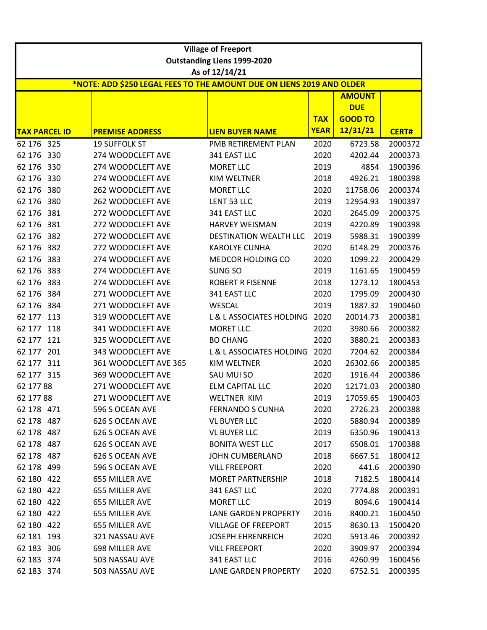|                      |     |                                                                       | <b>Village of Freeport</b>         |             |                |              |
|----------------------|-----|-----------------------------------------------------------------------|------------------------------------|-------------|----------------|--------------|
|                      |     |                                                                       | <b>Outstanding Liens 1999-2020</b> |             |                |              |
|                      |     |                                                                       | As of 12/14/21                     |             |                |              |
|                      |     | *NOTE: ADD \$250 LEGAL FEES TO THE AMOUNT DUE ON LIENS 2019 AND OLDER |                                    |             |                |              |
|                      |     |                                                                       |                                    |             | <b>AMOUNT</b>  |              |
|                      |     |                                                                       |                                    |             | <b>DUE</b>     |              |
|                      |     |                                                                       |                                    | <b>TAX</b>  | <b>GOOD TO</b> |              |
| <b>TAX PARCEL ID</b> |     | <b>PREMISE ADDRESS</b>                                                | <b>LIEN BUYER NAME</b>             | <b>YEAR</b> | 12/31/21       | <b>CERT#</b> |
| 62 176 325           |     | <b>19 SUFFOLK ST</b>                                                  | PMB RETIREMENT PLAN                | 2020        | 6723.58        | 2000372      |
| 62 176               | 330 | 274 WOODCLEFT AVE                                                     | 341 EAST LLC                       | 2020        | 4202.44        | 2000373      |
| 62 176 330           |     | 274 WOODCLEFT AVE                                                     | <b>MORET LLC</b>                   | 2019        | 4854           | 1900396      |
| 62 176               | 330 | 274 WOODCLEFT AVE                                                     | <b>KIM WELTNER</b>                 | 2018        | 4926.21        | 1800398      |
| 62 176 380           |     | 262 WOODCLEFT AVE                                                     | <b>MORET LLC</b>                   | 2020        | 11758.06       | 2000374      |
| 62 176 380           |     | 262 WOODCLEFT AVE                                                     | LENT 53 LLC                        | 2019        | 12954.93       | 1900397      |
| 62 176               | 381 | 272 WOODCLEFT AVE                                                     | 341 EAST LLC                       | 2020        | 2645.09        | 2000375      |
| 62 176 381           |     | 272 WOODCLEFT AVE                                                     | <b>HARVEY WEISMAN</b>              | 2019        | 4220.89        | 1900398      |
| 62 176               | 382 | 272 WOODCLEFT AVE                                                     | <b>DESTINATION WEALTH LLC</b>      | 2019        | 5988.31        | 1900399      |
| 62 176 382           |     | 272 WOODCLEFT AVE                                                     | <b>KAROLYE CUNHA</b>               | 2020        | 6148.29        | 2000376      |
| 62 176               | 383 | 274 WOODCLEFT AVE                                                     | MEDCOR HOLDING CO                  | 2020        | 1099.22        | 2000429      |
| 62 176               | 383 | 274 WOODCLEFT AVE                                                     | SUNG SO                            | 2019        | 1161.65        | 1900459      |
| 62 176               | 383 | 274 WOODCLEFT AVE                                                     | <b>ROBERT R FISENNE</b>            | 2018        | 1273.12        | 1800453      |
| 62 176               | 384 | 271 WOODCLEFT AVE                                                     | 341 EAST LLC                       | 2020        | 1795.09        | 2000430      |
| 62 176 384           |     | 271 WOODCLEFT AVE                                                     | WESCAL                             | 2019        | 1887.32        | 1900460      |
| 62 177               | 113 | 319 WOODCLEFT AVE                                                     | L & L ASSOCIATES HOLDING           | 2020        | 20014.73       | 2000381      |
| 62 177               | 118 | 341 WOODCLEFT AVE                                                     | <b>MORET LLC</b>                   | 2020        | 3980.66        | 2000382      |
| 62 177               | 121 | 325 WOODCLEFT AVE                                                     | <b>BO CHANG</b>                    | 2020        | 3880.21        | 2000383      |
| 62 177               | 201 | 343 WOODCLEFT AVE                                                     | L & L ASSOCIATES HOLDING           | 2020        | 7204.62        | 2000384      |
| 62 177 311           |     | 361 WOODCLEFT AVE 365                                                 | <b>KIM WELTNER</b>                 | 2020        | 26302.66       | 2000385      |
| 62 177 315           |     | 369 WOODCLEFT AVE                                                     | SAU MUI SO                         | 2020        | 1916.44        | 2000386      |
| 62 177 88            |     | 271 WOODCLEFT AVE                                                     | <b>ELM CAPITAL LLC</b>             | 2020        | 12171.03       | 2000380      |
| 62 177 88            |     | 271 WOODCLEFT AVE                                                     | WELTNER KIM                        | 2019        | 17059.65       | 1900403      |
| 62 178 471           |     | 596 S OCEAN AVE                                                       | <b>FERNANDO S CUNHA</b>            | 2020        | 2726.23        | 2000388      |
| 62 178 487           |     | 626 S OCEAN AVE                                                       | <b>VL BUYER LLC</b>                | 2020        | 5880.94        | 2000389      |
| 62 178 487           |     | 626 S OCEAN AVE                                                       | <b>VL BUYER LLC</b>                | 2019        | 6350.96        | 1900413      |
| 62 178 487           |     | 626 S OCEAN AVE                                                       | <b>BONITA WEST LLC</b>             | 2017        | 6508.01        | 1700388      |
| 62 178 487           |     | 626 S OCEAN AVE                                                       | <b>JOHN CUMBERLAND</b>             | 2018        | 6667.51        | 1800412      |
| 62 178 499           |     | 596 S OCEAN AVE                                                       | <b>VILL FREEPORT</b>               | 2020        | 441.6          | 2000390      |
| 62 180 422           |     | 655 MILLER AVE                                                        | <b>MORET PARTNERSHIP</b>           | 2018        | 7182.5         | 1800414      |
| 62 180 422           |     | 655 MILLER AVE                                                        | 341 EAST LLC                       | 2020        | 7774.88        | 2000391      |
| 62 180 422           |     | 655 MILLER AVE                                                        | <b>MORET LLC</b>                   | 2019        | 8094.6         | 1900414      |
| 62 180 422           |     | 655 MILLER AVE                                                        | LANE GARDEN PROPERTY               | 2016        | 8400.21        | 1600450      |
| 62 180 422           |     | 655 MILLER AVE                                                        | <b>VILLAGE OF FREEPORT</b>         | 2015        | 8630.13        | 1500420      |
| 62 181 193           |     | 321 NASSAU AVE                                                        | <b>JOSEPH EHRENREICH</b>           | 2020        | 5913.46        | 2000392      |
| 62 183 306           |     | 698 MILLER AVE                                                        | <b>VILL FREEPORT</b>               | 2020        | 3909.97        | 2000394      |
| 62 183 374           |     | 503 NASSAU AVE                                                        | 341 EAST LLC                       | 2016        | 4260.99        | 1600456      |
| 62 183 374           |     | 503 NASSAU AVE                                                        | LANE GARDEN PROPERTY               | 2020        | 6752.51        | 2000395      |